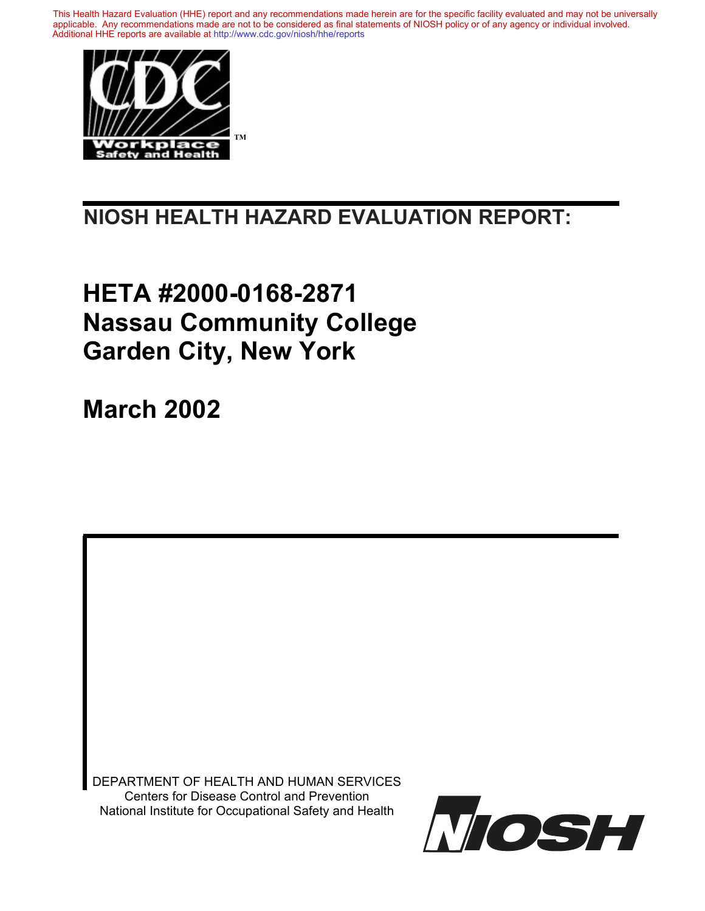This Health Hazard Evaluation (HHE) report and any recommendations made herein are for the specific facility evaluated and may not be universally applicable. Any recommendations made are not to be considered as final statements of NIOSH policy or of any agency or individual involved. Additional HHE reports are available at http://www.cdc.gov/niosh/hhe/reports Additional HHE reports are available at [http://www.cdc.gov/niosh/hhe/reports](http://www.cdc.gov/niosh/hhe/reports/)



# **NIOSH HEALTH HAZARD EVALUATION REPORT:**

# **HETA #2000-0168-2871 Nassau Community College Garden City, New York**

**March 2002**

DEPARTMENT OF HEALTH AND HUMAN SERVICES Centers for Disease Control and Prevention National Institute for Occupational Safety and Health

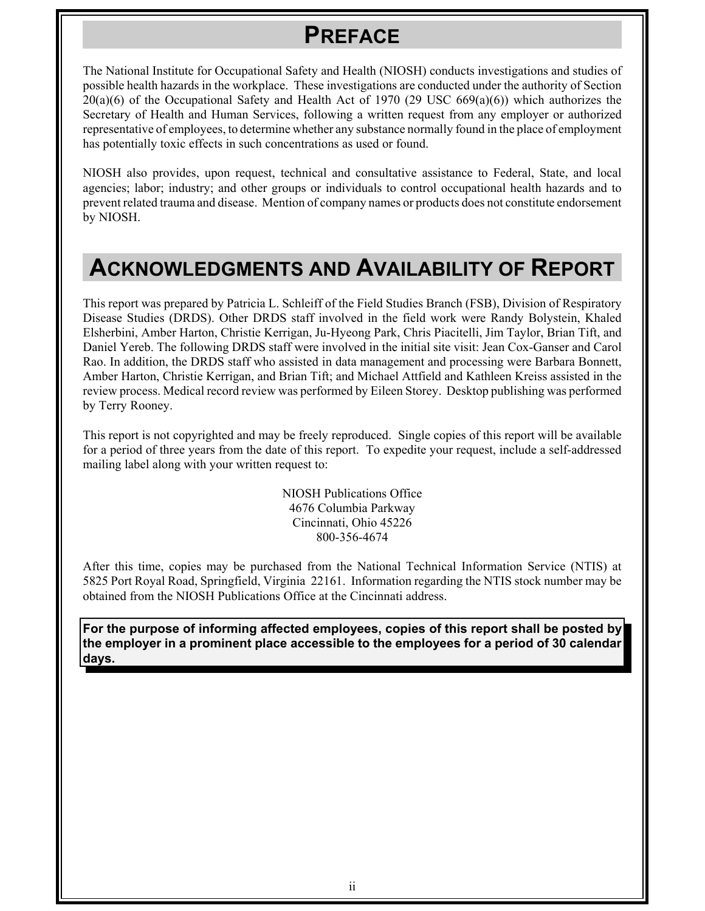# **PREFACE**

The National Institute for Occupational Safety and Health (NIOSH) conducts investigations and studies of possible health hazards in the workplace. These investigations are conducted under the authority of Section 20(a)(6) of the Occupational Safety and Health Act of 1970 (29 USC 669(a)(6)) which authorizes the Secretary of Health and Human Services, following a written request from any employer or authorized representative of employees, to determine whether any substance normally found in the place of employment has potentially toxic effects in such concentrations as used or found.

NIOSH also provides, upon request, technical and consultative assistance to Federal, State, and local agencies; labor; industry; and other groups or individuals to control occupational health hazards and to prevent related trauma and disease. Mention of company names or products does not constitute endorsement by NIOSH.

# **ACKNOWLEDGMENTS AND AVAILABILITY OF REPORT**

This report was prepared by Patricia L. Schleiff of the Field Studies Branch (FSB), Division of Respiratory Disease Studies (DRDS). Other DRDS staff involved in the field work were Randy Bolystein, Khaled Elsherbini, Amber Harton, Christie Kerrigan, Ju-Hyeong Park, Chris Piacitelli, Jim Taylor, Brian Tift, and Daniel Yereb. The following DRDS staff were involved in the initial site visit: Jean Cox-Ganser and Carol Rao. In addition, the DRDS staff who assisted in data management and processing were Barbara Bonnett, Amber Harton, Christie Kerrigan, and Brian Tift; and Michael Attfield and Kathleen Kreiss assisted in the review process. Medical record review was performed by Eileen Storey. Desktop publishing was performed by Terry Rooney.

This report is not copyrighted and may be freely reproduced. Single copies of this report will be available for a period of three years from the date of this report. To expedite your request, include a self-addressed mailing label along with your written request to:

> NIOSH Publications Office 4676 Columbia Parkway Cincinnati, Ohio 45226 800-356-4674

After this time, copies may be purchased from the National Technical Information Service (NTIS) at 5825 Port Royal Road, Springfield, Virginia 22161. Information regarding the NTIS stock number may be obtained from the NIOSH Publications Office at the Cincinnati address.

**For the purpose of informing affected employees, copies of this report shall be posted by the employer in a prominent place accessible to the employees for a period of 30 calendar days.**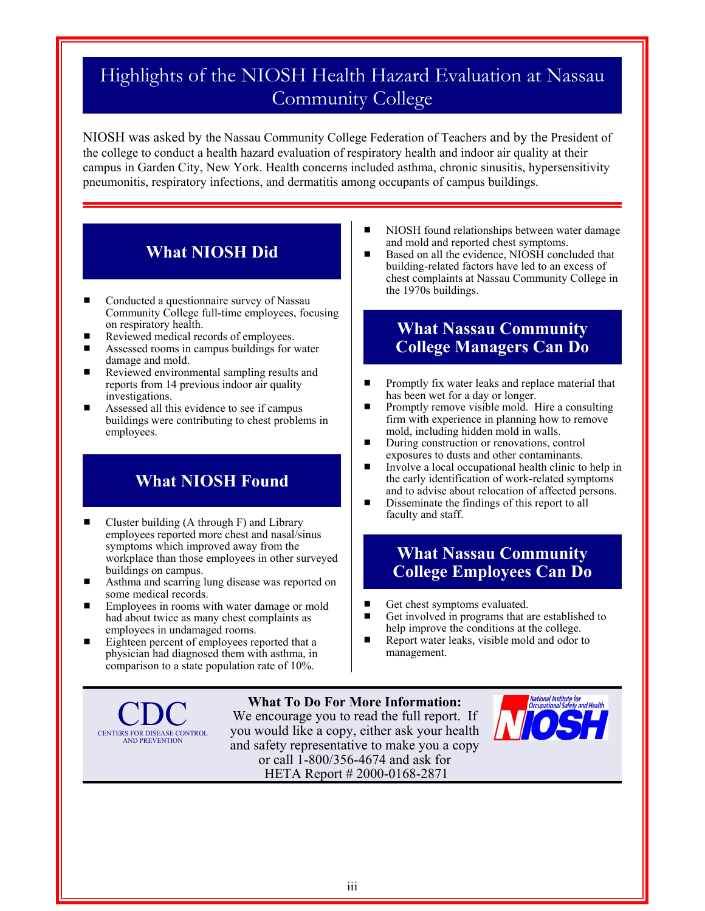# Highlights of the NIOSH Health Hazard Evaluation at Nassau Community College

NIOSH was asked by the Nassau Community College Federation of Teachers and by the President of the college to conduct a health hazard evaluation of respiratory health and indoor air quality at their campus in Garden City, New York. Health concerns included asthma, chronic sinusitis, hypersensitivity pneumonitis, respiratory infections, and dermatitis among occupants of campus buildings.

# **What NIOSH Did**

- $\blacksquare$  Conducted a questionnaire survey of Nassau Community College full-time employees, focusing on respiratory health.
- Reviewed medical records of employees.<br> $\blacksquare$  Assessed rooms in campus buildings for v
- Assessed rooms in campus buildings for water damage and mold.
- Reviewed environmental sampling results and reports from 14 previous indoor air quality investigations.
- Assessed all this evidence to see if campus buildings were contributing to chest problems in employees.

# **What NIOSH Found**

- Cluster building  $(A$  through  $F)$  and Library employees reported more chest and nasal/sinus symptoms which improved away from the workplace than those employees in other surveyed buildings on campus.
- Asthma and scarring lung disease was reported on some medical records.
- Employees in rooms with water damage or mold had about twice as many chest complaints as employees in undamaged rooms.
- Eighteen percent of employees reported that a physician had diagnosed them with asthma, in comparison to a state population rate of 10%.

CENTERS FOR DISEASE CONTROL AND PREVENTION

- NIOSH found relationships between water damage and mold and reported chest symptoms.
- Based on all the evidence, NIOSH concluded that building-related factors have led to an excess of chest complaints at Nassau Community College in the 1970s buildings.

# **What Nassau Community College Managers Can Do**

- Promptly fix water leaks and replace material that has been wet for a day or longer.
- Promptly remove visible mold. Hire a consulting firm with experience in planning how to remove mold, including hidden mold in walls.
- During construction or renovations, control exposures to dusts and other contaminants.
- Involve a local occupational health clinic to help in the early identification of work-related symptoms and to advise about relocation of affected persons.
- Disseminate the findings of this report to all faculty and staff.

# **What Nassau Community College Employees Can Do**

- $\blacksquare$  Get chest symptoms evaluated.
- Get involved in programs that are established to help improve the conditions at the college.
- Report water leaks, visible mold and odor to management.

**What To Do For More Information:** We encourage you to read the full report. If you would like a copy, either ask your health and safety representative to make you a copy or call 1-800/356-4674 and ask for HETA Report # 2000-0168-2871

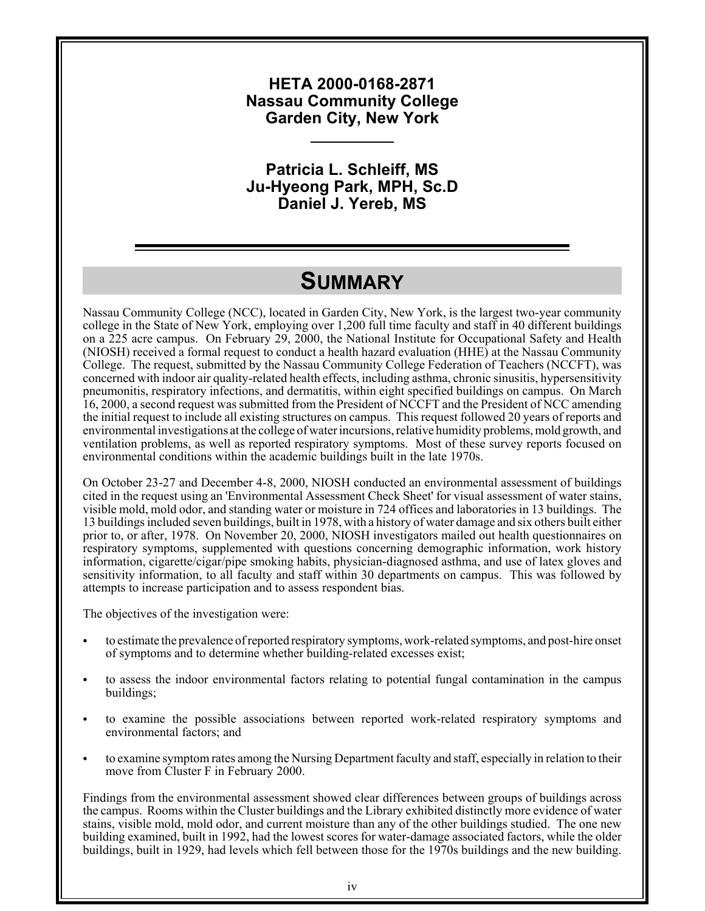### **HETA 2000-0168-2871 Nassau Community College Garden City, New York**

**Patricia L. Schleiff, MS Ju-Hyeong Park, MPH, Sc.D Daniel J. Yereb, MS**

# **SUMMARY**

Nassau Community College (NCC), located in Garden City, New York, is the largest two-year community college in the State of New York, employing over 1,200 full time faculty and staff in 40 different buildings on a 225 acre campus. On February 29, 2000, the National Institute for Occupational Safety and Health (NIOSH) received a formal request to conduct a health hazard evaluation (HHE) at the Nassau Community College. The request, submitted by the Nassau Community College Federation of Teachers (NCCFT), was concerned with indoor air quality-related health effects, including asthma, chronic sinusitis, hypersensitivity pneumonitis, respiratory infections, and dermatitis, within eight specified buildings on campus. On March 16, 2000, a second request was submitted from the President of NCCFT and the President of NCC amending the initial request to include all existing structures on campus. This request followed 20 years of reports and environmental investigations at the college of water incursions, relative humidity problems, mold growth, and ventilation problems, as well as reported respiratory symptoms. Most of these survey reports focused on environmental conditions within the academic buildings built in the late 1970s.

On October 23-27 and December 4-8, 2000, NIOSH conducted an environmental assessment of buildings cited in the request using an 'Environmental Assessment Check Sheet' for visual assessment of water stains, visible mold, mold odor, and standing water or moisture in 724 offices and laboratories in 13 buildings. The 13 buildings included seven buildings, built in 1978, with a history of water damage and six others built either prior to, or after, 1978. On November 20, 2000, NIOSH investigators mailed out health questionnaires on respiratory symptoms, supplemented with questions concerning demographic information, work history information, cigarette/cigar/pipe smoking habits, physician-diagnosed asthma, and use of latex gloves and sensitivity information, to all faculty and staff within 30 departments on campus. This was followed by attempts to increase participation and to assess respondent bias.

The objectives of the investigation were:

- to estimate the prevalence of reported respiratory symptoms, work-related symptoms, and post-hire onset of symptoms and to determine whether building-related excesses exist;
- to assess the indoor environmental factors relating to potential fungal contamination in the campus buildings;
- to examine the possible associations between reported work-related respiratory symptoms and environmental factors; and
- to examine symptom rates among the Nursing Department faculty and staff, especially in relation to their move from Cluster F in February 2000.

Findings from the environmental assessment showed clear differences between groups of buildings across the campus. Rooms within the Cluster buildings and the Library exhibited distinctly more evidence of water stains, visible mold, mold odor, and current moisture than any of the other buildings studied. The one new building examined, built in 1992, had the lowest scores for water-damage associated factors, while the older buildings, built in 1929, had levels which fell between those for the 1970s buildings and the new building.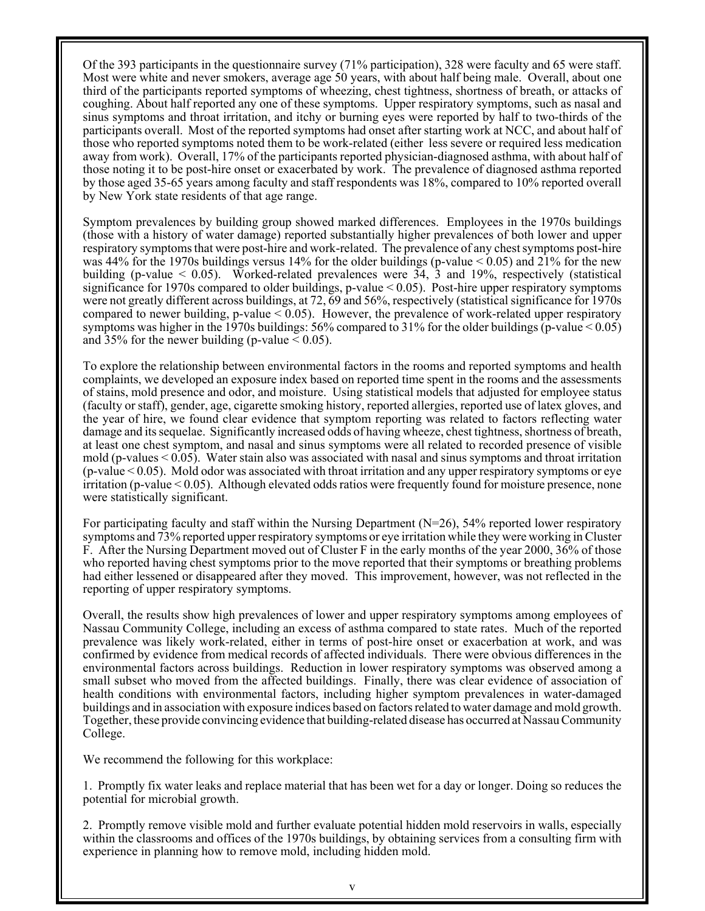Of the 393 participants in the questionnaire survey (71% participation), 328 were faculty and 65 were staff. Most were white and never smokers, average age 50 years, with about half being male. Overall, about one third of the participants reported symptoms of wheezing, chest tightness, shortness of breath, or attacks of coughing. About half reported any one of these symptoms. Upper respiratory symptoms, such as nasal and sinus symptoms and throat irritation, and itchy or burning eyes were reported by half to two-thirds of the participants overall. Most of the reported symptoms had onset after starting work at NCC, and about half of those who reported symptoms noted them to be work-related (either less severe or required less medication away from work). Overall, 17% of the participants reported physician-diagnosed asthma, with about half of those noting it to be post-hire onset or exacerbated by work. The prevalence of diagnosed asthma reported by those aged 35-65 years among faculty and staff respondents was 18%, compared to 10% reported overall by New York state residents of that age range.

Symptom prevalences by building group showed marked differences. Employees in the 1970s buildings (those with a history of water damage) reported substantially higher prevalences of both lower and upper respiratory symptoms that were post-hire and work-related. The prevalence of any chest symptoms post-hire was 44% for the 1970s buildings versus 14% for the older buildings (p-value < 0.05) and 21% for the new building (p-value < 0.05). Worked-related prevalences were  $34$ ,  $3$  and 19%, respectively (statistical significance for 1970s compared to older buildings, p-value  $\leq 0.05$ ). Post-hire upper respiratory symptoms were not greatly different across buildings, at 72, 69 and 56%, respectively (statistical significance for 1970s compared to newer building, p-value  $\leq 0.05$ ). However, the prevalence of work-related upper respiratory symptoms was higher in the 1970s buildings:  $56\%$  compared to 31% for the older buildings (p-value  $\leq 0.05$ ) and 35% for the newer building (p-value  $< 0.05$ ).

To explore the relationship between environmental factors in the rooms and reported symptoms and health complaints, we developed an exposure index based on reported time spent in the rooms and the assessments of stains, mold presence and odor, and moisture. Using statistical models that adjusted for employee status (faculty or staff), gender, age, cigarette smoking history, reported allergies, reported use of latex gloves, and the year of hire, we found clear evidence that symptom reporting was related to factors reflecting water damage and its sequelae. Significantly increased odds of having wheeze, chest tightness, shortness of breath, at least one chest symptom, and nasal and sinus symptoms were all related to recorded presence of visible mold (p-values  $\leq 0.05$ ). Water stain also was associated with nasal and sinus symptoms and throat irritation  $(p-value < 0.05)$ . Mold odor was associated with throat irritation and any upper respiratory symptoms or eye  $irritation (p-value < 0.05)$ . Although elevated odds ratios were frequently found for moisture presence, none were statistically significant.

For participating faculty and staff within the Nursing Department (N=26), 54% reported lower respiratory symptoms and 73% reported upper respiratory symptoms or eye irritation while they were working in Cluster F. After the Nursing Department moved out of Cluster F in the early months of the year 2000, 36% of those who reported having chest symptoms prior to the move reported that their symptoms or breathing problems had either lessened or disappeared after they moved. This improvement, however, was not reflected in the reporting of upper respiratory symptoms.

Overall, the results show high prevalences of lower and upper respiratory symptoms among employees of Nassau Community College, including an excess of asthma compared to state rates. Much of the reported prevalence was likely work-related, either in terms of post-hire onset or exacerbation at work, and was confirmed by evidence from medical records of affected individuals. There were obvious differences in the environmental factors across buildings. Reduction in lower respiratory symptoms was observed among a small subset who moved from the affected buildings. Finally, there was clear evidence of association of health conditions with environmental factors, including higher symptom prevalences in water-damaged buildings and in association with exposure indices based on factors related to water damage and mold growth. Together, these provide convincing evidence that building-related disease has occurred at Nassau Community College.

We recommend the following for this workplace:

1. Promptly fix water leaks and replace material that has been wet for a day or longer. Doing so reduces the potential for microbial growth.

2. Promptly remove visible mold and further evaluate potential hidden mold reservoirs in walls, especially within the classrooms and offices of the 1970s buildings, by obtaining services from a consulting firm with experience in planning how to remove mold, including hidden mold.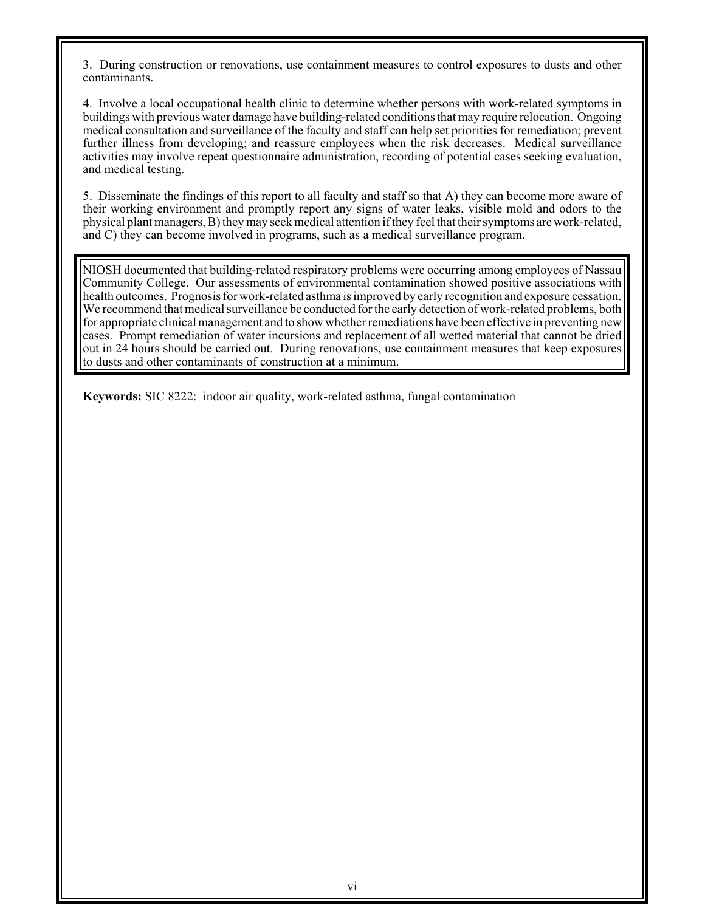3. During construction or renovations, use containment measures to control exposures to dusts and other contaminants.

4. Involve a local occupational health clinic to determine whether persons with work-related symptoms in buildings with previous water damage have building-related conditions that may require relocation. Ongoing medical consultation and surveillance of the faculty and staff can help set priorities for remediation; prevent further illness from developing; and reassure employees when the risk decreases. Medical surveillance activities may involve repeat questionnaire administration, recording of potential cases seeking evaluation, and medical testing.

5. Disseminate the findings of this report to all faculty and staff so that A) they can become more aware of their working environment and promptly report any signs of water leaks, visible mold and odors to the physical plant managers, B) they may seek medical attention if they feel that their symptoms are work-related, and C) they can become involved in programs, such as a medical surveillance program.

NIOSH documented that building-related respiratory problems were occurring among employees of Nassau Community College. Our assessments of environmental contamination showed positive associations with health outcomes. Prognosis for work-related asthma is improved by early recognition and exposure cessation. We recommend that medical surveillance be conducted for the early detection of work-related problems, both for appropriate clinical management and to show whether remediations have been effective in preventing new cases. Prompt remediation of water incursions and replacement of all wetted material that cannot be dried out in 24 hours should be carried out. During renovations, use containment measures that keep exposures to dusts and other contaminants of construction at a minimum.

**Keywords:** SIC 8222: indoor air quality, work-related asthma, fungal contamination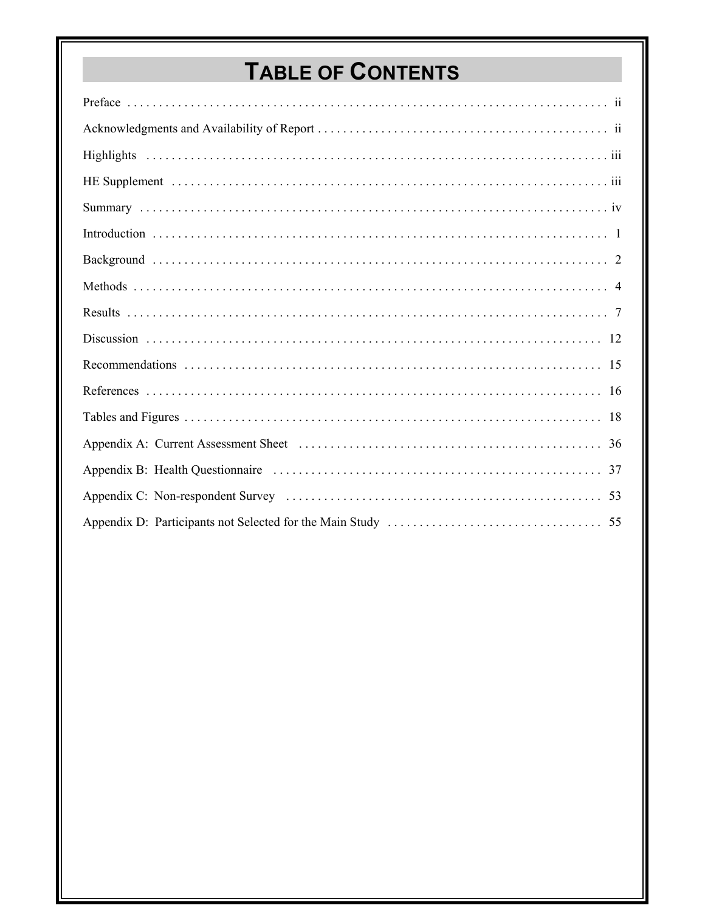# **TABLE OF CONTENTS**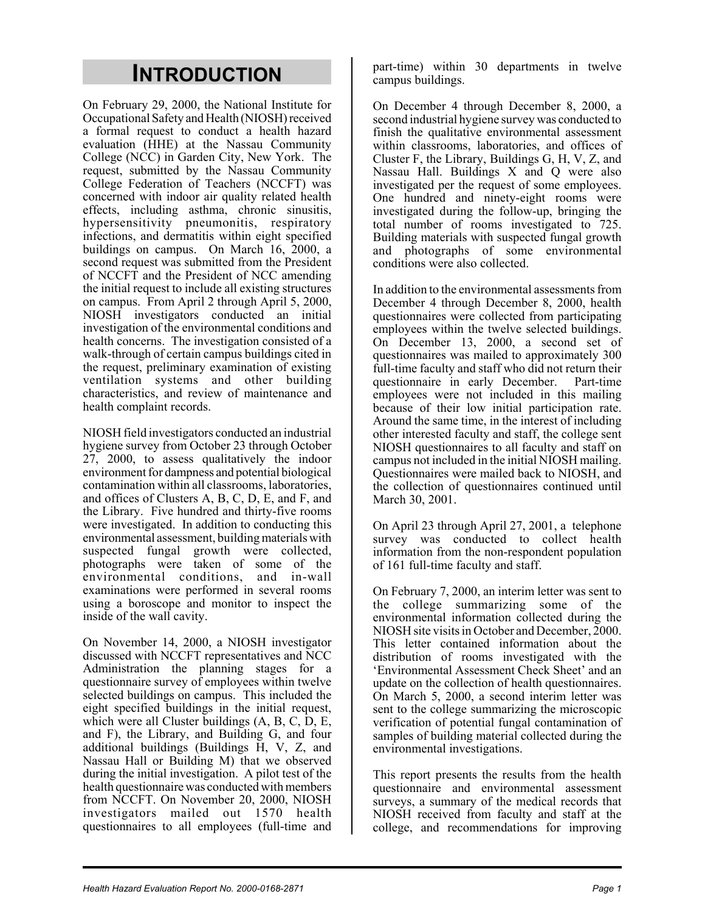# **INTRODUCTION**

On February 29, 2000, the National Institute for Occupational Safety and Health (NIOSH) received a formal request to conduct a health hazard evaluation (HHE) at the Nassau Community College (NCC) in Garden City, New York. The request, submitted by the Nassau Community College Federation of Teachers (NCCFT) was concerned with indoor air quality related health effects, including asthma, chronic sinusitis, hypersensitivity pneumonitis, respiratory infections, and dermatitis within eight specified buildings on campus. On March 16, 2000, a second request was submitted from the President of NCCFT and the President of NCC amending the initial request to include all existing structures on campus. From April 2 through April 5, 2000, NIOSH investigators conducted an initial investigation of the environmental conditions and health concerns. The investigation consisted of a walk-through of certain campus buildings cited in the request, preliminary examination of existing ventilation systems and other building characteristics, and review of maintenance and health complaint records.

NIOSH field investigators conducted an industrial hygiene survey from October 23 through October 27, 2000, to assess qualitatively the indoor environment for dampness and potential biological contamination within all classrooms, laboratories, and offices of Clusters A, B, C, D, E, and F, and the Library. Five hundred and thirty-five rooms were investigated. In addition to conducting this environmental assessment, building materials with suspected fungal growth were collected, photographs were taken of some of the environmental conditions, and in-wall examinations were performed in several rooms using a boroscope and monitor to inspect the inside of the wall cavity.

On November 14, 2000, a NIOSH investigator discussed with NCCFT representatives and NCC Administration the planning stages for a questionnaire survey of employees within twelve selected buildings on campus. This included the eight specified buildings in the initial request, which were all Cluster buildings (A, B, C, D, E, and F), the Library, and Building G, and four additional buildings (Buildings H, V, Z, and Nassau Hall or Building M) that we observed during the initial investigation. A pilot test of the health questionnaire was conducted with members from NCCFT. On November 20, 2000, NIOSH investigators mailed out 1570 health questionnaires to all employees (full-time and

part-time) within 30 departments in twelve campus buildings.

On December 4 through December 8, 2000, a second industrial hygiene survey was conducted to finish the qualitative environmental assessment within classrooms, laboratories, and offices of Cluster F, the Library, Buildings G, H, V, Z, and Nassau Hall. Buildings X and Q were also investigated per the request of some employees. One hundred and ninety-eight rooms were investigated during the follow-up, bringing the total number of rooms investigated to 725. Building materials with suspected fungal growth and photographs of some environmental conditions were also collected.

In addition to the environmental assessments from December 4 through December 8, 2000, health questionnaires were collected from participating employees within the twelve selected buildings. On December 13, 2000, a second set of questionnaires was mailed to approximately 300 full-time faculty and staff who did not return their questionnaire in early December. Part-time employees were not included in this mailing because of their low initial participation rate. Around the same time, in the interest of including other interested faculty and staff, the college sent NIOSH questionnaires to all faculty and staff on campus not included in the initial NIOSH mailing. Questionnaires were mailed back to NIOSH, and the collection of questionnaires continued until March 30, 2001.

On April 23 through April 27, 2001, a telephone survey was conducted to collect health information from the non-respondent population of 161 full-time faculty and staff.

On February 7, 2000, an interim letter was sent to the college summarizing some of the environmental information collected during the NIOSH site visits in October and December, 2000. This letter contained information about the distribution of rooms investigated with the 'Environmental Assessment Check Sheet' and an update on the collection of health questionnaires. On March 5, 2000, a second interim letter was sent to the college summarizing the microscopic verification of potential fungal contamination of samples of building material collected during the environmental investigations.

This report presents the results from the health questionnaire and environmental assessment surveys, a summary of the medical records that NIOSH received from faculty and staff at the college, and recommendations for improving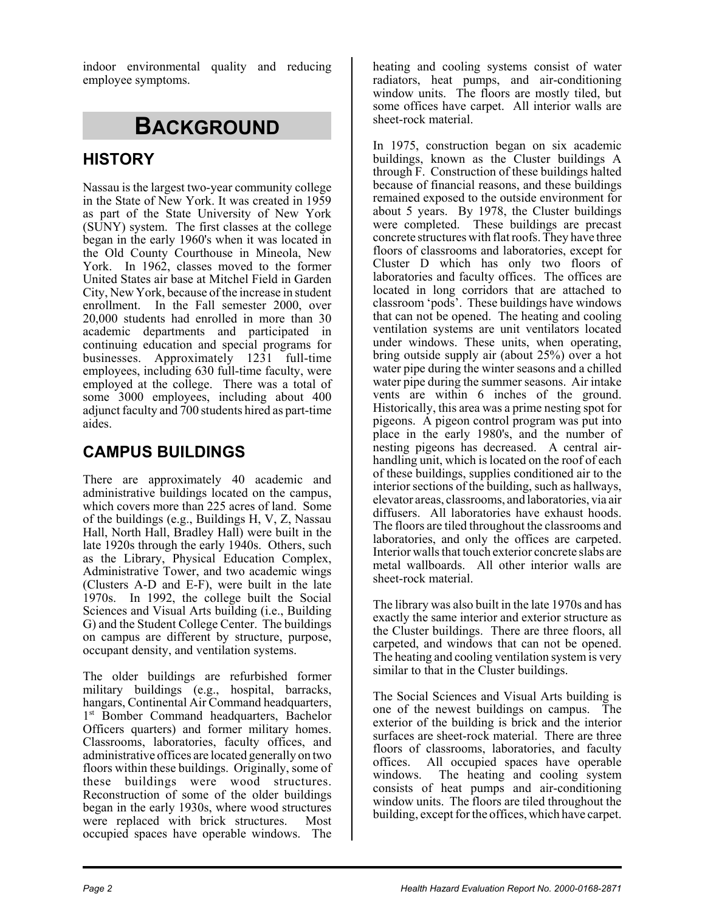indoor environmental quality and reducing employee symptoms.

# **BACKGROUND**

# **HISTORY**

Nassau is the largest two-year community college in the State of New York. It was created in 1959 as part of the State University of New York (SUNY) system. The first classes at the college began in the early 1960's when it was located in the Old County Courthouse in Mineola, New York. In 1962, classes moved to the former United States air base at Mitchel Field in Garden City, New York, because of the increase in student enrollment. In the Fall semester 2000, over 20,000 students had enrolled in more than 30 academic departments and participated in continuing education and special programs for businesses. Approximately 1231 full-time employees, including 630 full-time faculty, were employed at the college. There was a total of some 3000 employees, including about 400 adjunct faculty and 700 students hired as part-time aides.

# **CAMPUS BUILDINGS**

There are approximately 40 academic and administrative buildings located on the campus, which covers more than 225 acres of land. Some of the buildings (e.g., Buildings H, V, Z, Nassau Hall, North Hall, Bradley Hall) were built in the late 1920s through the early 1940s. Others, such as the Library, Physical Education Complex, Administrative Tower, and two academic wings (Clusters A-D and E-F), were built in the late 1970s. In 1992, the college built the Social Sciences and Visual Arts building (i.e., Building G) and the Student College Center. The buildings on campus are different by structure, purpose, occupant density, and ventilation systems.

The older buildings are refurbished former military buildings (e.g., hospital, barracks, hangars, Continental Air Command headquarters, 1<sup>st</sup> Bomber Command headquarters, Bachelor Officers quarters) and former military homes. Classrooms, laboratories, faculty offices, and administrative offices are located generally on two floors within these buildings. Originally, some of these buildings were wood structures. Reconstruction of some of the older buildings began in the early 1930s, where wood structures were replaced with brick structures. Most occupied spaces have operable windows. The

heating and cooling systems consist of water radiators, heat pumps, and air-conditioning window units. The floors are mostly tiled, but some offices have carpet. All interior walls are sheet-rock material.

In 1975, construction began on six academic buildings, known as the Cluster buildings A through F. Construction of these buildings halted because of financial reasons, and these buildings remained exposed to the outside environment for about 5 years. By 1978, the Cluster buildings were completed. These buildings are precast concrete structures with flat roofs. They have three floors of classrooms and laboratories, except for Cluster D which has only two floors of laboratories and faculty offices. The offices are located in long corridors that are attached to classroom 'pods'. These buildings have windows that can not be opened. The heating and cooling ventilation systems are unit ventilators located under windows. These units, when operating, bring outside supply air (about 25%) over a hot water pipe during the winter seasons and a chilled water pipe during the summer seasons. Air intake vents are within 6 inches of the ground. Historically, this area was a prime nesting spot for pigeons. A pigeon control program was put into place in the early 1980's, and the number of nesting pigeons has decreased. A central airhandling unit, which is located on the roof of each of these buildings, supplies conditioned air to the interior sections of the building, such as hallways, elevator areas, classrooms, and laboratories, via air diffusers. All laboratories have exhaust hoods. The floors are tiled throughout the classrooms and laboratories, and only the offices are carpeted. Interior walls that touch exterior concrete slabs are metal wallboards. All other interior walls are sheet-rock material.

The library was also built in the late 1970s and has exactly the same interior and exterior structure as the Cluster buildings. There are three floors, all carpeted, and windows that can not be opened. The heating and cooling ventilation system is very similar to that in the Cluster buildings.

The Social Sciences and Visual Arts building is one of the newest buildings on campus. The exterior of the building is brick and the interior surfaces are sheet-rock material. There are three floors of classrooms, laboratories, and faculty offices. All occupied spaces have operable windows. The heating and cooling system consists of heat pumps and air-conditioning window units. The floors are tiled throughout the building, except for the offices, which have carpet.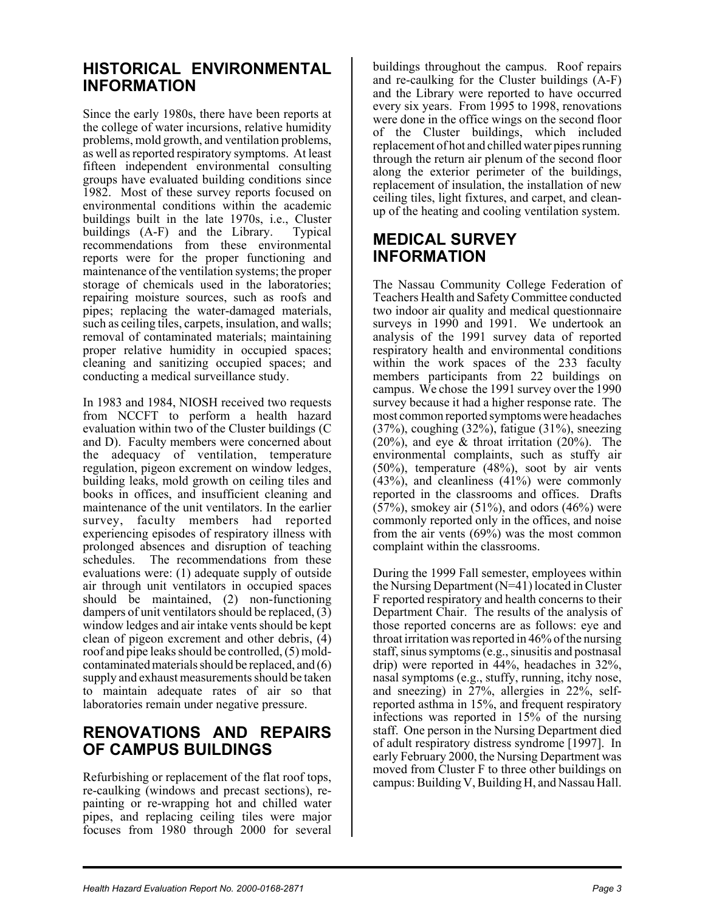### **HISTORICAL ENVIRONMENTAL INFORMATION**

Since the early 1980s, there have been reports at the college of water incursions, relative humidity problems, mold growth, and ventilation problems, as well as reported respiratory symptoms. At least fifteen independent environmental consulting groups have evaluated building conditions since 1982. Most of these survey reports focused on environmental conditions within the academic buildings built in the late 1970s, i.e., Cluster buildings (A-F) and the Library. Typical recommendations from these environmental reports were for the proper functioning and maintenance of the ventilation systems; the proper storage of chemicals used in the laboratories; repairing moisture sources, such as roofs and pipes; replacing the water-damaged materials, such as ceiling tiles, carpets, insulation, and walls; removal of contaminated materials; maintaining proper relative humidity in occupied spaces; cleaning and sanitizing occupied spaces; and conducting a medical surveillance study.

In 1983 and 1984, NIOSH received two requests from NCCFT to perform a health hazard evaluation within two of the Cluster buildings (C and D). Faculty members were concerned about the adequacy of ventilation, temperature regulation, pigeon excrement on window ledges, building leaks, mold growth on ceiling tiles and books in offices, and insufficient cleaning and maintenance of the unit ventilators. In the earlier survey, faculty members had reported experiencing episodes of respiratory illness with prolonged absences and disruption of teaching schedules. The recommendations from these evaluations were: (1) adequate supply of outside air through unit ventilators in occupied spaces should be maintained, (2) non-functioning dampers of unit ventilators should be replaced,  $(3)$ window ledges and air intake vents should be kept clean of pigeon excrement and other debris,  $(\hat{4})$ roof and pipe leaks should be controlled, (5) moldcontaminated materials should be replaced, and (6) supply and exhaust measurements should be taken to maintain adequate rates of air so that laboratories remain under negative pressure.

# **RENOVATIONS AND REPAIRS OF CAMPUS BUILDINGS**

Refurbishing or replacement of the flat roof tops, re-caulking (windows and precast sections), repainting or re-wrapping hot and chilled water pipes, and replacing ceiling tiles were major focuses from 1980 through 2000 for several

buildings throughout the campus. Roof repairs and re-caulking for the Cluster buildings (A-F) and the Library were reported to have occurred every six years. From 1995 to 1998, renovations were done in the office wings on the second floor of the Cluster buildings, which included replacement of hot and chilled water pipes running through the return air plenum of the second floor along the exterior perimeter of the buildings, replacement of insulation, the installation of new ceiling tiles, light fixtures, and carpet, and cleanup of the heating and cooling ventilation system.

# **MEDICAL SURVEY INFORMATION**

The Nassau Community College Federation of Teachers Health and Safety Committee conducted two indoor air quality and medical questionnaire surveys in 1990 and 1991. We undertook an analysis of the 1991 survey data of reported respiratory health and environmental conditions within the work spaces of the 233 faculty members participants from 22 buildings on campus. We chose the 1991 survey over the 1990 survey because it had a higher response rate. The most common reported symptoms were headaches (37%), coughing (32%), fatigue (31%), sneezing (20%), and eye & throat irritation (20%). The environmental complaints, such as stuffy air (50%), temperature (48%), soot by air vents  $(43%)$ , and cleanliness  $(41%)$  were commonly reported in the classrooms and offices. Drafts  $(57%)$ , smokey air  $(51%)$ , and odors  $(46%)$  were commonly reported only in the offices, and noise from the air vents  $(69\%)$  was the most common complaint within the classrooms.

During the 1999 Fall semester, employees within the Nursing Department (N=41) located in Cluster F reported respiratory and health concerns to their Department Chair. The results of the analysis of those reported concerns are as follows: eye and throat irritation was reported in 46% of the nursing staff, sinus symptoms (e.g., sinusitis and postnasal drip) were reported in 44%, headaches in 32%, nasal symptoms (e.g., stuffy, running, itchy nose, and sneezing) in 27%, allergies in 22%, selfreported asthma in 15%, and frequent respiratory infections was reported in 15% of the nursing staff. One person in the Nursing Department died of adult respiratory distress syndrome [1997]. In early February 2000, the Nursing Department was moved from Cluster F to three other buildings on campus: Building V, Building H, and Nassau Hall.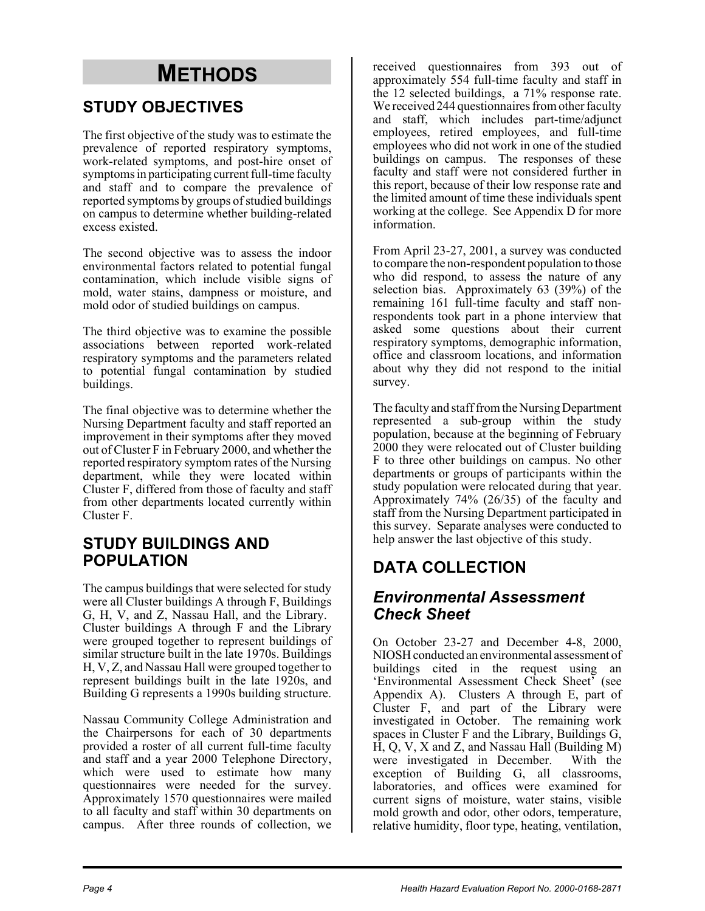# **METHODS**

# **STUDY OBJECTIVES**

The first objective of the study was to estimate the prevalence of reported respiratory symptoms, work-related symptoms, and post-hire onset of symptoms in participating current full-time faculty and staff and to compare the prevalence of reported symptoms by groups of studied buildings on campus to determine whether building-related excess existed.

The second objective was to assess the indoor environmental factors related to potential fungal contamination, which include visible signs of mold, water stains, dampness or moisture, and mold odor of studied buildings on campus.

The third objective was to examine the possible associations between reported work-related respiratory symptoms and the parameters related to potential fungal contamination by studied buildings.

The final objective was to determine whether the Nursing Department faculty and staff reported an improvement in their symptoms after they moved out of Cluster F in February 2000, and whether the reported respiratory symptom rates of the Nursing department, while they were located within Cluster F, differed from those of faculty and staff from other departments located currently within Cluster F.

### **STUDY BUILDINGS AND POPULATION**

The campus buildings that were selected for study were all Cluster buildings A through F, Buildings G, H, V, and Z, Nassau Hall, and the Library. Cluster buildings A through F and the Library were grouped together to represent buildings of similar structure built in the late 1970s. Buildings H, V, Z, and Nassau Hall were grouped together to represent buildings built in the late 1920s, and Building G represents a 1990s building structure.

Nassau Community College Administration and the Chairpersons for each of 30 departments provided a roster of all current full-time faculty and staff and a year 2000 Telephone Directory, which were used to estimate how many questionnaires were needed for the survey. Approximately 1570 questionnaires were mailed to all faculty and staff within 30 departments on campus. After three rounds of collection, we

received questionnaires from 393 out of approximately 554 full-time faculty and staff in the 12 selected buildings, a 71% response rate. We received 244 questionnaires from other faculty and staff, which includes part-time/adjunct employees, retired employees, and full-time employees who did not work in one of the studied buildings on campus. The responses of these faculty and staff were not considered further in this report, because of their low response rate and the limited amount of time these individuals spent working at the college. See Appendix D for more information.

From April 23-27, 2001, a survey was conducted to compare the non-respondent population to those who did respond, to assess the nature of any selection bias. Approximately 63 (39%) of the remaining 161 full-time faculty and staff nonrespondents took part in a phone interview that asked some questions about their current respiratory symptoms, demographic information, office and classroom locations, and information about why they did not respond to the initial survey.

The faculty and staff from the Nursing Department represented a sub-group within the study population, because at the beginning of February 2000 they were relocated out of Cluster building F to three other buildings on campus. No other departments or groups of participants within the study population were relocated during that year. Approximately 74% (26/35) of the faculty and staff from the Nursing Department participated in this survey. Separate analyses were conducted to help answer the last objective of this study.

# **DATA COLLECTION**

# *Environmental Assessment Check Sheet*

On October 23-27 and December 4-8, 2000, NIOSH conducted an environmental assessment of buildings cited in the request using an 'Environmental Assessment Check Sheet' (see Appendix A). Clusters A through E, part of Cluster F, and part of the Library were investigated in October. The remaining work spaces in Cluster F and the Library, Buildings G, H, Q, V, X and Z, and Nassau Hall (Building M) were investigated in December. With the exception of Building G, all classrooms, laboratories, and offices were examined for current signs of moisture, water stains, visible mold growth and odor, other odors, temperature, relative humidity, floor type, heating, ventilation,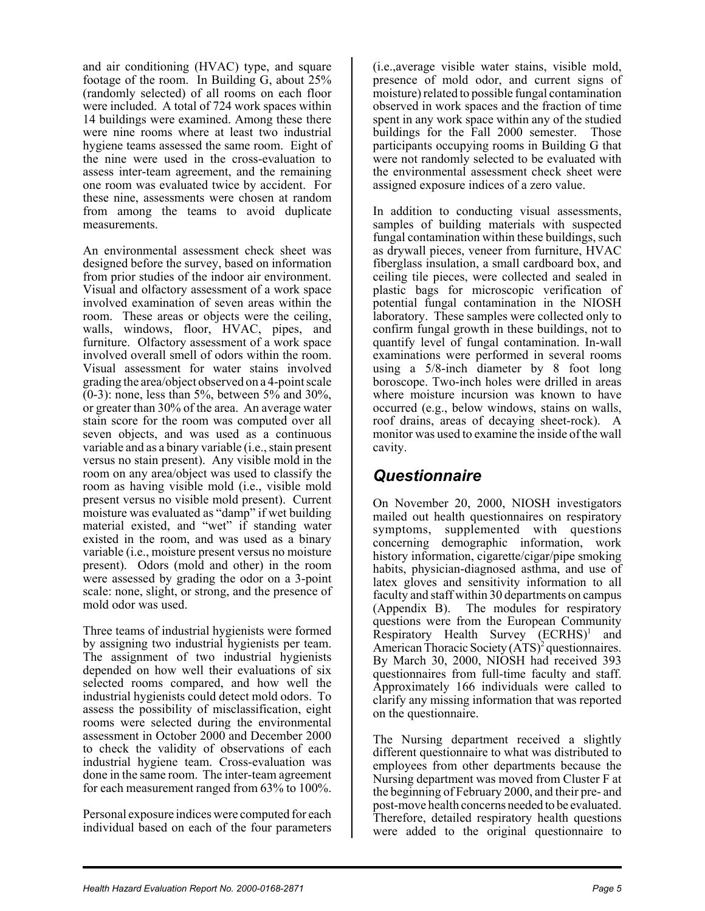and air conditioning (HVAC) type, and square footage of the room. In Building G, about 25% (randomly selected) of all rooms on each floor were included. A total of 724 work spaces within 14 buildings were examined. Among these there were nine rooms where at least two industrial hygiene teams assessed the same room. Eight of the nine were used in the cross-evaluation to assess inter-team agreement, and the remaining one room was evaluated twice by accident. For these nine, assessments were chosen at random from among the teams to avoid duplicate measurements.

An environmental assessment check sheet was designed before the survey, based on information from prior studies of the indoor air environment. Visual and olfactory assessment of a work space involved examination of seven areas within the room. These areas or objects were the ceiling, walls, windows, floor, HVAC, pipes, and furniture. Olfactory assessment of a work space involved overall smell of odors within the room. Visual assessment for water stains involved grading the area/object observed on a 4-point scale  $(0-3)$ : none, less than 5%, between 5% and 30%, or greater than 30% of the area. An average water stain score for the room was computed over all seven objects, and was used as a continuous variable and as a binary variable (i.e., stain present versus no stain present). Any visible mold in the room on any area/object was used to classify the room as having visible mold (i.e., visible mold present versus no visible mold present). Current moisture was evaluated as "damp" if wet building material existed, and "wet" if standing water existed in the room, and was used as a binary variable (i.e., moisture present versus no moisture present). Odors (mold and other) in the room were assessed by grading the odor on a 3-point scale: none, slight, or strong, and the presence of mold odor was used.

Three teams of industrial hygienists were formed by assigning two industrial hygienists per team. The assignment of two industrial hygienists depended on how well their evaluations of six selected rooms compared, and how well the industrial hygienists could detect mold odors. To assess the possibility of misclassification, eight rooms were selected during the environmental assessment in October 2000 and December 2000 to check the validity of observations of each industrial hygiene team. Cross-evaluation was done in the same room. The inter-team agreement for each measurement ranged from 63% to 100%.

Personal exposure indices were computed for each individual based on each of the four parameters

(i.e.,average visible water stains, visible mold, presence of mold odor, and current signs of moisture) related to possible fungal contamination observed in work spaces and the fraction of time spent in any work space within any of the studied buildings for the Fall 2000 semester. Those participants occupying rooms in Building G that were not randomly selected to be evaluated with the environmental assessment check sheet were assigned exposure indices of a zero value.

In addition to conducting visual assessments, samples of building materials with suspected fungal contamination within these buildings, such as drywall pieces, veneer from furniture, HVAC fiberglass insulation, a small cardboard box, and ceiling tile pieces, were collected and sealed in plastic bags for microscopic verification of potential fungal contamination in the NIOSH laboratory. These samples were collected only to confirm fungal growth in these buildings, not to quantify level of fungal contamination. In-wall examinations were performed in several rooms using a 5/8-inch diameter by 8 foot long boroscope. Two-inch holes were drilled in areas where moisture incursion was known to have occurred (e.g., below windows, stains on walls, roof drains, areas of decaying sheet-rock). A monitor was used to examine the inside of the wall cavity.

# *Questionnaire*

On November 20, 2000, NIOSH investigators mailed out health questionnaires on respiratory symptoms, supplemented with questions concerning demographic information, work history information, cigarette/cigar/pipe smoking habits, physician-diagnosed asthma, and use of latex gloves and sensitivity information to all faculty and staff within 30 departments on campus (Appendix B). The modules for respiratory questions were from the European Community  $\text{Respiratory}$  Health Survey  $(\text{ECRHS})^1$  and American Thoracic Society (ATS)<sup>2</sup> questionnaires. By March 30, 2000, NIOSH had received 393 questionnaires from full-time faculty and staff. Approximately 166 individuals were called to clarify any missing information that was reported on the questionnaire.

The Nursing department received a slightly different questionnaire to what was distributed to employees from other departments because the Nursing department was moved from Cluster F at the beginning of February 2000, and their pre- and post-move health concerns needed to be evaluated. Therefore, detailed respiratory health questions were added to the original questionnaire to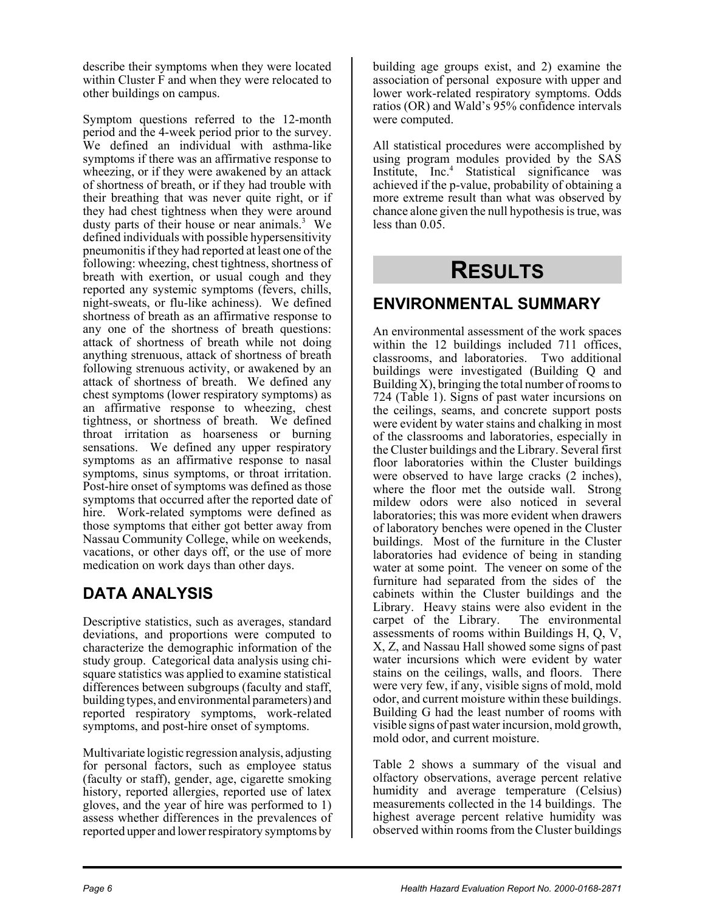describe their symptoms when they were located within Cluster F and when they were relocated to other buildings on campus.

Symptom questions referred to the 12-month period and the 4-week period prior to the survey. We defined an individual with asthma-like symptoms if there was an affirmative response to wheezing, or if they were awakened by an attack of shortness of breath, or if they had trouble with their breathing that was never quite right, or if they had chest tightness when they were around dusty parts of their house or near animals.<sup>3</sup> We defined individuals with possible hypersensitivity pneumonitis if they had reported at least one of the following: wheezing, chest tightness, shortness of breath with exertion, or usual cough and they reported any systemic symptoms (fevers, chills, night-sweats, or flu-like achiness). We defined shortness of breath as an affirmative response to any one of the shortness of breath questions: attack of shortness of breath while not doing anything strenuous, attack of shortness of breath following strenuous activity, or awakened by an attack of shortness of breath. We defined any chest symptoms (lower respiratory symptoms) as an affirmative response to wheezing, chest tightness, or shortness of breath. We defined throat irritation as hoarseness or burning sensations. We defined any upper respiratory symptoms as an affirmative response to nasal symptoms, sinus symptoms, or throat irritation. Post-hire onset of symptoms was defined as those symptoms that occurred after the reported date of hire. Work-related symptoms were defined as those symptoms that either got better away from Nassau Community College, while on weekends, vacations, or other days off, or the use of more medication on work days than other days.

# **DATA ANALYSIS**

Descriptive statistics, such as averages, standard deviations, and proportions were computed to characterize the demographic information of the study group. Categorical data analysis using chisquare statistics was applied to examine statistical differences between subgroups (faculty and staff, building types, and environmental parameters) and reported respiratory symptoms, work-related symptoms, and post-hire onset of symptoms.

Multivariate logistic regression analysis, adjusting for personal factors, such as employee status (faculty or staff), gender, age, cigarette smoking history, reported allergies, reported use of latex gloves, and the year of hire was performed to 1) assess whether differences in the prevalences of reported upper and lower respiratory symptoms by

building age groups exist, and 2) examine the association of personal exposure with upper and lower work-related respiratory symptoms. Odds ratios (OR) and Wald's 95% confidence intervals were computed.

All statistical procedures were accomplished by using program modules provided by the SAS Institute, Inc.4 Statistical significance was achieved if the p-value, probability of obtaining a more extreme result than what was observed by chance alone given the null hypothesis is true, was less than 0.05.

# **RESULTS**

# **ENVIRONMENTAL SUMMARY**

An environmental assessment of the work spaces within the 12 buildings included 711 offices, classrooms, and laboratories. Two additional buildings were investigated (Building Q and Building X), bringing the total number of rooms to 724 (Table 1). Signs of past water incursions on the ceilings, seams, and concrete support posts were evident by water stains and chalking in most of the classrooms and laboratories, especially in the Cluster buildings and the Library. Several first floor laboratories within the Cluster buildings were observed to have large cracks (2 inches), where the floor met the outside wall. Strong mildew odors were also noticed in several laboratories; this was more evident when drawers of laboratory benches were opened in the Cluster buildings. Most of the furniture in the Cluster laboratories had evidence of being in standing water at some point. The veneer on some of the furniture had separated from the sides of the cabinets within the Cluster buildings and the Library. Heavy stains were also evident in the carpet of the Library. The environmental assessments of rooms within Buildings H, Q, V, X, Z, and Nassau Hall showed some signs of past water incursions which were evident by water stains on the ceilings, walls, and floors. There were very few, if any, visible signs of mold, mold odor, and current moisture within these buildings. Building G had the least number of rooms with visible signs of past water incursion, mold growth, mold odor, and current moisture.

Table 2 shows a summary of the visual and olfactory observations, average percent relative humidity and average temperature (Celsius) measurements collected in the 14 buildings. The highest average percent relative humidity was observed within rooms from the Cluster buildings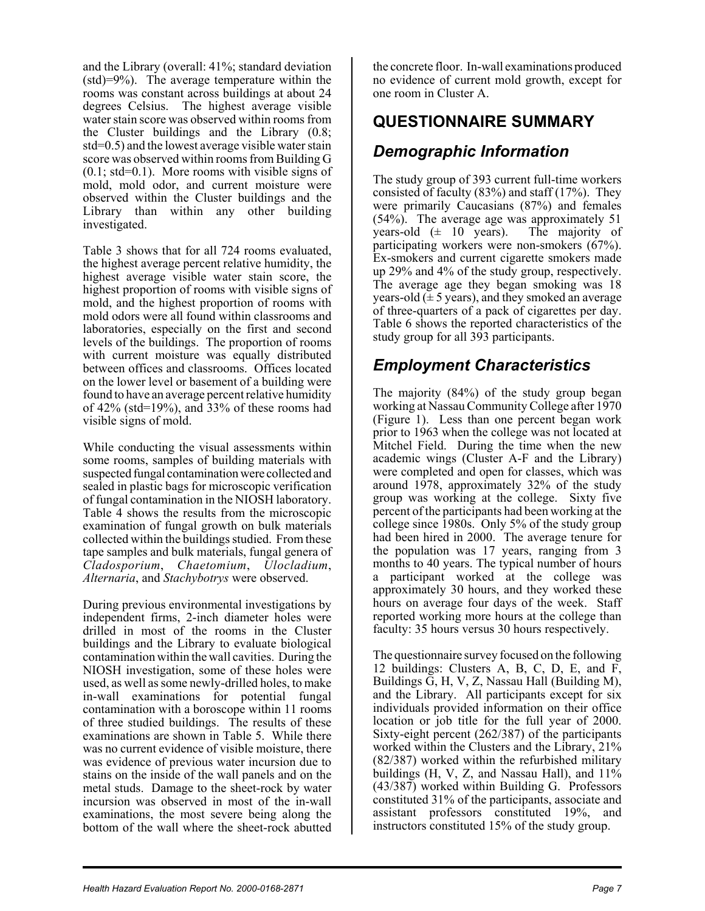and the Library (overall: 41%; standard deviation (std)=9%). The average temperature within the rooms was constant across buildings at about 24 degrees Celsius. The highest average visible water stain score was observed within rooms from the Cluster buildings and the Library (0.8; std=0.5) and the lowest average visible water stain score was observed within rooms from Building G  $(0.1; std=0.1)$ . More rooms with visible signs of mold, mold odor, and current moisture were observed within the Cluster buildings and the Library than within any other building investigated.

Table 3 shows that for all 724 rooms evaluated, the highest average percent relative humidity, the highest average visible water stain score, the highest proportion of rooms with visible signs of mold, and the highest proportion of rooms with mold odors were all found within classrooms and laboratories, especially on the first and second levels of the buildings. The proportion of rooms with current moisture was equally distributed between offices and classrooms. Offices located on the lower level or basement of a building were found to have an average percent relative humidity of 42% (std=19%), and 33% of these rooms had visible signs of mold.

While conducting the visual assessments within some rooms, samples of building materials with suspected fungal contamination were collected and sealed in plastic bags for microscopic verification of fungal contamination in the NIOSH laboratory. Table 4 shows the results from the microscopic examination of fungal growth on bulk materials collected within the buildings studied. From these tape samples and bulk materials, fungal genera of *Cladosporium*, *Chaetomium*, *Ulocladium*, *Alternaria*, and *Stachybotrys* were observed.

During previous environmental investigations by independent firms, 2-inch diameter holes were drilled in most of the rooms in the Cluster buildings and the Library to evaluate biological contamination within the wall cavities. During the NIOSH investigation, some of these holes were used, as well as some newly-drilled holes, to make in-wall examinations for potential fungal contamination with a boroscope within 11 rooms of three studied buildings. The results of these examinations are shown in Table 5. While there was no current evidence of visible moisture, there was evidence of previous water incursion due to stains on the inside of the wall panels and on the metal studs. Damage to the sheet-rock by water incursion was observed in most of the in-wall examinations, the most severe being along the bottom of the wall where the sheet-rock abutted

the concrete floor. In-wall examinations produced no evidence of current mold growth, except for one room in Cluster A.

# **QUESTIONNAIRE SUMMARY**

# *Demographic Information*

The study group of 393 current full-time workers consisted of faculty (83%) and staff (17%). They were primarily Caucasians (87%) and females (54%). The average age was approximately 51 years-old  $(± 10 \text{ years})$ . The majority of participating workers were non-smokers (67%). Ex-smokers and current cigarette smokers made up 29% and 4% of the study group, respectively. The average age they began smoking was 18 years-old  $(\pm 5 \text{ years})$ , and they smoked an average of three-quarters of a pack of cigarettes per day. Table 6 shows the reported characteristics of the study group for all 393 participants.

# *Employment Characteristics*

The majority (84%) of the study group began working at Nassau Community College after 1970 (Figure 1). Less than one percent began work prior to 1963 when the college was not located at Mitchel Field. During the time when the new academic wings (Cluster A-F and the Library) were completed and open for classes, which was around 1978, approximately 32% of the study group was working at the college. Sixty five percent of the participants had been working at the college since 1980s. Only 5% of the study group had been hired in 2000. The average tenure for the population was 17 years, ranging from 3 months to 40 years. The typical number of hours a participant worked at the college was approximately 30 hours, and they worked these hours on average four days of the week. Staff reported working more hours at the college than faculty: 35 hours versus 30 hours respectively.

The questionnaire survey focused on the following 12 buildings: Clusters A, B, C, D, E, and F, Buildings G, H, V, Z, Nassau Hall (Building M), and the Library. All participants except for six individuals provided information on their office location or job title for the full year of 2000. Sixty-eight percent (262/387) of the participants worked within the Clusters and the Library, 21% (82/387) worked within the refurbished military buildings (H, V, Z, and Nassau Hall), and 11% (43/387) worked within Building G. Professors constituted 31% of the participants, associate and assistant professors constituted 19%, and instructors constituted 15% of the study group.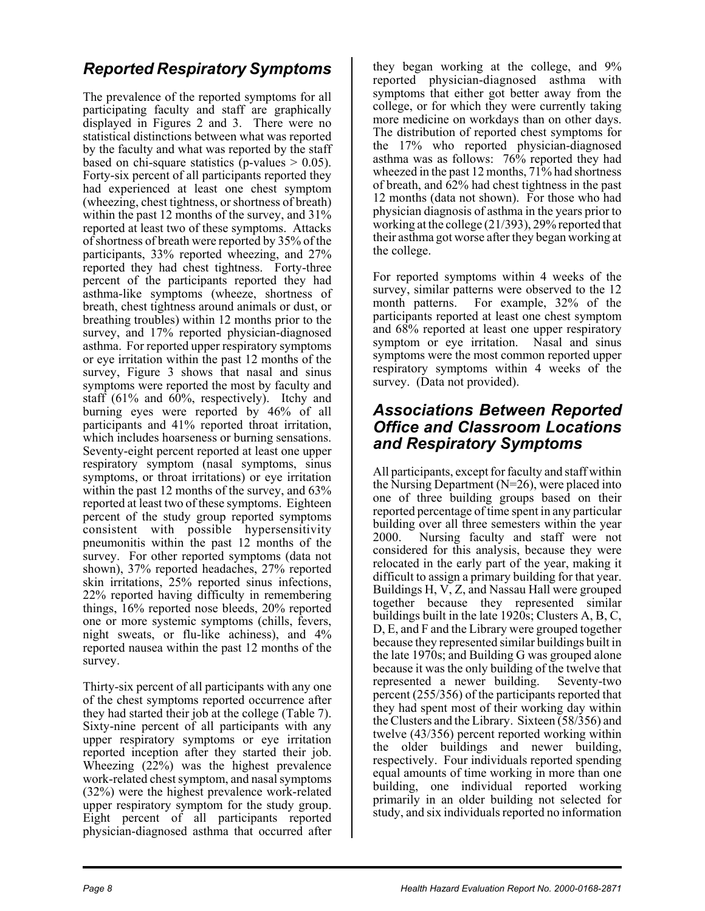# *Reported Respiratory Symptoms*

The prevalence of the reported symptoms for all participating faculty and staff are graphically displayed in Figures 2 and 3. There were no statistical distinctions between what was reported by the faculty and what was reported by the staff based on chi-square statistics (p-values  $> 0.05$ ). Forty-six percent of all participants reported they had experienced at least one chest symptom (wheezing, chest tightness, or shortness of breath) within the past 12 months of the survey, and 31% reported at least two of these symptoms. Attacks of shortness of breath were reported by 35% of the participants, 33% reported wheezing, and 27% reported they had chest tightness. Forty-three percent of the participants reported they had asthma-like symptoms (wheeze, shortness of breath, chest tightness around animals or dust, or breathing troubles) within 12 months prior to the survey, and 17% reported physician-diagnosed asthma. For reported upper respiratory symptoms or eye irritation within the past 12 months of the survey, Figure 3 shows that nasal and sinus symptoms were reported the most by faculty and staff (61% and 60%, respectively). Itchy and burning eyes were reported by 46% of all participants and 41% reported throat irritation, which includes hoarseness or burning sensations. Seventy-eight percent reported at least one upper respiratory symptom (nasal symptoms, sinus symptoms, or throat irritations) or eye irritation within the past 12 months of the survey, and 63% reported at least two of these symptoms. Eighteen percent of the study group reported symptoms consistent with possible hypersensitivity pneumonitis within the past 12 months of the survey. For other reported symptoms (data not shown), 37% reported headaches, 27% reported skin irritations, 25% reported sinus infections, 22% reported having difficulty in remembering things, 16% reported nose bleeds, 20% reported one or more systemic symptoms (chills, fevers, night sweats, or flu-like achiness), and 4% reported nausea within the past 12 months of the survey.

Thirty-six percent of all participants with any one of the chest symptoms reported occurrence after they had started their job at the college (Table 7). Sixty-nine percent of all participants with any upper respiratory symptoms or eye irritation reported inception after they started their job. Wheezing (22%) was the highest prevalence work-related chest symptom, and nasal symptoms (32%) were the highest prevalence work-related upper respiratory symptom for the study group. Eight percent of all participants reported physician-diagnosed asthma that occurred after

they began working at the college, and 9% reported physician-diagnosed asthma with symptoms that either got better away from the college, or for which they were currently taking more medicine on workdays than on other days. The distribution of reported chest symptoms for the 17% who reported physician-diagnosed asthma was as follows: 76% reported they had wheezed in the past 12 months, 71% had shortness of breath, and 62% had chest tightness in the past 12 months (data not shown). For those who had physician diagnosis of asthma in the years prior to working at the college (21/393), 29% reported that their asthma got worse after they began working at the college.

For reported symptoms within 4 weeks of the survey, similar patterns were observed to the 12 month patterns. For example, 32% of the participants reported at least one chest symptom and 68% reported at least one upper respiratory symptom or eye irritation. Nasal and sinus symptoms were the most common reported upper respiratory symptoms within 4 weeks of the survey. (Data not provided).

# *Associations Between Reported Office and Classroom Locations and Respiratory Symptoms*

All participants, except for faculty and staff within the Nursing Department ( $N=26$ ), were placed into one of three building groups based on their reported percentage of time spent in any particular building over all three semesters within the year 2000. Nursing faculty and staff were not considered for this analysis, because they were relocated in the early part of the year, making it difficult to assign a primary building for that year. Buildings H, V, Z, and Nassau Hall were grouped together because they represented similar buildings built in the late 1920s; Clusters A, B, C, D, E, and F and the Library were grouped together because they represented similar buildings built in the late 1970s; and Building G was grouped alone because it was the only building of the twelve that represented a newer building. Seventy-two percent (255/356) of the participants reported that they had spent most of their working day within the Clusters and the Library. Sixteen (58/356) and twelve (43/356) percent reported working within the older buildings and newer building, respectively. Four individuals reported spending equal amounts of time working in more than one building, one individual reported working primarily in an older building not selected for study, and six individuals reported no information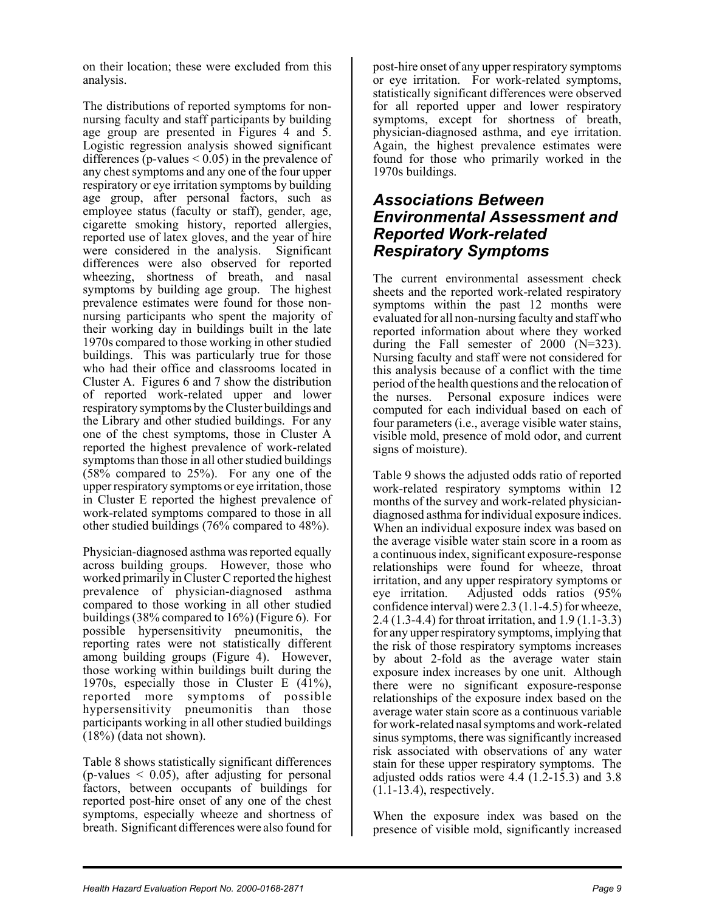on their location; these were excluded from this analysis.

The distributions of reported symptoms for nonnursing faculty and staff participants by building age group are presented in Figures 4 and 5. Logistic regression analysis showed significant differences (p-values  $< 0.05$ ) in the prevalence of any chest symptoms and any one of the four upper respiratory or eye irritation symptoms by building age group, after personal factors, such as employee status (faculty or staff), gender, age, cigarette smoking history, reported allergies, reported use of latex gloves, and the year of hire were considered in the analysis. Significant differences were also observed for reported wheezing, shortness of breath, and nasal symptoms by building age group. The highest prevalence estimates were found for those nonnursing participants who spent the majority of their working day in buildings built in the late 1970s compared to those working in other studied buildings. This was particularly true for those who had their office and classrooms located in Cluster A. Figures 6 and 7 show the distribution of reported work-related upper and lower respiratory symptoms by the Cluster buildings and the Library and other studied buildings. For any one of the chest symptoms, those in Cluster A reported the highest prevalence of work-related symptoms than those in all other studied buildings (58% compared to 25%). For any one of the upper respiratory symptoms or eye irritation, those in Cluster E reported the highest prevalence of work-related symptoms compared to those in all other studied buildings (76% compared to 48%).

Physician-diagnosed asthma was reported equally across building groups. However, those who worked primarily in Cluster C reported the highest prevalence of physician-diagnosed asthma compared to those working in all other studied buildings (38% compared to 16%) (Figure 6). For possible hypersensitivity pneumonitis, the reporting rates were not statistically different among building groups (Figure 4). However, those working within buildings built during the 1970s, especially those in Cluster E (41%), reported more symptoms of possible hypersensitivity pneumonitis than those participants working in all other studied buildings (18%) (data not shown).

Table 8 shows statistically significant differences  $(p\n-values < 0.05)$ , after adjusting for personal factors, between occupants of buildings for reported post-hire onset of any one of the chest symptoms, especially wheeze and shortness of breath. Significant differences were also found for

post-hire onset of any upper respiratory symptoms or eye irritation. For work-related symptoms, statistically significant differences were observed for all reported upper and lower respiratory symptoms, except for shortness of breath, physician-diagnosed asthma, and eye irritation. Again, the highest prevalence estimates were found for those who primarily worked in the 1970s buildings.

### *Associations Between Environmental Assessment and Reported Work-related Respiratory Symptoms*

The current environmental assessment check sheets and the reported work-related respiratory symptoms within the past 12 months were evaluated for all non-nursing faculty and staff who reported information about where they worked during the Fall semester of 2000 (N=323). Nursing faculty and staff were not considered for this analysis because of a conflict with the time period of the health questions and the relocation of the nurses. Personal exposure indices were computed for each individual based on each of four parameters (i.e., average visible water stains, visible mold, presence of mold odor, and current signs of moisture).

Table 9 shows the adjusted odds ratio of reported work-related respiratory symptoms within 12 months of the survey and work-related physiciandiagnosed asthma for individual exposure indices. When an individual exposure index was based on the average visible water stain score in a room as a continuous index, significant exposure-response relationships were found for wheeze, throat irritation, and any upper respiratory symptoms or eye irritation. Adjusted odds ratios (95% confidence interval) were 2.3 (1.1-4.5) for wheeze, 2.4 (1.3-4.4) for throat irritation, and 1.9 (1.1-3.3) for any upper respiratory symptoms, implying that the risk of those respiratory symptoms increases by about 2-fold as the average water stain exposure index increases by one unit. Although there were no significant exposure-response relationships of the exposure index based on the average water stain score as a continuous variable for work-related nasal symptoms and work-related sinus symptoms, there was significantly increased risk associated with observations of any water stain for these upper respiratory symptoms. The adjusted odds ratios were 4.4 (1.2-15.3) and 3.8 (1.1-13.4), respectively.

When the exposure index was based on the presence of visible mold, significantly increased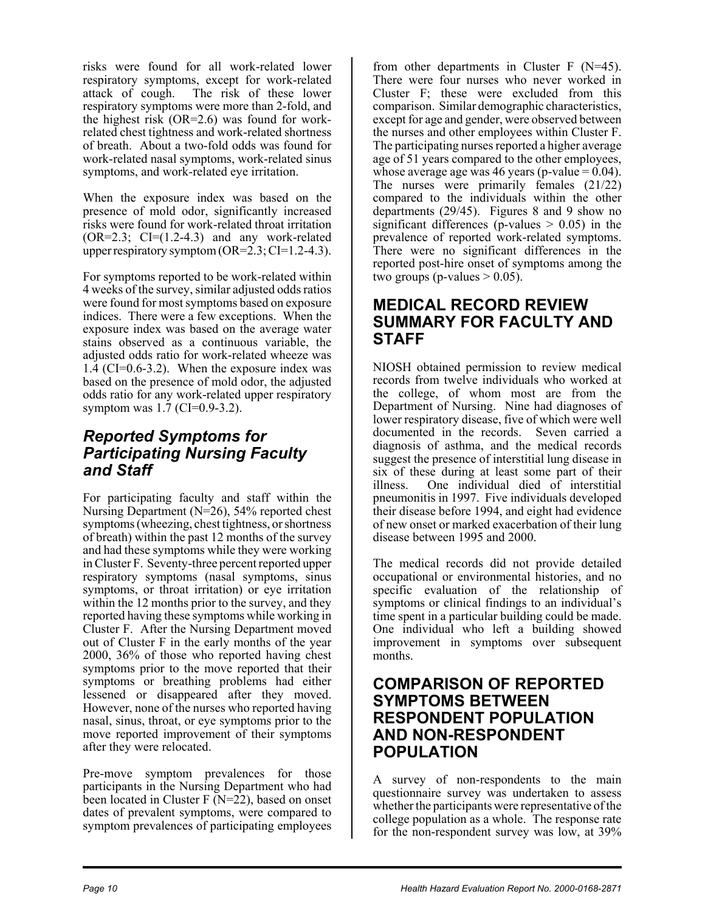risks were found for all work-related lower respiratory symptoms, except for work-related attack of cough. The risk of these lower respiratory symptoms were more than 2-fold, and the highest risk (OR=2.6) was found for workrelated chest tightness and work-related shortness of breath. About a two-fold odds was found for work-related nasal symptoms, work-related sinus symptoms, and work-related eye irritation.

When the exposure index was based on the presence of mold odor, significantly increased risks were found for work-related throat irritation  $(OR=2.3; CI=(1.2-4.3)$  and any work-related upper respiratory symptom  $(OR=2.3; CI=1.2-4.3)$ .

For symptoms reported to be work-related within 4 weeks of the survey, similar adjusted odds ratios were found for most symptoms based on exposure indices. There were a few exceptions. When the exposure index was based on the average water stains observed as a continuous variable, the adjusted odds ratio for work-related wheeze was 1.4 (CI=0.6-3.2). When the exposure index was based on the presence of mold odor, the adjusted odds ratio for any work-related upper respiratory symptom was 1.7 (CI=0.9-3.2).

# *Reported Symptoms for Participating Nursing Faculty and Staff*

For participating faculty and staff within the Nursing Department (N=26), 54% reported chest symptoms (wheezing, chest tightness, or shortness of breath) within the past 12 months of the survey and had these symptoms while they were working in Cluster F. Seventy-three percent reported upper respiratory symptoms (nasal symptoms, sinus symptoms, or throat irritation) or eye irritation within the 12 months prior to the survey, and they reported having these symptoms while working in Cluster F. After the Nursing Department moved out of Cluster F in the early months of the year 2000, 36% of those who reported having chest symptoms prior to the move reported that their symptoms or breathing problems had either lessened or disappeared after they moved. However, none of the nurses who reported having nasal, sinus, throat, or eye symptoms prior to the move reported improvement of their symptoms after they were relocated.

Pre-move symptom prevalences for those participants in the Nursing Department who had been located in Cluster F (N=22), based on onset dates of prevalent symptoms, were compared to symptom prevalences of participating employees

from other departments in Cluster F (N=45). There were four nurses who never worked in Cluster F; these were excluded from this comparison. Similar demographic characteristics, except for age and gender, were observed between the nurses and other employees within Cluster F. The participating nurses reported a higher average age of 51 years compared to the other employees, whose average age was 46 years (p-value  $= 0.04$ ). The nurses were primarily females (21/22) compared to the individuals within the other departments (29/45). Figures 8 and 9 show no significant differences (p-values  $> 0.05$ ) in the prevalence of reported work-related symptoms. There were no significant differences in the reported post-hire onset of symptoms among the two groups (p-values  $> 0.05$ ).

# **MEDICAL RECORD REVIEW SUMMARY FOR FACULTY AND STAFF**

NIOSH obtained permission to review medical records from twelve individuals who worked at the college, of whom most are from the Department of Nursing. Nine had diagnoses of lower respiratory disease, five of which were well documented in the records. Seven carried a diagnosis of asthma, and the medical records suggest the presence of interstitial lung disease in six of these during at least some part of their illness. One individual died of interstitial pneumonitis in 1997. Five individuals developed their disease before 1994, and eight had evidence of new onset or marked exacerbation of their lung disease between 1995 and 2000.

The medical records did not provide detailed occupational or environmental histories, and no specific evaluation of the relationship of symptoms or clinical findings to an individual's time spent in a particular building could be made. One individual who left a building showed improvement in symptoms over subsequent months.

### **COMPARISON OF REPORTED SYMPTOMS BETWEEN RESPONDENT POPULATION AND NON-RESPONDENT POPULATION**

A survey of non-respondents to the main questionnaire survey was undertaken to assess whether the participants were representative of the college population as a whole. The response rate for the non-respondent survey was low, at 39%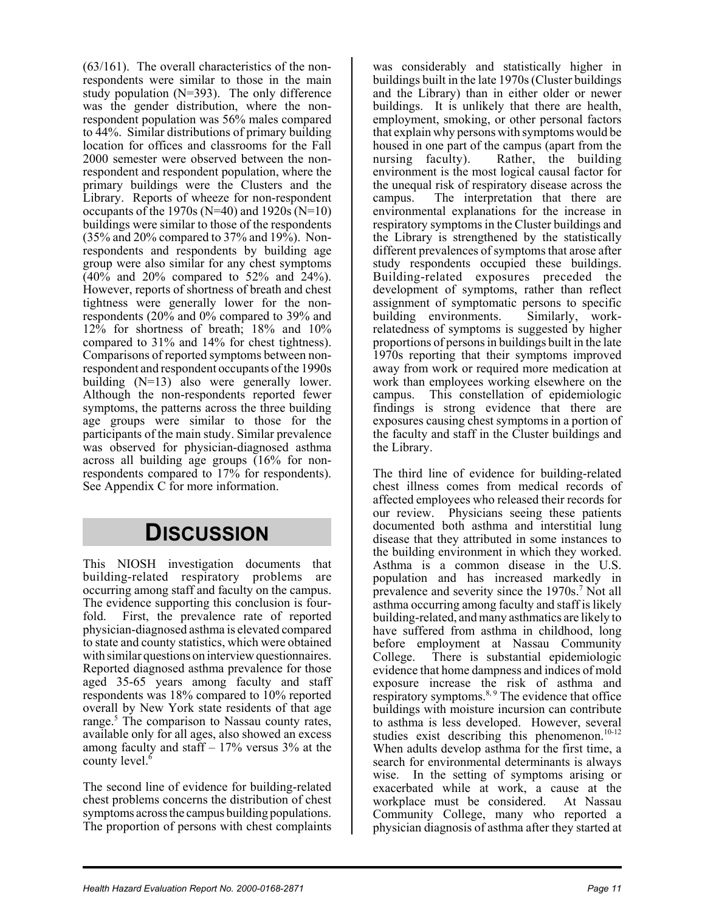(63/161). The overall characteristics of the nonrespondents were similar to those in the main study population (N=393). The only difference was the gender distribution, where the nonrespondent population was 56% males compared to 44%. Similar distributions of primary building location for offices and classrooms for the Fall 2000 semester were observed between the nonrespondent and respondent population, where the primary buildings were the Clusters and the Library. Reports of wheeze for non-respondent occupants of the 1970s (N=40) and 1920s (N=10) buildings were similar to those of the respondents (35% and 20% compared to 37% and 19%). Nonrespondents and respondents by building age group were also similar for any chest symptoms (40% and 20% compared to 52% and 24%). However, reports of shortness of breath and chest tightness were generally lower for the nonrespondents (20% and 0% compared to 39% and 12% for shortness of breath; 18% and 10% compared to 31% and 14% for chest tightness). Comparisons of reported symptoms between nonrespondent and respondent occupants of the 1990s building (N=13) also were generally lower. Although the non-respondents reported fewer symptoms, the patterns across the three building age groups were similar to those for the participants of the main study. Similar prevalence was observed for physician-diagnosed asthma across all building age groups (16% for nonrespondents compared to 17% for respondents). See Appendix C for more information.

# **DISCUSSION**

This NIOSH investigation documents that building-related respiratory problems are occurring among staff and faculty on the campus. The evidence supporting this conclusion is fourfold. First, the prevalence rate of reported physician-diagnosed asthma is elevated compared to state and county statistics, which were obtained with similar questions on interview questionnaires. Reported diagnosed asthma prevalence for those aged 35-65 years among faculty and staff respondents was 18% compared to 10% reported overall by New York state residents of that age range.<sup>5</sup> The comparison to Nassau county rates, available only for all ages, also showed an excess among faculty and staff  $-17\%$  versus 3% at the county level.<sup>6</sup>

The second line of evidence for building-related chest problems concerns the distribution of chest symptoms across the campus building populations. The proportion of persons with chest complaints

was considerably and statistically higher in buildings built in the late 1970s (Cluster buildings and the Library) than in either older or newer buildings. It is unlikely that there are health, employment, smoking, or other personal factors that explain why persons with symptoms would be housed in one part of the campus (apart from the nursing faculty). Rather, the building environment is the most logical causal factor for the unequal risk of respiratory disease across the campus. The interpretation that there are environmental explanations for the increase in respiratory symptoms in the Cluster buildings and the Library is strengthened by the statistically different prevalences of symptoms that arose after study respondents occupied these buildings. Building-related exposures preceded the development of symptoms, rather than reflect assignment of symptomatic persons to specific building environments. Similarly, workrelatedness of symptoms is suggested by higher proportions of persons in buildings built in the late 1970s reporting that their symptoms improved away from work or required more medication at work than employees working elsewhere on the campus. This constellation of epidemiologic findings is strong evidence that there are exposures causing chest symptoms in a portion of the faculty and staff in the Cluster buildings and the Library.

The third line of evidence for building-related chest illness comes from medical records of affected employees who released their records for our review. Physicians seeing these patients documented both asthma and interstitial lung disease that they attributed in some instances to the building environment in which they worked. Asthma is a common disease in the U.S. population and has increased markedly in prevalence and severity since the 1970s.<sup>7</sup> Not all asthma occurring among faculty and staff is likely building-related, and many asthmatics are likely to have suffered from asthma in childhood, long before employment at Nassau Community College. There is substantial epidemiologic evidence that home dampness and indices of mold exposure increase the risk of asthma and respiratory symptoms. $8,9$  The evidence that office buildings with moisture incursion can contribute to asthma is less developed. However, several studies exist describing this phenomenon.<sup>10-12</sup> When adults develop asthma for the first time, a search for environmental determinants is always wise. In the setting of symptoms arising or exacerbated while at work, a cause at the workplace must be considered. At Nassau Community College, many who reported a physician diagnosis of asthma after they started at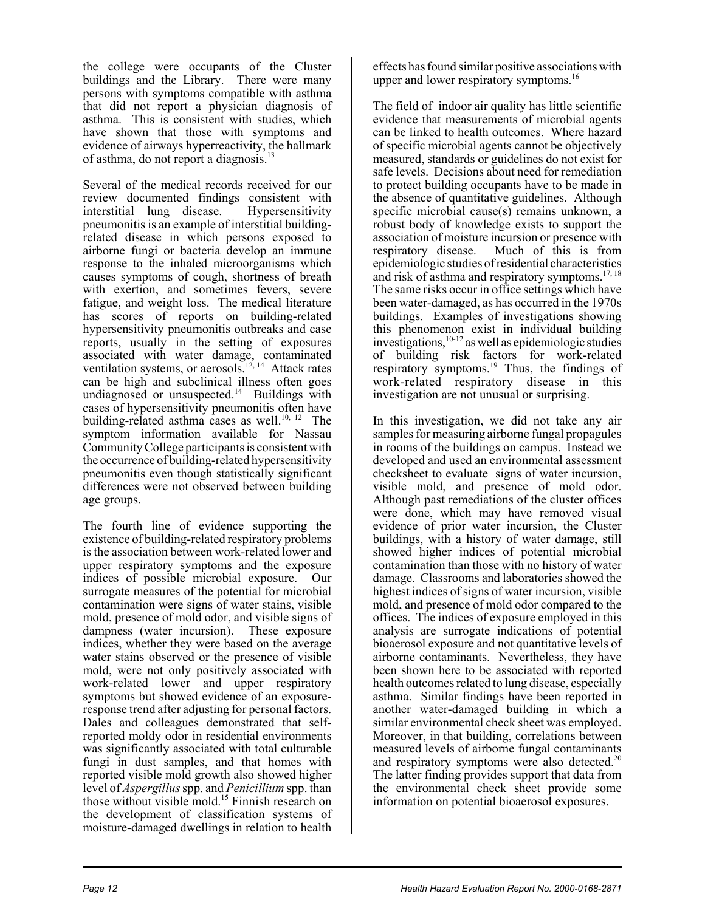the college were occupants of the Cluster buildings and the Library. There were many persons with symptoms compatible with asthma that did not report a physician diagnosis of asthma. This is consistent with studies, which have shown that those with symptoms and evidence of airways hyperreactivity, the hallmark of asthma, do not report a diagnosis.<sup>13</sup>

Several of the medical records received for our review documented findings consistent with interstitial lung disease. Hypersensitivity pneumonitis is an example of interstitial buildingrelated disease in which persons exposed to airborne fungi or bacteria develop an immune response to the inhaled microorganisms which causes symptoms of cough, shortness of breath with exertion, and sometimes fevers, severe fatigue, and weight loss. The medical literature has scores of reports on building-related hypersensitivity pneumonitis outbreaks and case reports, usually in the setting of exposures associated with water damage, contaminated ventilation systems, or aerosols.<sup>12, 14</sup> Attack rates can be high and subclinical illness often goes undiagnosed or unsuspected.<sup>14</sup> Buildings with cases of hypersensitivity pneumonitis often have building-related asthma cases as well.<sup>10, 12</sup> The symptom information available for Nassau Community College participants is consistent with the occurrence of building-related hypersensitivity pneumonitis even though statistically significant differences were not observed between building age groups.

The fourth line of evidence supporting the existence of building-related respiratory problems is the association between work-related lower and upper respiratory symptoms and the exposure indices of possible microbial exposure. Our surrogate measures of the potential for microbial contamination were signs of water stains, visible mold, presence of mold odor, and visible signs of dampness (water incursion). These exposure indices, whether they were based on the average water stains observed or the presence of visible mold, were not only positively associated with work-related lower and upper respiratory symptoms but showed evidence of an exposureresponse trend after adjusting for personal factors. Dales and colleagues demonstrated that selfreported moldy odor in residential environments was significantly associated with total culturable fungi in dust samples, and that homes with reported visible mold growth also showed higher level of *Aspergillus* spp. and *Penicillium* spp. than those without visible mold.15 Finnish research on the development of classification systems of moisture-damaged dwellings in relation to health

effects has found similar positive associations with upper and lower respiratory symptoms.<sup>16</sup>

The field of indoor air quality has little scientific evidence that measurements of microbial agents can be linked to health outcomes. Where hazard of specific microbial agents cannot be objectively measured, standards or guidelines do not exist for safe levels. Decisions about need for remediation to protect building occupants have to be made in the absence of quantitative guidelines. Although specific microbial cause(s) remains unknown, a robust body of knowledge exists to support the association of moisture incursion or presence with respiratory disease. Much of this is from epidemiologic studies of residential characteristics and risk of asthma and respiratory symptoms. $17,18$ The same risks occur in office settings which have been water-damaged, as has occurred in the 1970s buildings. Examples of investigations showing this phenomenon exist in individual building  $investigations, <sup>10-12</sup>$  as well as epidemiologic studies of building risk factors for work-related respiratory symptoms.19 Thus, the findings of work-related respiratory disease in this investigation are not unusual or surprising.

In this investigation, we did not take any air samples for measuring airborne fungal propagules in rooms of the buildings on campus. Instead we developed and used an environmental assessment checksheet to evaluate signs of water incursion, visible mold, and presence of mold odor. Although past remediations of the cluster offices were done, which may have removed visual evidence of prior water incursion, the Cluster buildings, with a history of water damage, still showed higher indices of potential microbial contamination than those with no history of water damage. Classrooms and laboratories showed the highest indices of signs of water incursion, visible mold, and presence of mold odor compared to the offices. The indices of exposure employed in this analysis are surrogate indications of potential bioaerosol exposure and not quantitative levels of airborne contaminants. Nevertheless, they have been shown here to be associated with reported health outcomes related to lung disease, especially asthma. Similar findings have been reported in another water-damaged building in which a similar environmental check sheet was employed. Moreover, in that building, correlations between measured levels of airborne fungal contaminants and respiratory symptoms were also detected.<sup>20</sup> The latter finding provides support that data from the environmental check sheet provide some information on potential bioaerosol exposures.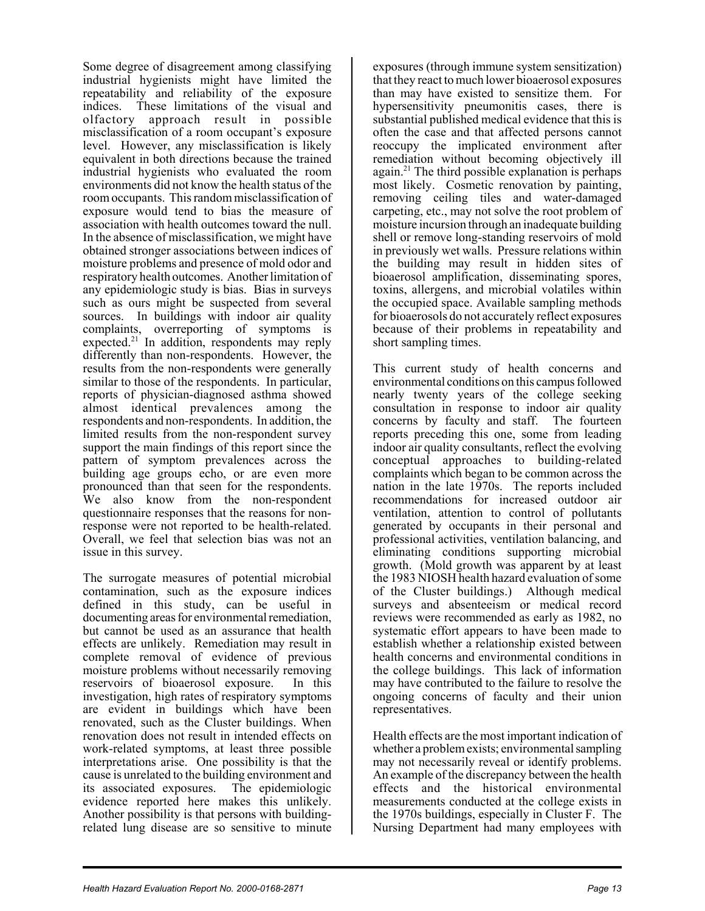Some degree of disagreement among classifying industrial hygienists might have limited the repeatability and reliability of the exposure indices. These limitations of the visual and olfactory approach result in possible misclassification of a room occupant's exposure level. However, any misclassification is likely equivalent in both directions because the trained industrial hygienists who evaluated the room environments did not know the health status of the room occupants. This random misclassification of exposure would tend to bias the measure of association with health outcomes toward the null. In the absence of misclassification, we might have obtained stronger associations between indices of moisture problems and presence of mold odor and respiratory health outcomes. Another limitation of any epidemiologic study is bias. Bias in surveys such as ours might be suspected from several sources. In buildings with indoor air quality complaints, overreporting of symptoms is expected.<sup>21</sup> In addition, respondents may reply differently than non-respondents. However, the results from the non-respondents were generally similar to those of the respondents. In particular, reports of physician-diagnosed asthma showed almost identical prevalences among the respondents and non-respondents. In addition, the limited results from the non-respondent survey support the main findings of this report since the pattern of symptom prevalences across the building age groups echo, or are even more pronounced than that seen for the respondents. We also know from the non-respondent questionnaire responses that the reasons for nonresponse were not reported to be health-related. Overall, we feel that selection bias was not an issue in this survey.

The surrogate measures of potential microbial contamination, such as the exposure indices defined in this study, can be useful in documenting areas for environmental remediation, but cannot be used as an assurance that health effects are unlikely. Remediation may result in complete removal of evidence of previous moisture problems without necessarily removing reservoirs of bioaerosol exposure. In this investigation, high rates of respiratory symptoms are evident in buildings which have been renovated, such as the Cluster buildings. When renovation does not result in intended effects on work-related symptoms, at least three possible interpretations arise. One possibility is that the cause is unrelated to the building environment and its associated exposures. The epidemiologic evidence reported here makes this unlikely. Another possibility is that persons with buildingrelated lung disease are so sensitive to minute

exposures (through immune system sensitization) that they react to much lower bioaerosol exposures than may have existed to sensitize them. For hypersensitivity pneumonitis cases, there is substantial published medical evidence that this is often the case and that affected persons cannot reoccupy the implicated environment after remediation without becoming objectively ill  $a$ gain.<sup>21</sup> The third possible explanation is perhaps most likely. Cosmetic renovation by painting, removing ceiling tiles and water-damaged carpeting, etc., may not solve the root problem of moisture incursion through an inadequate building shell or remove long-standing reservoirs of mold in previously wet walls. Pressure relations within the building may result in hidden sites of bioaerosol amplification, disseminating spores, toxins, allergens, and microbial volatiles within the occupied space. Available sampling methods for bioaerosols do not accurately reflect exposures because of their problems in repeatability and short sampling times.

This current study of health concerns and environmental conditions on this campus followed nearly twenty years of the college seeking consultation in response to indoor air quality concerns by faculty and staff. The fourteen reports preceding this one, some from leading indoor air quality consultants, reflect the evolving conceptual approaches to building-related complaints which began to be common across the nation in the late 1970s. The reports included recommendations for increased outdoor air ventilation, attention to control of pollutants generated by occupants in their personal and professional activities, ventilation balancing, and eliminating conditions supporting microbial growth. (Mold growth was apparent by at least the 1983 NIOSH health hazard evaluation of some of the Cluster buildings.) Although medical surveys and absenteeism or medical record reviews were recommended as early as 1982, no systematic effort appears to have been made to establish whether a relationship existed between health concerns and environmental conditions in the college buildings. This lack of information may have contributed to the failure to resolve the ongoing concerns of faculty and their union representatives.

Health effects are the most important indication of whether a problem exists; environmental sampling may not necessarily reveal or identify problems. An example of the discrepancy between the health effects and the historical environmental measurements conducted at the college exists in the 1970s buildings, especially in Cluster F. The Nursing Department had many employees with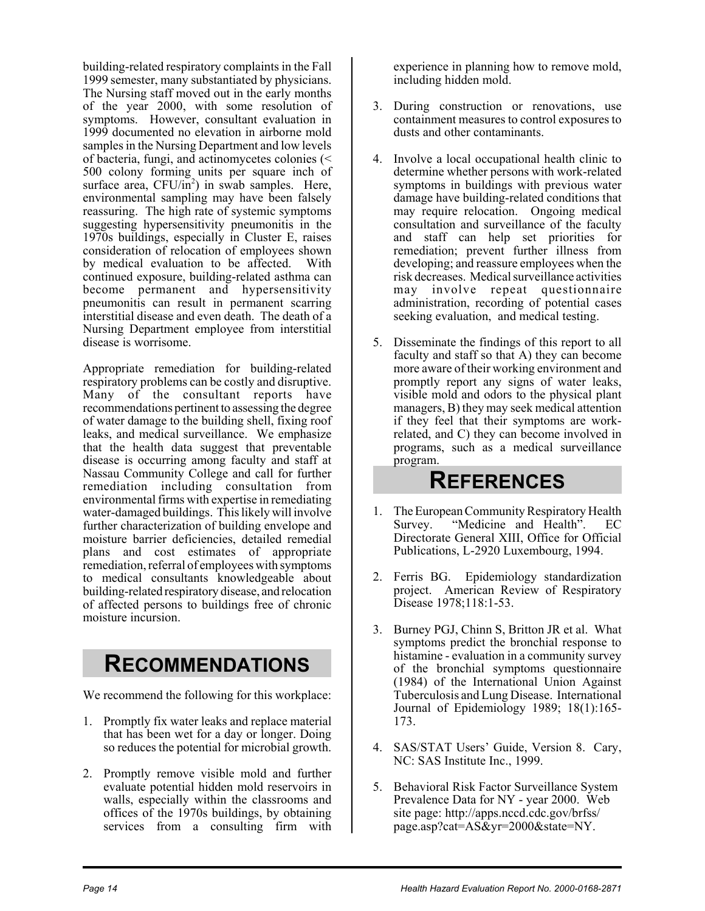building-related respiratory complaints in the Fall 1999 semester, many substantiated by physicians. The Nursing staff moved out in the early months of the year 2000, with some resolution of symptoms. However, consultant evaluation in 1999 documented no elevation in airborne mold samples in the Nursing Department and low levels of bacteria, fungi, and actinomycetes colonies (< 500 colony forming units per square inch of surface area, CFU/in<sup>2</sup>) in swab samples. Here, environmental sampling may have been falsely reassuring. The high rate of systemic symptoms suggesting hypersensitivity pneumonitis in the 1970s buildings, especially in Cluster E, raises consideration of relocation of employees shown by medical evaluation to be affected. With continued exposure, building-related asthma can become permanent and hypersensitivity pneumonitis can result in permanent scarring interstitial disease and even death. The death of a Nursing Department employee from interstitial disease is worrisome.

Appropriate remediation for building-related respiratory problems can be costly and disruptive. Many of the consultant reports have recommendations pertinent to assessing the degree of water damage to the building shell, fixing roof leaks, and medical surveillance. We emphasize that the health data suggest that preventable disease is occurring among faculty and staff at Nassau Community College and call for further remediation including consultation from environmental firms with expertise in remediating water-damaged buildings. This likely will involve further characterization of building envelope and moisture barrier deficiencies, detailed remedial plans and cost estimates of appropriate remediation, referral of employees with symptoms to medical consultants knowledgeable about building-related respiratory disease, and relocation of affected persons to buildings free of chronic moisture incursion.

# **RECOMMENDATIONS**

We recommend the following for this workplace:

- 1. Promptly fix water leaks and replace material that has been wet for a day or longer. Doing so reduces the potential for microbial growth.
- 2. Promptly remove visible mold and further evaluate potential hidden mold reservoirs in walls, especially within the classrooms and offices of the 1970s buildings, by obtaining services from a consulting firm with

experience in planning how to remove mold, including hidden mold.

- 3. During construction or renovations, use containment measures to control exposures to dusts and other contaminants.
- 4. Involve a local occupational health clinic to determine whether persons with work-related symptoms in buildings with previous water damage have building-related conditions that may require relocation. Ongoing medical consultation and surveillance of the faculty and staff can help set priorities for remediation; prevent further illness from developing; and reassure employees when the risk decreases. Medical surveillance activities may involve repeat questionnaire administration, recording of potential cases seeking evaluation, and medical testing.
- 5. Disseminate the findings of this report to all faculty and staff so that A) they can become more aware of their working environment and promptly report any signs of water leaks, visible mold and odors to the physical plant managers, B) they may seek medical attention if they feel that their symptoms are workrelated, and C) they can become involved in programs, such as a medical surveillance program.

# **REFERENCES**

- 1. The European Community Respiratory Health Survey. "Medicine and Health". EC Directorate General XIII, Office for Official Publications, L-2920 Luxembourg, 1994.
- 2. Ferris BG. Epidemiology standardization project. American Review of Respiratory Disease 1978;118:1-53.
- 3. Burney PGJ, Chinn S, Britton JR et al. What symptoms predict the bronchial response to histamine - evaluation in a community survey of the bronchial symptoms questionnaire (1984) of the International Union Against Tuberculosis and Lung Disease. International Journal of Epidemiology 1989; 18(1):165- 173.
- 4. SAS/STAT Users' Guide, Version 8. Cary, NC: SAS Institute Inc., 1999.
- 5. Behavioral Risk Factor Surveillance System Prevalence Data for NY - year 2000. Web site page: http://apps.nccd.cdc.gov/brfss/ page.asp?cat=AS&yr=2000&state=NY.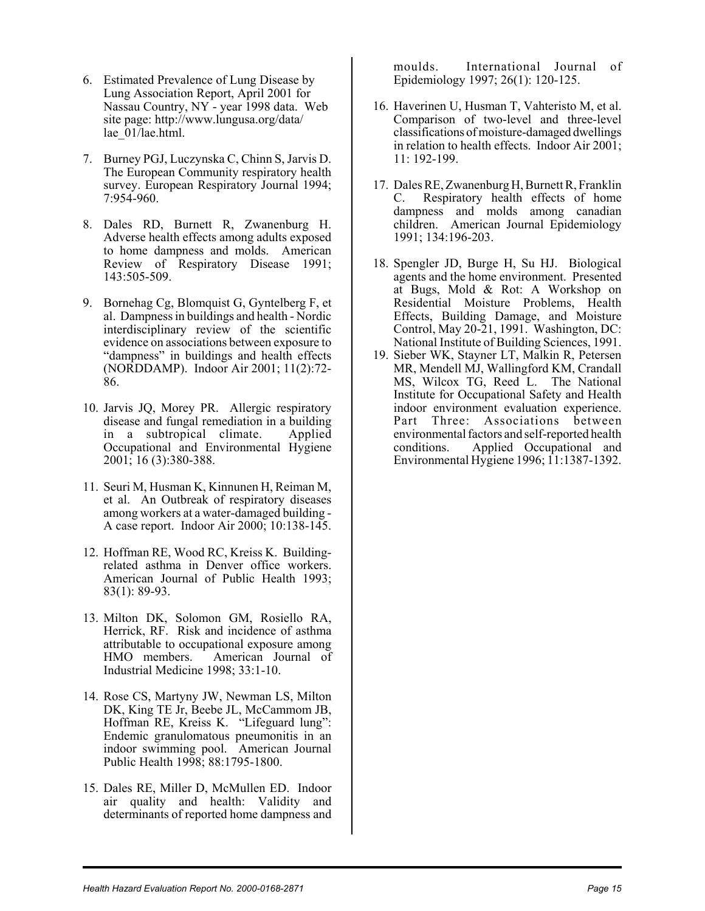- 6. Estimated Prevalence of Lung Disease by Lung Association Report, April 2001 for Nassau Country, NY - year 1998 data. Web site page: http://www.lungusa.org/data/ lae\_01/lae.html.
- 7. Burney PGJ, Luczynska C, Chinn S, Jarvis D. The European Community respiratory health survey. European Respiratory Journal 1994; 7:954-960.
- 8. Dales RD, Burnett R, Zwanenburg H. Adverse health effects among adults exposed to home dampness and molds. American Review of Respiratory Disease 1991; 143:505-509.
- 9. Bornehag Cg, Blomquist G, Gyntelberg F, et al. Dampness in buildings and health - Nordic interdisciplinary review of the scientific evidence on associations between exposure to "dampness" in buildings and health effects (NORDDAMP). Indoor Air 2001; 11(2):72- 86.
- 10. Jarvis JQ, Morey PR. Allergic respiratory disease and fungal remediation in a building in a subtropical climate. Applied Occupational and Environmental Hygiene 2001; 16 (3):380-388.
- 11. Seuri M, Husman K, Kinnunen H, Reiman M, et al. An Outbreak of respiratory diseases among workers at a water-damaged building - A case report. Indoor Air 2000; 10:138-145.
- 12. Hoffman RE, Wood RC, Kreiss K. Buildingrelated asthma in Denver office workers. American Journal of Public Health 1993; 83(1): 89-93.
- 13. Milton DK, Solomon GM, Rosiello RA, Herrick, RF. Risk and incidence of asthma attributable to occupational exposure among HMO members. American Journal of Industrial Medicine 1998; 33:1-10.
- 14. Rose CS, Martyny JW, Newman LS, Milton DK, King TE Jr, Beebe JL, McCammom JB, Hoffman RE, Kreiss K. "Lifeguard lung": Endemic granulomatous pneumonitis in an indoor swimming pool. American Journal Public Health 1998; 88:1795-1800.
- 15. Dales RE, Miller D, McMullen ED. Indoor air quality and health: Validity and determinants of reported home dampness and

moulds. International Journal of Epidemiology 1997; 26(1): 120-125.

- 16. Haverinen U, Husman T, Vahteristo M, et al. Comparison of two-level and three-level classifications of moisture-damaged dwellings in relation to health effects. Indoor Air 2001; 11: 192-199.
- 17. Dales RE, Zwanenburg H, Burnett R, Franklin C. Respiratory health effects of home dampness and molds among canadian children. American Journal Epidemiology 1991; 134:196-203.
- 18. Spengler JD, Burge H, Su HJ. Biological agents and the home environment. Presented at Bugs, Mold & Rot: A Workshop on Residential Moisture Problems, Health Effects, Building Damage, and Moisture Control, May 20-21, 1991. Washington, DC: National Institute of Building Sciences, 1991.
- 19. Sieber WK, Stayner LT, Malkin R, Petersen MR, Mendell MJ, Wallingford KM, Crandall MS, Wilcox TG, Reed L. The National Institute for Occupational Safety and Health indoor environment evaluation experience. Part Three: Associations between environmental factors and self-reported health conditions. Applied Occupational and Environmental Hygiene 1996; 11:1387-1392.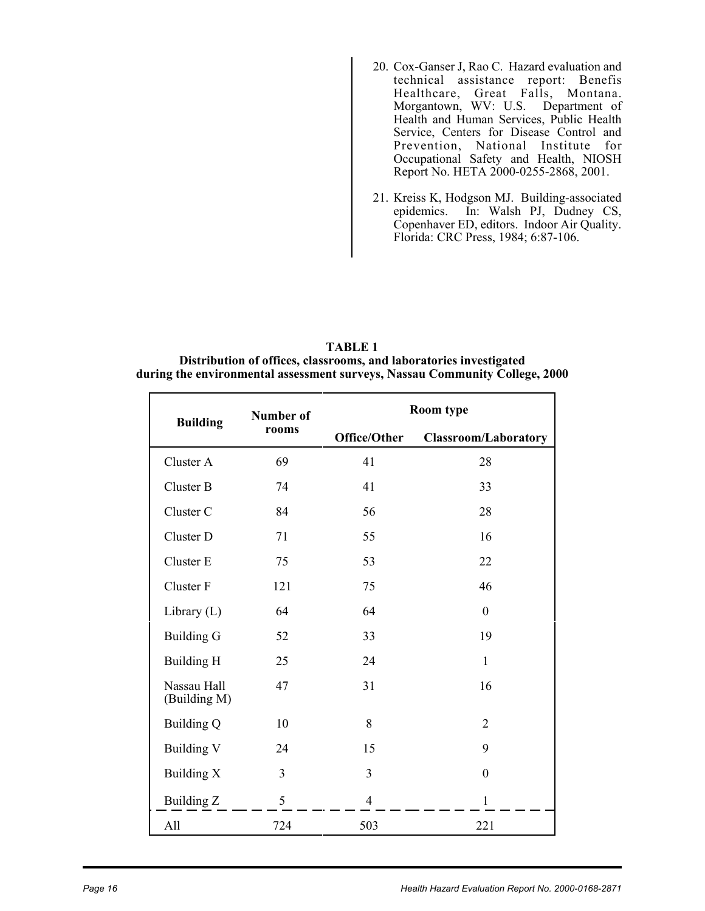- 20. Cox-Ganser J, Rao C. Hazard evaluation and technical assistance report: Benefis Healthcare, Great Falls, Montana. Morgantown, WV: U.S. Department of Health and Human Services, Public Health Service, Centers for Disease Control and Prevention, National Institute for Occupational Safety and Health, NIOSH Report No. HETA 2000-0255-2868, 2001.
- 21. Kreiss K, Hodgson MJ. Building-associated epidemics. In: Walsh PJ, Dudney CS, Copenhaver ED, editors. Indoor Air Quality. Florida: CRC Press, 1984; 6:87-106.

| TABLE 1                                                                     |
|-----------------------------------------------------------------------------|
| Distribution of offices, classrooms, and laboratories investigated          |
| during the environmental assessment surveys, Nassau Community College, 2000 |

| <b>Building</b>             | Number of | Room type      |                             |  |  |
|-----------------------------|-----------|----------------|-----------------------------|--|--|
|                             | rooms     | Office/Other   | <b>Classroom/Laboratory</b> |  |  |
| Cluster A                   | 69        | 41             | 28                          |  |  |
| Cluster B                   | 74        | 41             | 33                          |  |  |
| Cluster C                   | 84        | 56             | 28                          |  |  |
| Cluster D                   | 71        | 55             | 16                          |  |  |
| Cluster E                   | 75        | 53             | 22                          |  |  |
| Cluster F                   | 121       | 75             | 46                          |  |  |
| Library $(L)$               | 64        | 64             | $\theta$                    |  |  |
| <b>Building G</b>           | 52        | 33             | 19                          |  |  |
| <b>Building H</b>           | 25        | 24             | $\mathbf{1}$                |  |  |
| Nassau Hall<br>(Building M) | 47        | 31             | 16                          |  |  |
| <b>Building Q</b>           | 10        | 8              | $\overline{2}$              |  |  |
| <b>Building V</b>           | 24        | 15             | 9                           |  |  |
| Building X                  | 3         | $\overline{3}$ | $\theta$                    |  |  |
| Building Z                  | 5         | $\overline{4}$ | $\mathbf{1}$                |  |  |
| All                         | 724       | 503            | 221                         |  |  |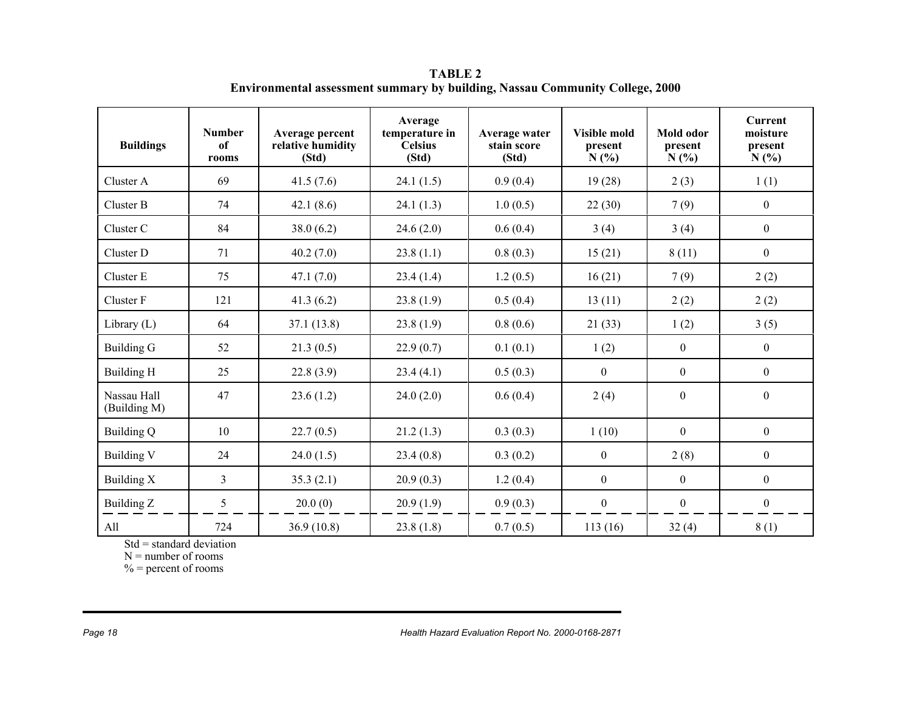| <b>Buildings</b>            | <b>Number</b><br>of<br>rooms | Average percent<br>relative humidity<br>(Std) | Average<br>temperature in<br><b>Celsius</b><br>(Std) | Average water<br>stain score<br>(Std) | <b>Visible mold</b><br>present<br>N(%) | Mold odor<br>present<br>N(%) | <b>Current</b><br>moisture<br>present<br>N(%) |
|-----------------------------|------------------------------|-----------------------------------------------|------------------------------------------------------|---------------------------------------|----------------------------------------|------------------------------|-----------------------------------------------|
| Cluster A                   | 69                           | 41.5(7.6)                                     | 24.1(1.5)                                            | 0.9(0.4)                              | 19(28)                                 | 2(3)                         | 1(1)                                          |
| Cluster B                   | 74                           | 42.1(8.6)                                     | 24.1(1.3)                                            | 1.0(0.5)                              | 22(30)                                 | 7(9)                         | $\mathbf{0}$                                  |
| Cluster C                   | 84                           | 38.0(6.2)                                     | 24.6(2.0)                                            | 0.6(0.4)                              | 3(4)                                   | 3(4)                         | $\mathbf{0}$                                  |
| Cluster D                   | 71                           | 40.2(7.0)                                     | 23.8(1.1)                                            | 0.8(0.3)                              | 15(21)                                 | 8(11)                        | $\mathbf{0}$                                  |
| Cluster E                   | 75                           | 47.1(7.0)                                     | 23.4(1.4)                                            | 1.2(0.5)                              | 16(21)                                 | 7(9)                         | 2(2)                                          |
| Cluster F                   | 121                          | 41.3(6.2)                                     | 23.8(1.9)                                            | 0.5(0.4)                              | 13(11)                                 | 2(2)                         | 2(2)                                          |
| Library $(L)$               | 64                           | 37.1(13.8)                                    | 23.8(1.9)                                            | 0.8(0.6)                              | 21(33)                                 | 1(2)                         | 3(5)                                          |
| <b>Building G</b>           | 52                           | 21.3(0.5)                                     | 22.9(0.7)                                            | 0.1(0.1)                              | 1(2)                                   | $\boldsymbol{0}$             | $\mathbf{0}$                                  |
| Building H                  | 25                           | 22.8(3.9)                                     | 23.4(4.1)                                            | 0.5(0.3)                              | $\overline{0}$                         | $\overline{0}$               | $\mathbf{0}$                                  |
| Nassau Hall<br>(Building M) | 47                           | 23.6(1.2)                                     | 24.0(2.0)                                            | 0.6(0.4)                              | 2(4)                                   | $\boldsymbol{0}$             | $\boldsymbol{0}$                              |
| Building Q                  | 10                           | 22.7(0.5)                                     | 21.2(1.3)                                            | 0.3(0.3)                              | 1(10)                                  | $\theta$                     | $\mathbf{0}$                                  |
| Building V                  | 24                           | 24.0(1.5)                                     | 23.4(0.8)                                            | 0.3(0.2)                              | $\theta$                               | 2(8)                         | $\overline{0}$                                |
| Building X                  | $\overline{3}$               | 35.3(2.1)                                     | 20.9(0.3)                                            | 1.2(0.4)                              | $\theta$                               | $\overline{0}$               | $\mathbf{0}$                                  |
| Building Z                  | 5                            | 20.0(0)                                       | 20.9(1.9)                                            | 0.9(0.3)                              | $\mathbf{0}$                           | $\boldsymbol{0}$             | $\boldsymbol{0}$                              |
| All                         | 724                          | 36.9(10.8)                                    | 23.8(1.8)                                            | 0.7(0.5)                              | 113(16)                                | 32(4)                        | 8(1)                                          |

**TABLE 2 Environmental assessment summary by building, Nassau Community College, 2000**

 $Std = standard deviation$ 

N = number of rooms

 $\%$  = percent of rooms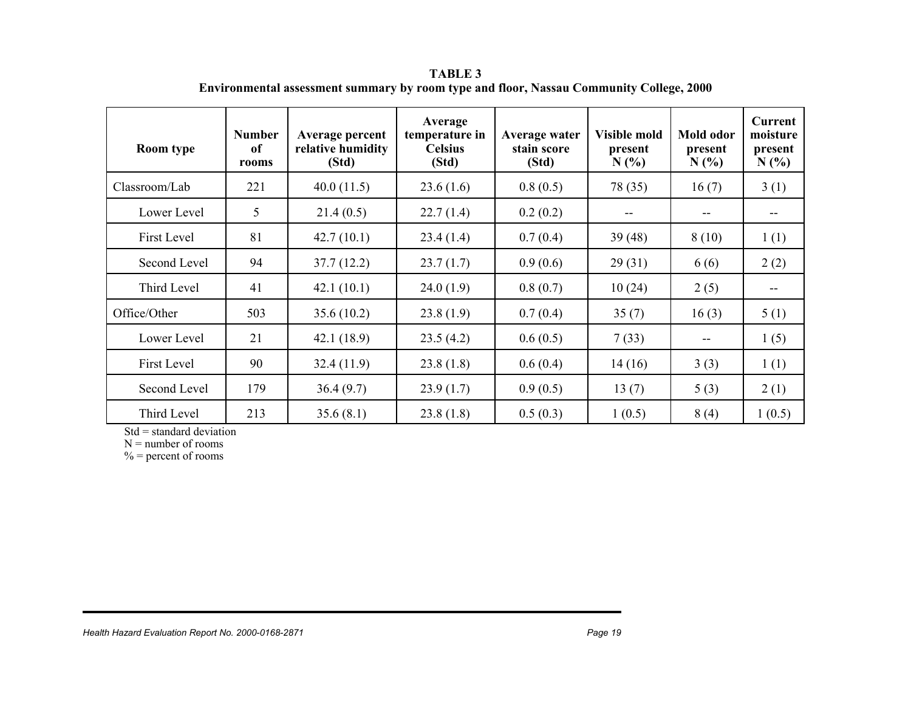| Room type          | <b>Number</b><br>оf<br>rooms | Average percent<br>relative humidity<br>(Std) | Average<br>temperature in<br><b>Celsius</b><br>(Std) | Average water<br>stain score<br>(Std) | <b>Visible mold</b><br>present<br>N(% | Mold odor<br>present<br>N(%) | <b>Current</b><br>moisture<br>present<br>N(%) |
|--------------------|------------------------------|-----------------------------------------------|------------------------------------------------------|---------------------------------------|---------------------------------------|------------------------------|-----------------------------------------------|
| Classroom/Lab      | 221                          | 40.0(11.5)                                    | 23.6(1.6)                                            | 0.8(0.5)                              | 78 (35)                               | 16(7)                        | 3(1)                                          |
| Lower Level        | 5                            | 21.4(0.5)                                     | 22.7(1.4)                                            | 0.2(0.2)                              |                                       | --                           |                                               |
| First Level        | 81                           | 42.7(10.1)                                    | 23.4(1.4)                                            | 0.7(0.4)                              | 39(48)                                | 8(10)                        | 1(1)                                          |
| Second Level       | 94                           | 37.7(12.2)                                    | 23.7(1.7)                                            | 0.9(0.6)                              | 29(31)                                | 6(6)                         | 2(2)                                          |
| Third Level        | 41                           | 42.1(10.1)                                    | 24.0(1.9)                                            | 0.8(0.7)                              | 10(24)                                | 2(5)                         |                                               |
| Office/Other       | 503                          | 35.6(10.2)                                    | 23.8(1.9)                                            | 0.7(0.4)                              | 35(7)                                 | 16(3)                        | 5(1)                                          |
| Lower Level        | 21                           | 42.1(18.9)                                    | 23.5(4.2)                                            | 0.6(0.5)                              | 7(33)                                 | $\sim$ $\sim$                | 1(5)                                          |
| <b>First Level</b> | 90                           | 32.4(11.9)                                    | 23.8(1.8)                                            | 0.6(0.4)                              | 14(16)                                | 3(3)                         | 1(1)                                          |
| Second Level       | 179                          | 36.4(9.7)                                     | 23.9(1.7)                                            | 0.9(0.5)                              | 13(7)                                 | 5(3)                         | 2(1)                                          |
| Third Level        | 213                          | 35.6(8.1)                                     | 23.8(1.8)                                            | 0.5(0.3)                              | 1(0.5)                                | 8(4)                         | 1(0.5)                                        |

**TABLE 3 Environmental assessment summary by room type and floor, Nassau Community College, 2000**

Std = standard deviation

 $N =$  number of rooms

 $% =$  percent of rooms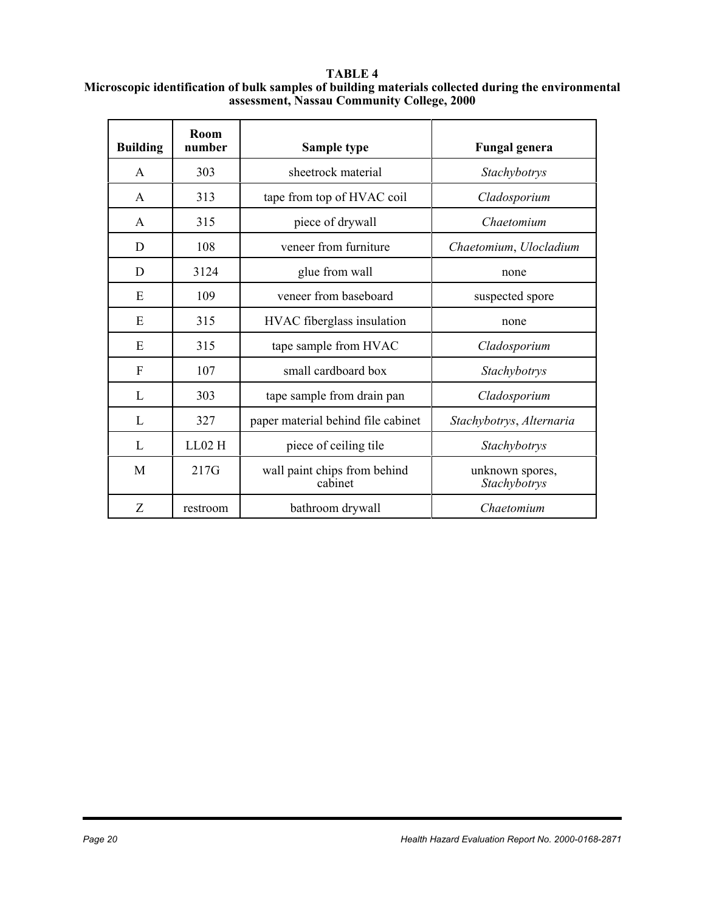| <b>Building</b> | Room<br>number | Sample type                             | <b>Fungal genera</b>            |
|-----------------|----------------|-----------------------------------------|---------------------------------|
| $\mathbf{A}$    | 303            | sheetrock material                      | Stachybotrys                    |
| A               | 313            | tape from top of HVAC coil              | Cladosporium                    |
| $\mathbf{A}$    | 315            | piece of drywall                        | Chaetomium                      |
| D               | 108            | veneer from furniture                   | Chaetomium, Ulocladium          |
| D               | 3124           | glue from wall                          | none                            |
| E               | 109            | veneer from baseboard                   | suspected spore                 |
| E               | 315            | HVAC fiberglass insulation              | none                            |
| E               | 315            | tape sample from HVAC                   | Cladosporium                    |
| F               | 107            | small cardboard box                     | Stachybotrys                    |
| L               | 303            | tape sample from drain pan              | Cladosporium                    |
| L               | 327            | paper material behind file cabinet      | Stachybotrys, Alternaria        |
| L               | $LL02$ H       | piece of ceiling tile                   | Stachybotrys                    |
| M               | 217G           | wall paint chips from behind<br>cabinet | unknown spores,<br>Stachybotrys |
| Z               | restroom       | bathroom drywall                        | Chaetomium                      |

**TABLE 4 Microscopic identification of bulk samples of building materials collected during the environmental assessment, Nassau Community College, 2000**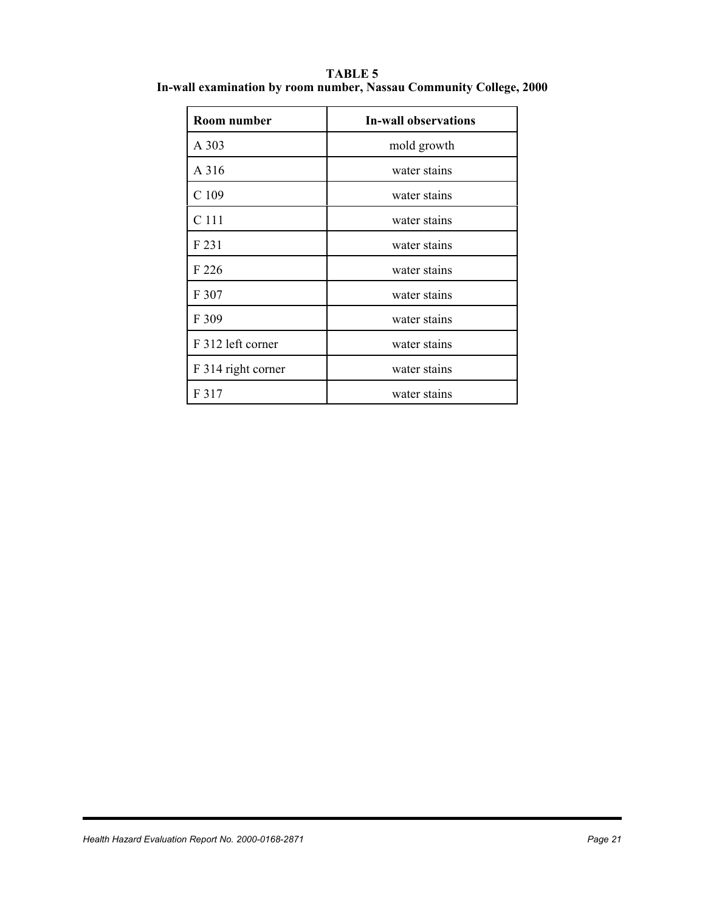| Room number        | <b>In-wall observations</b> |
|--------------------|-----------------------------|
| A 303              | mold growth                 |
| A 316              | water stains                |
| C <sub>109</sub>   | water stains                |
| C 111              | water stains                |
| F 231              | water stains                |
| F 226              | water stains                |
| F 307              | water stains                |
| F 309              | water stains                |
| F 312 left corner  | water stains                |
| F 314 right corner | water stains                |
| F 317              | water stains                |

**TABLE 5 In-wall examination by room number, Nassau Community College, 2000**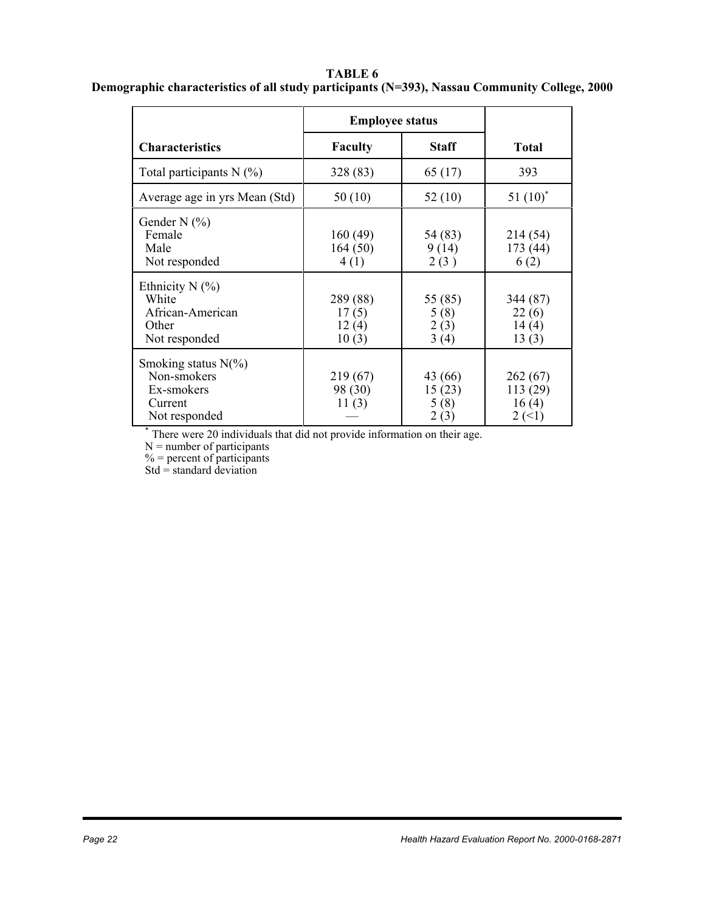#### **TABLE 6 Demographic characteristics of all study participants (N=393), Nassau Community College, 2000**

|                                                                                 | <b>Employee status</b>              |                                   |                                      |
|---------------------------------------------------------------------------------|-------------------------------------|-----------------------------------|--------------------------------------|
| <b>Characteristics</b>                                                          | <b>Faculty</b>                      | <b>Staff</b>                      | <b>Total</b>                         |
| Total participants $N(\%)$                                                      | 328 (83)                            | 65 (17)                           | 393                                  |
| Average age in yrs Mean (Std)                                                   | 50(10)                              | 52(10)                            | 51 $(10)^*$                          |
| Gender N $(\% )$<br>Female<br>Male<br>Not responded                             | 160(49)<br>164(50)<br>4(1)          | 54 (83)<br>9(14)<br>2(3)          | 214 (54)<br>173 (44)<br>6(2)         |
| Ethnicity $N$ (%)<br>White<br>African-American<br>Other<br>Not responded        | 289 (88)<br>17(5)<br>12(4)<br>10(3) | 55 (85)<br>5(8)<br>2(3)<br>3(4)   | 344 (87)<br>22(6)<br>14(4)<br>13(3)  |
| Smoking status $N(\%)$<br>Non-smokers<br>Ex-smokers<br>Current<br>Not responded | 219 (67)<br>98 (30)<br>11 $(3)$     | 43 (66)<br>15(23)<br>5(8)<br>2(3) | 262(67)<br>113 (29)<br>16(4)<br>2(1) |

\* There were 20 individuals that did not provide information on their age.

N = number of participants

 $%$  = percent of participants

Std = standard deviation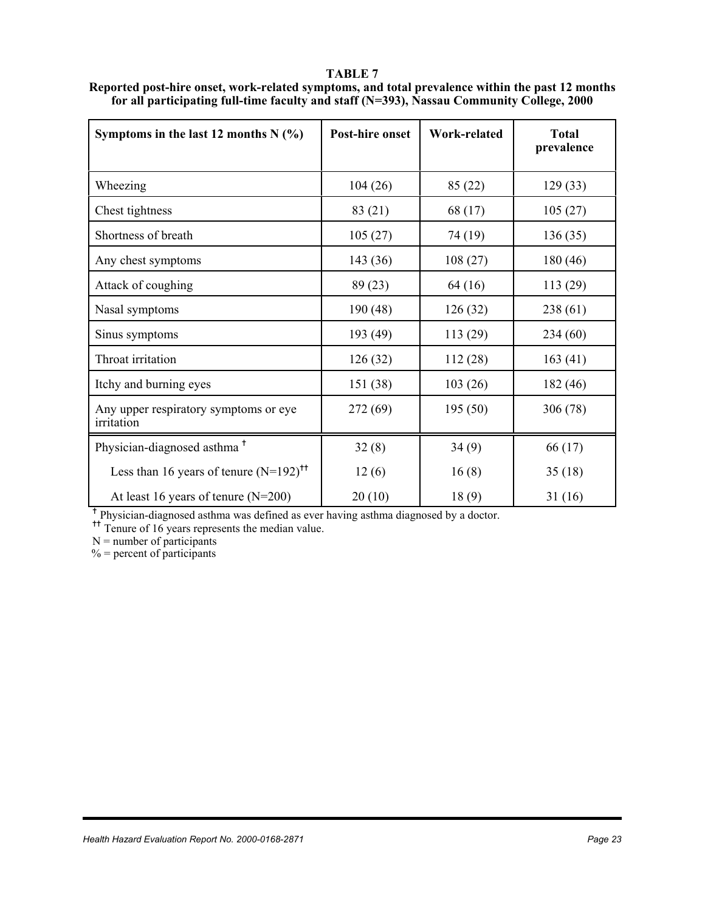| Symptoms in the last 12 months $N$ (%)               | Post-hire onset | Work-related | <b>Total</b><br>prevalence |
|------------------------------------------------------|-----------------|--------------|----------------------------|
| Wheezing                                             | 104(26)         | 85 (22)      | 129(33)                    |
| Chest tightness                                      | 83 (21)         | 68 (17)      | 105(27)                    |
| Shortness of breath                                  | 105(27)         | 74 (19)      | 136(35)                    |
| Any chest symptoms                                   | 143 (36)        | 108(27)      | 180(46)                    |
| Attack of coughing                                   | 89(23)          | 64 (16)      | 113 (29)                   |
| Nasal symptoms                                       | 190(48)         | 126(32)      | 238(61)                    |
| Sinus symptoms                                       | 193 (49)        | 113 (29)     | 234(60)                    |
| Throat irritation                                    | 126(32)         | 112(28)      | 163(41)                    |
| Itchy and burning eyes                               | 151 (38)        | 103(26)      | 182(46)                    |
| Any upper respiratory symptoms or eye<br>irritation  | 272 (69)        | 195(50)      | 306 (78)                   |
| Physician-diagnosed asthma <sup>+</sup>              | 32(8)           | 34(9)        | 66 (17)                    |
| Less than 16 years of tenure $(N=192)$ <sup>††</sup> | 12(6)<br>16(8)  |              | 35(18)                     |
| At least 16 years of tenure $(N=200)$                | 20(10)          | 18(9)        | 31(16)                     |

**TABLE 7 Reported post-hire onset, work-related symptoms, and total prevalence within the past 12 months for all participating full-time faculty and staff (N=393), Nassau Community College, 2000**

<sup>†</sup> Physician-diagnosed asthma was defined as ever having asthma diagnosed by a doctor.

<sup>\*\*</sup> Tenure of 16 years represents the median value.

 $N =$  number of participants

 $\%$  = percent of participants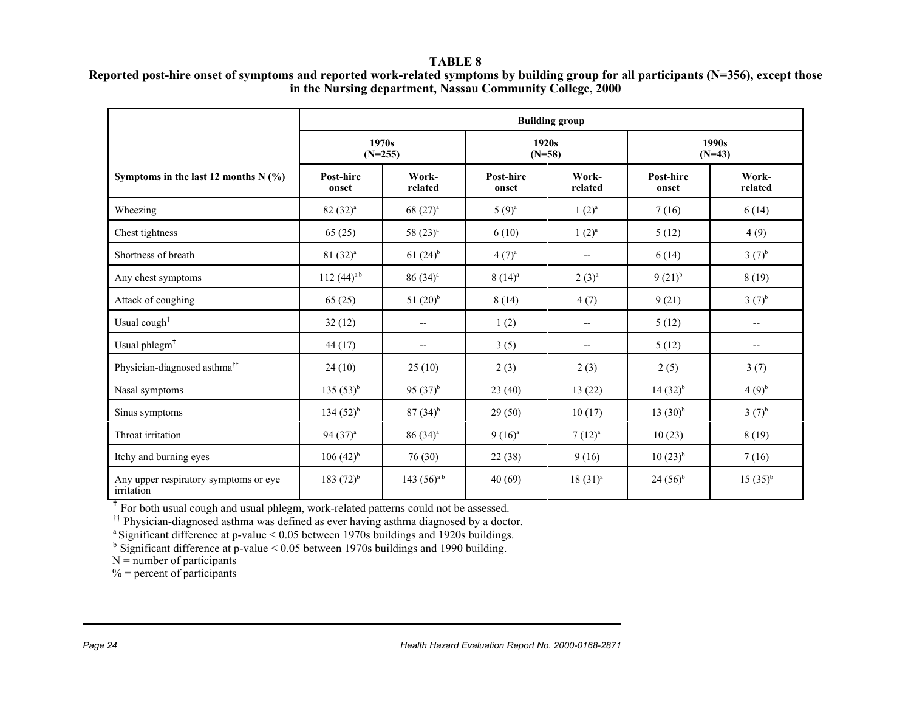#### **TABLE 8**

### **Reported post-hire onset of symptoms and reported work-related symptoms by building group for all participants (N=356), except those in the Nursing department, Nassau Community College, 2000**

|                                                     | <b>Building group</b> |                                         |                    |                          |                     |                          |
|-----------------------------------------------------|-----------------------|-----------------------------------------|--------------------|--------------------------|---------------------|--------------------------|
|                                                     |                       | 1970s<br>1920s<br>$(N=58)$<br>$(N=255)$ |                    |                          | 1990s<br>$(N=43)$   |                          |
| Symptoms in the last 12 months $N$ (%)              | Post-hire<br>onset    | Work-<br>related                        | Post-hire<br>onset | Work-<br>related         | Post-hire<br>onset  | Work-<br>related         |
| Wheezing                                            | $82 (32)^a$           | $68(27)^{a}$                            | $(9)^a$            | $1(2)^{a}$               | 7(16)               | 6(14)                    |
| Chest tightness                                     | 65(25)                | $58(23)^{a}$                            | 6(10)              | $1(2)^{a}$               | 5(12)               | 4(9)                     |
| Shortness of breath                                 | $81 (32)^a$           | $61(24)$ <sup>b</sup>                   | $4(7)^{a}$         | $\overline{\phantom{a}}$ | 6(14)               | $3(7)^{b}$               |
| Any chest symptoms                                  | $112 (44)^a$          | 86 (34) <sup>a</sup>                    | $8(14)^{a}$        | $2(3)^{a}$               | $9(21)^{b}$         | 8(19)                    |
| Attack of coughing                                  | 65(25)                | 51 $(20)^{b}$                           | 8(14)              | 4(7)                     | 9(21)               | $3(7)^{b}$               |
| Usual cough <sup>+</sup>                            | 32(12)                | $\overline{\phantom{a}}$                | 1(2)               | $\overline{\phantom{a}}$ | 5(12)               | $\overline{\phantom{a}}$ |
| Usual phlegm <sup>+</sup>                           | 44(17)                | $-$                                     | 3(5)               | $-$                      | 5(12)               | $\overline{\phantom{a}}$ |
| Physician-diagnosed asthma <sup>††</sup>            | 24(10)                | 25(10)                                  | 2(3)               | 2(3)                     | 2(5)                | 3(7)                     |
| Nasal symptoms                                      | $135(53)^{b}$         | 95 $(37)^{b}$                           | 23(40)             | 13(22)                   | $14(32)^{b}$        | $(4)(9)^{b}$             |
| Sinus symptoms                                      | $134(52)^{b}$         | $87(34)$ <sup>b</sup>                   | 29(50)             | 10(17)                   | 13(30) <sup>b</sup> | $3(7)^{b}$               |
| Throat irritation                                   | 94 $(37)^a$           | 86 (34) <sup>a</sup>                    | $9(16)^a$          | $7(12)^{a}$              | 10(23)              | 8(19)                    |
| Itchy and burning eyes                              | $106(42)^{b}$         | 76(30)                                  | 22(38)             | 9(16)                    | $10(23)^{b}$        | 7(16)                    |
| Any upper respiratory symptoms or eye<br>irritation | 183 $(72)^{b}$        | 143 $(56)^{a}$                          | 40(69)             | $18(31)^{a}$             | $24(56)^{b}$        | $15(35)^{b}$             |

<sup>†</sup> For both usual cough and usual phlegm, work-related patterns could not be assessed.

<sup>††</sup> Physician-diagnosed asthma was defined as ever having asthma diagnosed by a doctor.

a Significant difference at p-value < 0.05 between 1970s buildings and 1920s buildings.

 $b$  Significant difference at p-value  $< 0.05$  between 1970s buildings and 1990 building.

 $N =$  number of participants

 $%$  = percent of participants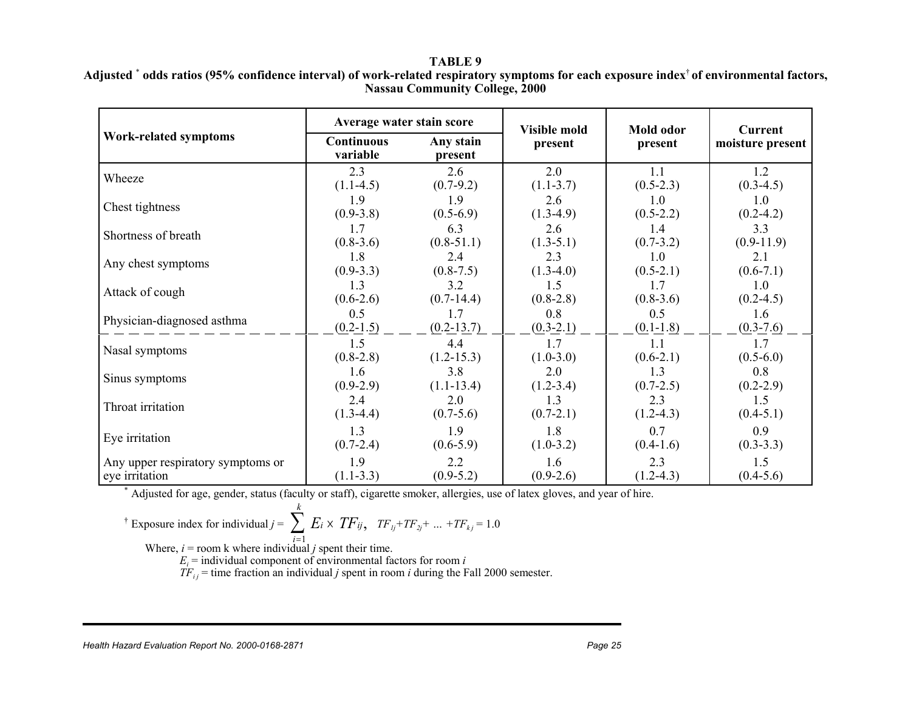#### **TABLE 9**

| Adjusted * odds ratios (95% confidence interval) of work-related respiratory symptoms for each exposure index <sup>†</sup> of environmental factors, |  |
|------------------------------------------------------------------------------------------------------------------------------------------------------|--|
| <b>Nassau Community College, 2000</b>                                                                                                                |  |

|                                   | Average water stain score                             |                | <b>Visible mold</b> | Mold odor     | <b>Current</b>   |  |
|-----------------------------------|-------------------------------------------------------|----------------|---------------------|---------------|------------------|--|
| Work-related symptoms             | <b>Continuous</b><br>Any stain<br>variable<br>present |                | present             | present       | moisture present |  |
| Wheeze                            | 2.3                                                   | 2.6            | 2.0                 | 1.1           | 1.2              |  |
|                                   | $(1.1-4.5)$                                           | $(0.7-9.2)$    | $(1.1 - 3.7)$       | $(0.5-2.3)$   | $(0.3-4.5)$      |  |
| Chest tightness                   | 1.9                                                   | 1.9            | 2.6                 | 1.0           | 1.0              |  |
|                                   | $(0.9-3.8)$                                           | $(0.5-6.9)$    | $(1.3-4.9)$         | $(0.5-2.2)$   | $(0.2-4.2)$      |  |
| Shortness of breath               | 1.7                                                   | 6.3            | 2.6                 | 1.4           | 3.3              |  |
|                                   | $(0.8-3.6)$                                           | $(0.8-51.1)$   | $(1.3-5.1)$         | $(0.7 - 3.2)$ | $(0.9-11.9)$     |  |
| Any chest symptoms                | 1.8                                                   | 2.4            | 2.3                 | 1.0           | 2.1              |  |
|                                   | $(0.9 - 3.3)$                                         | $(0.8 - 7.5)$  | $(1.3-4.0)$         | $(0.5-2.1)$   | $(0.6 - 7.1)$    |  |
| Attack of cough                   | 1.3                                                   | 3.2            | 1.5                 | 1.7           | 1.0              |  |
|                                   | $(0.6-2.6)$                                           | $(0.7-14.4)$   | $(0.8-2.8)$         | $(0.8-3.6)$   | $(0.2 - 4.5)$    |  |
| Physician-diagnosed asthma        | 0.5                                                   | 1.7            | 0.8                 | 0.5           | 1.6              |  |
|                                   | $(0.2 - 1.5)$                                         | $(0.2 - 13.7)$ | $(0.3-2.1)$         | $(0.1-1.8)$   | $(0.3 - 7.6)$    |  |
| Nasal symptoms                    | 1.5                                                   | 4.4            | 1.7                 | 1.1           | 1.7              |  |
|                                   | $(0.8-2.8)$                                           | $(1.2 - 15.3)$ | $(1.0-3.0)$         | $(0.6-2.1)$   | $(0.5-6.0)$      |  |
| Sinus symptoms                    | 1.6                                                   | 3.8            | 2.0                 | 1.3           | 0.8              |  |
|                                   | $(0.9-2.9)$                                           | $(1.1 - 13.4)$ | $(1.2 - 3.4)$       | $(0.7-2.5)$   | $(0.2 - 2.9)$    |  |
| Throat irritation                 | 2.4                                                   | 2.0            | 1.3                 | 2.3           | 1.5              |  |
|                                   | $(1.3-4.4)$                                           | $(0.7-5.6)$    | $(0.7-2.1)$         | $(1.2-4.3)$   | $(0.4-5.1)$      |  |
| Eye irritation                    | 1.3                                                   | 1.9            | 1.8                 | 0.7           | 0.9              |  |
|                                   | $(0.7 - 2.4)$                                         | $(0.6-5.9)$    | $(1.0-3.2)$         | $(0.4-1.6)$   | $(0.3-3.3)$      |  |
| Any upper respiratory symptoms or | 1.9                                                   | 2.2            | 1.6                 | 2.3           | 1.5              |  |
| eye irritation                    | $(1.1-3.3)$                                           | $(0.9-5.2)$    | $(0.9-2.6)$         | $(1.2-4.3)$   | $(0.4 - 5.6)$    |  |

\* Adjusted for age, gender, status (faculty or staff), cigarette smoker, allergies, use of latex gloves, and year of hire.

$$
^{\dagger}
$$
 Exposure index for individual  $j = \sum_{i=1}^{k} E_i \times TF_{ij}$ ,  $TF_{ij} + TF_{2j} + ... + TF_{kj} = 1.0$ 

*k*

Where, *i* = room k where individual *j* spent their time.

 $E<sub>i</sub>$  = individual component of environmental factors for room *i* 

 $TF_{ij}$  = time fraction an individual *j* spent in room *i* during the Fall 2000 semester.

#### *Health Hazard Evaluation Report No. 2000-0168-2871 Page 25*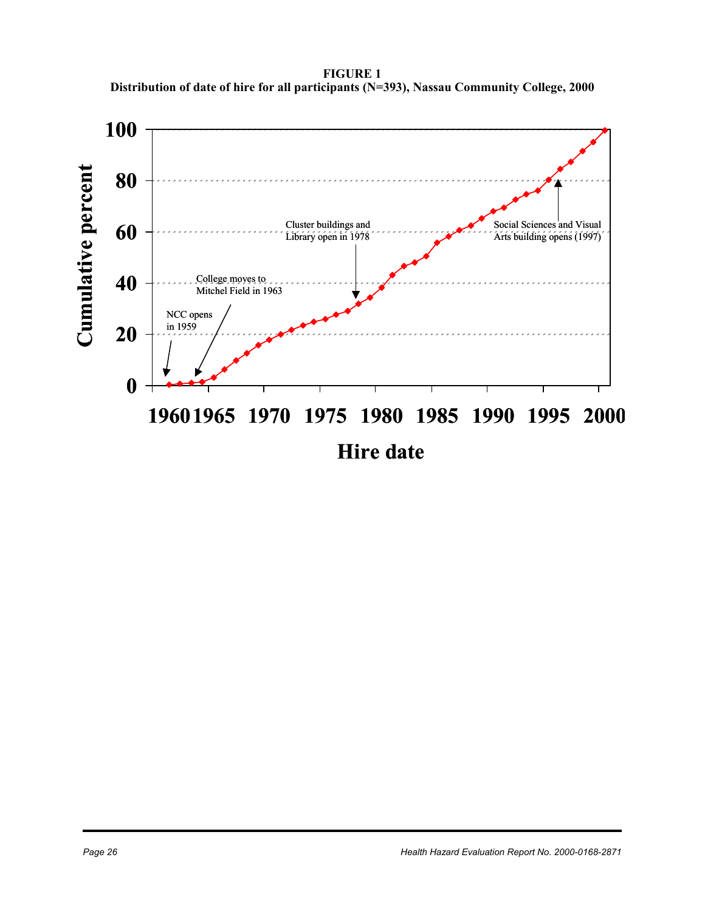**FIGURE 1 Distribution of date of hire for all participants (N=393), Nassau Community College, 2000**

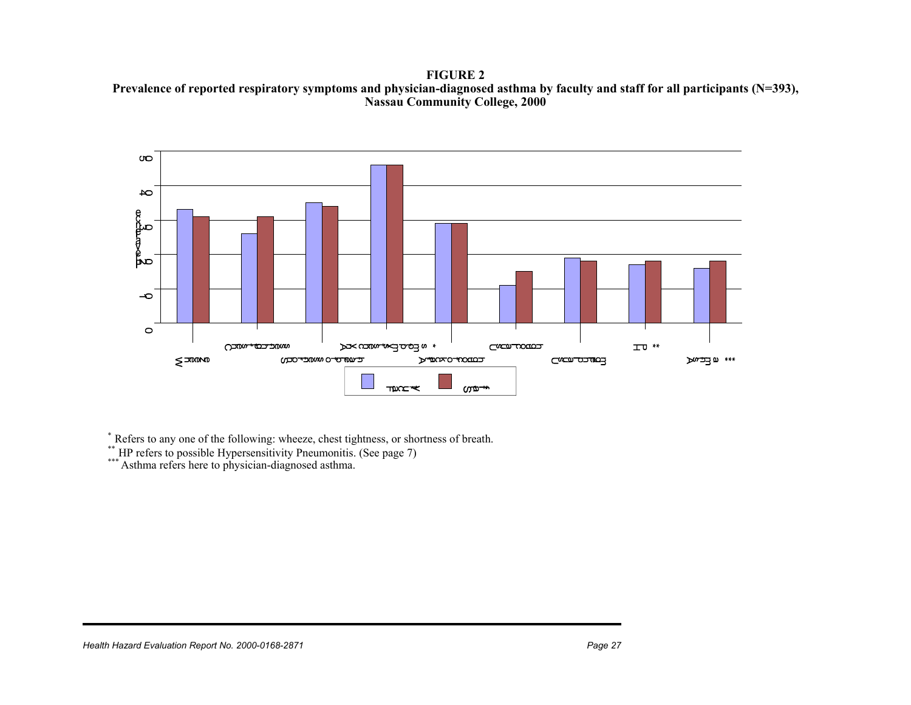**FIGURE 2 Prevalence of reported respiratory symptoms and physician-diagnosed asthma by faculty and staff for all participants (N=393), Nassau Community College, 2000**



\* Refers to any one of the following: wheeze, chest tightness, or shortness of breath.<br>\*\* HP refers to possible Hypersensitivity Pneumonitis. (See page 7)<br>\*\*\* Asthma refers here to physician-diagnosed asthma.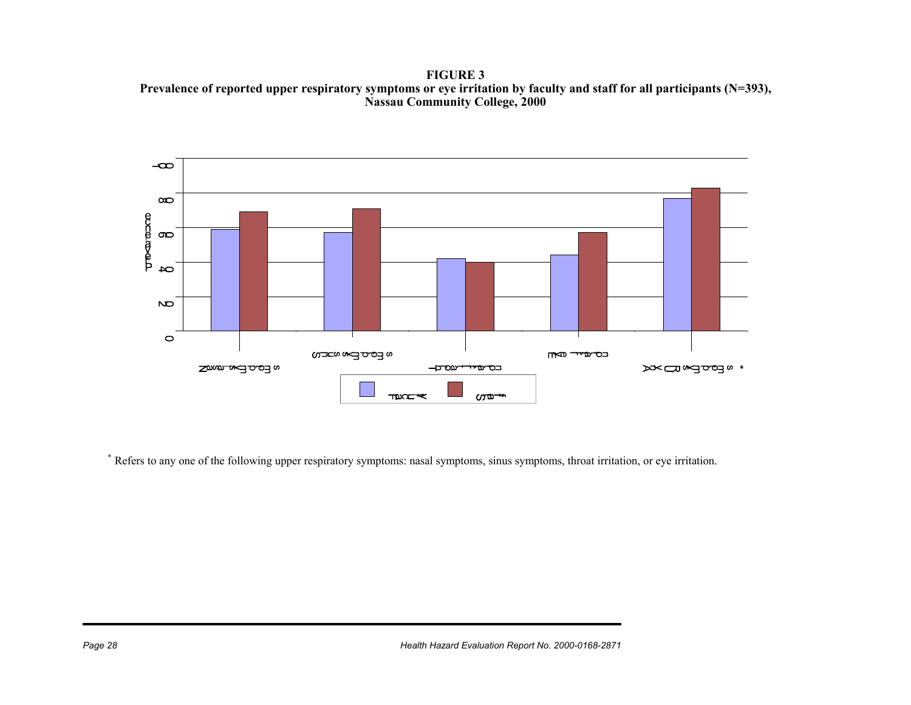**FIGURE 3 Prevalence of reported upper respiratory symptoms or eye irritation by faculty and staff for all participants (N=393), Nassau Community College, 2000**



\* Refers to any one of the following upper respiratory symptoms: nasal symptoms, sinus symptoms, throat irritation, or eye irritation.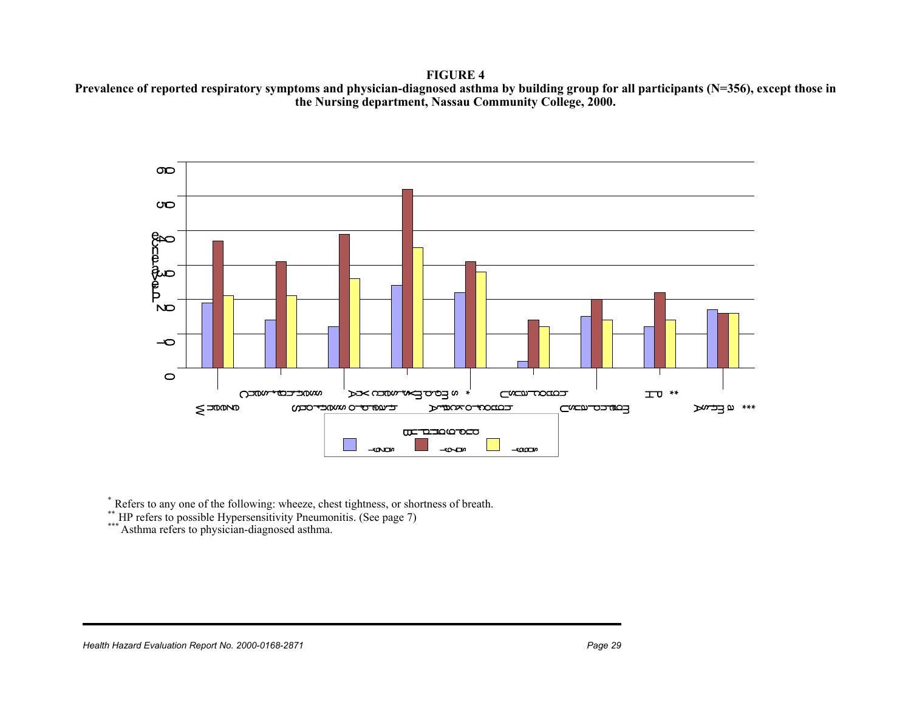#### **FIGURE 4**

**Prevalence of reported respiratory symptoms and physician-diagnosed asthma by building group for all participants (N=356), except those in the Nursing department, Nassau Community College, 2000.**



\* Refers to any one of the following: wheeze, chest tightness, or shortness of breath.

\*\* HP refers to possible Hypersensitivity Pneumonitis. (See page 7) \*\*\* Asthma refers to physician-diagnosed asthma.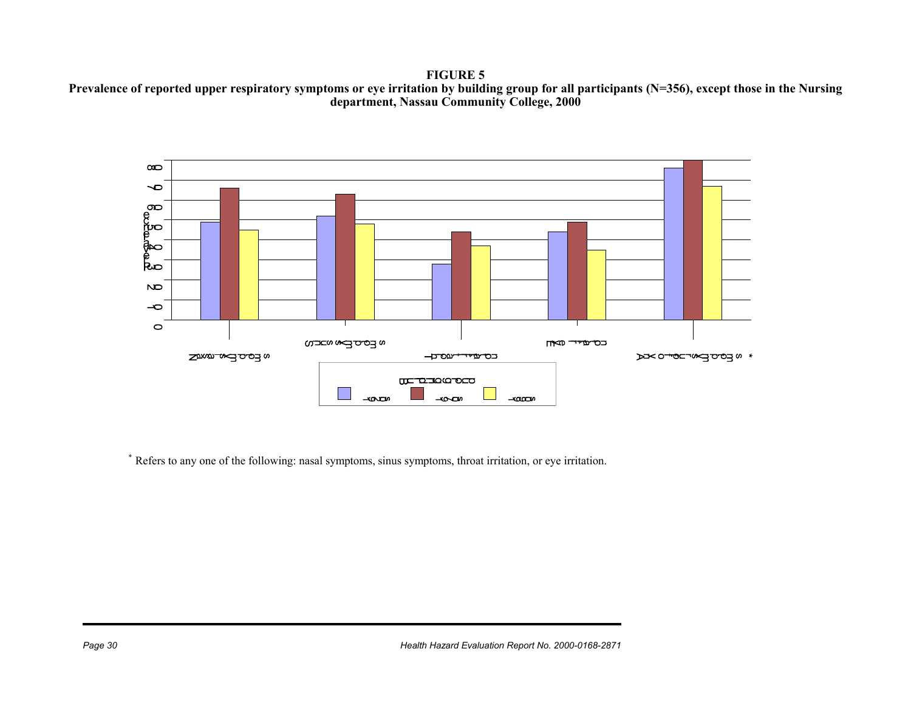**FIGURE 5 Prevalence of reported upper respiratory symptoms or eye irritation by building group for all participants (N=356), except those in the Nursing department, Nassau Community College, 2000**



\* Refers to any one of the following: nasal symptoms, sinus symptoms, throat irritation, or eye irritation.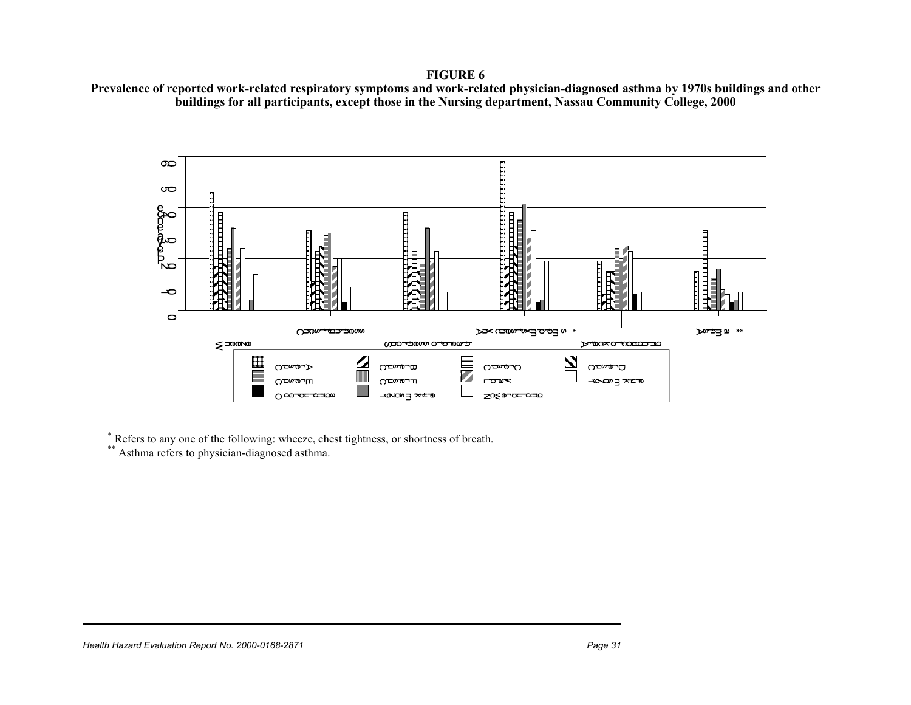#### **FIGURE 6**

 **Prevalence of reported work-related respiratory symptoms and work-related physician-diagnosed asthma by 1970s buildings and other buildings for all participants, except those in the Nursing department, Nassau Community College, 2000**



\* Refers to any one of the following: wheeze, chest tightness, or shortness of breath. \*\* Asthma refers to physician-diagnosed asthma.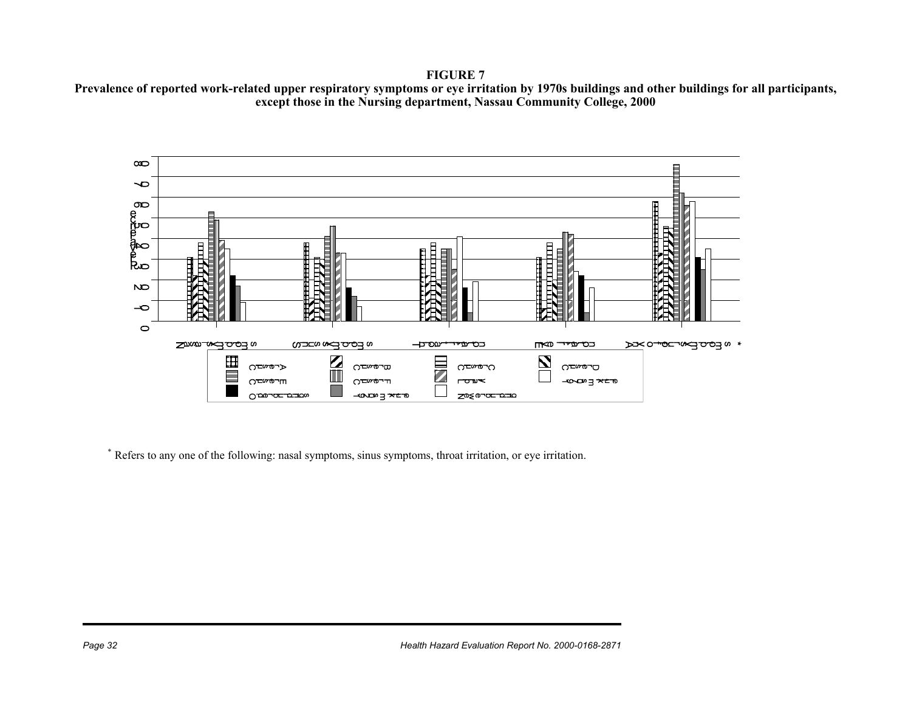**FIGURE 7**

 **Prevalence of reported work-related upper respiratory symptoms or eye irritation by 1970s buildings and other buildings for all participants, except those in the Nursing department, Nassau Community College, 2000**



\* Refers to any one of the following: nasal symptoms, sinus symptoms, throat irritation, or eye irritation.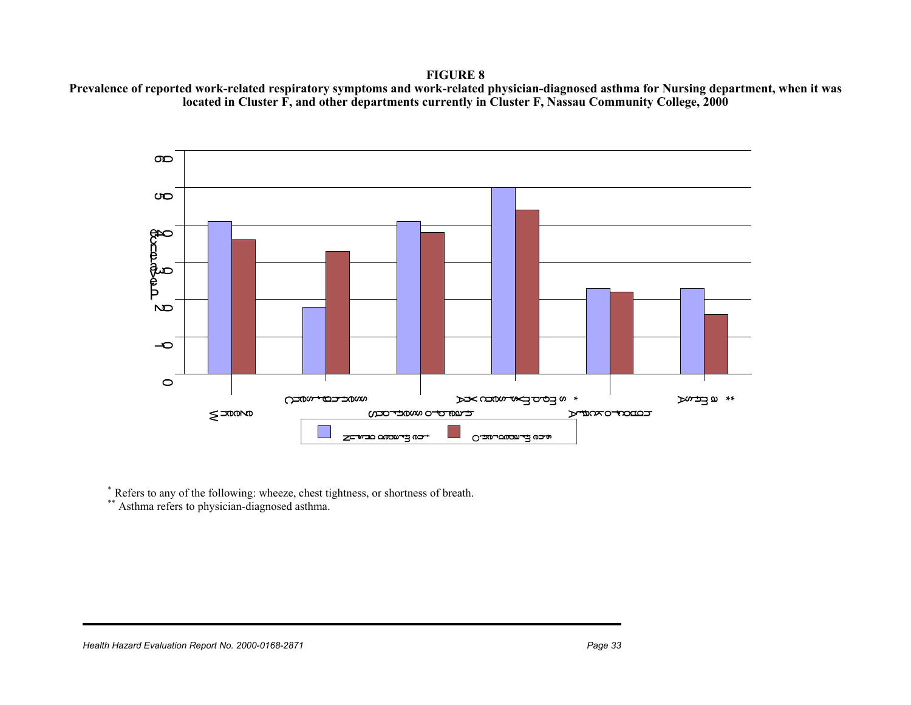#### **FIGURE 8**

 **Prevalence of reported work-related respiratory symptoms and work-related physician-diagnosed asthma for Nursing department, when it was located in Cluster F, and other departments currently in Cluster F, Nassau Community College, 2000**



\* Refers to any of the following: wheeze, chest tightness, or shortness of breath. \*\* Asthma refers to physician-diagnosed asthma.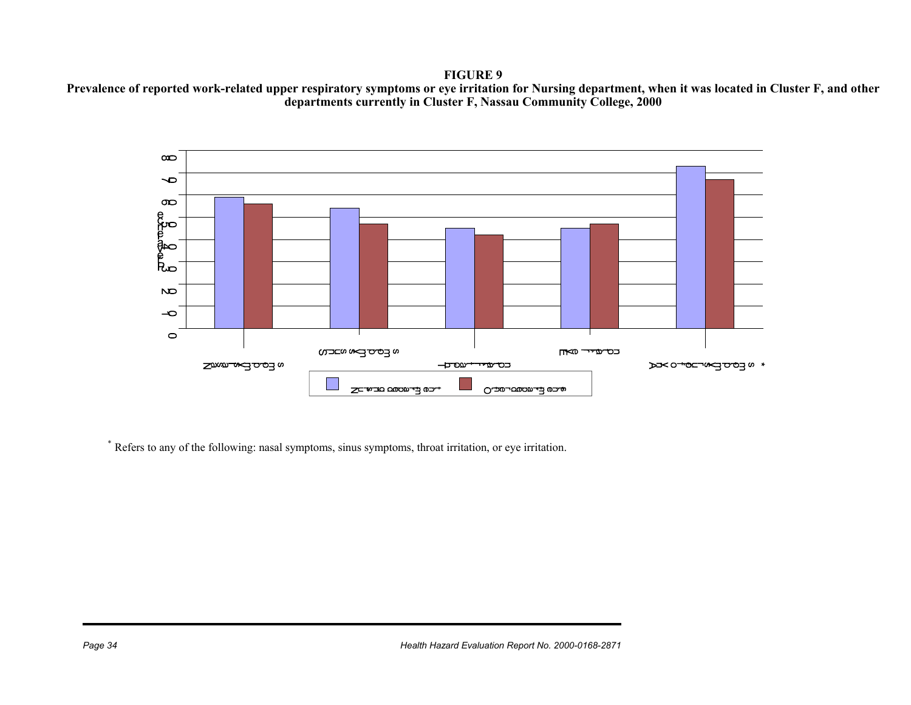#### **FIGURE 9**

 **Prevalence of reported work-related upper respiratory symptoms or eye irritation for Nursing department, when it was located in Cluster F, and other departments currently in Cluster F, Nassau Community College, 2000**



\* Refers to any of the following: nasal symptoms, sinus symptoms, throat irritation, or eye irritation.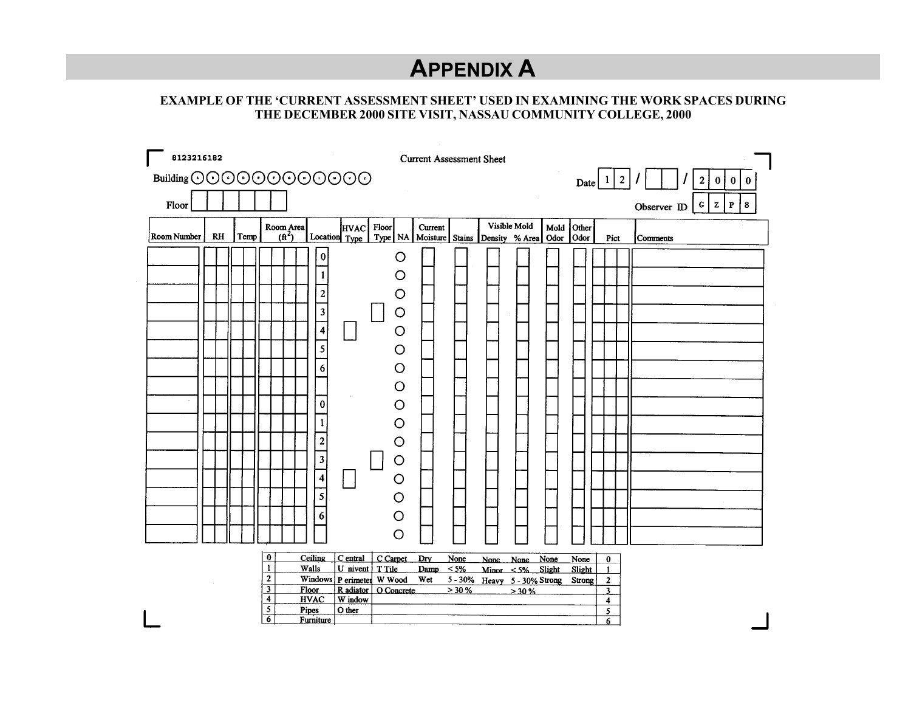# **APPENDIX A**

#### **EXAMPLE OF THE 'CURRENT ASSESSMENT SHEET' USED IN EXAMINING THE WORK SPACES DURING THE DECEMBER 2000 SITE VISIT, NASSAU COMMUNITY COLLEGE, 2000**

| 8123216182                              |                                                                                                                                                |                                                | <b>Current Assessment Sheet</b>                                                    |           |                                                     |               |                                                    |                                                                     |
|-----------------------------------------|------------------------------------------------------------------------------------------------------------------------------------------------|------------------------------------------------|------------------------------------------------------------------------------------|-----------|-----------------------------------------------------|---------------|----------------------------------------------------|---------------------------------------------------------------------|
| Building 0000000000                     |                                                                                                                                                |                                                |                                                                                    |           |                                                     |               | 1 2 <br>Date                                       | 2 0 <br>$\mathbf{0}$<br>$\bf{0}$                                    |
| Floor                                   |                                                                                                                                                |                                                |                                                                                    |           |                                                     |               |                                                    | Observer $\mathbb{D} \left[ G \right]$ z<br>$\bf{8}$<br>$\mathbf P$ |
| <b>Room Number</b><br><b>RH</b><br>Temp | Room Area<br>$(\hat{\mathbf{n}}^2)$                                                                                                            | HVAC Floor<br>Location Type                    | Current<br>Type   NA   Moisture   Stains                                           |           | Visible Mold<br>Density % Area   Odor   Odor        | Other<br>Mold | Pict                                               | Comments                                                            |
|                                         | $\bf{0}$<br>$\overline{c}$<br>3<br>4<br>5<br>6<br>$\bf{0}$<br>$\overline{\mathbf{c}}$<br>3<br>$\overline{\mathbf{4}}$<br>5<br>$\boldsymbol{6}$ |                                                | O<br>O<br>O<br>$\circ$<br>O<br>O<br>O<br>O<br>O<br>O<br>O<br>O<br>O<br>O<br>O<br>O |           |                                                     |               |                                                    |                                                                     |
|                                         | 0<br>Ceiling<br>1                                                                                                                              | $C$ entral                                     | C Carpet<br>Dry                                                                    | None      | None<br>None                                        | None<br>None  | $\bf{0}$                                           |                                                                     |
|                                         | Walls<br>$\mathbf{2}$                                                                                                                          | U nivent   T Tile<br>Windows P erimeter W Wood | Damp<br>Wet                                                                        | $\leq$ 5% | Minor $<$ 5% Slight<br>5 - 30% Heavy 5 - 30% Strong |               | Slight<br>$\mathbf{1}$<br>$\mathbf{2}$<br>Strong   |                                                                     |
|                                         | 3<br>Floor<br>4<br><b>HVAC</b>                                                                                                                 | R adiator<br>W indow                           | O Concrete                                                                         | $> 30 \%$ | > 30%                                               |               | $\overline{\mathbf{3}}$<br>$\overline{\mathbf{4}}$ |                                                                     |
|                                         | 5<br><b>Pipes</b><br>6<br>Furniture                                                                                                            | O ther                                         |                                                                                    |           |                                                     |               | 5<br>6                                             |                                                                     |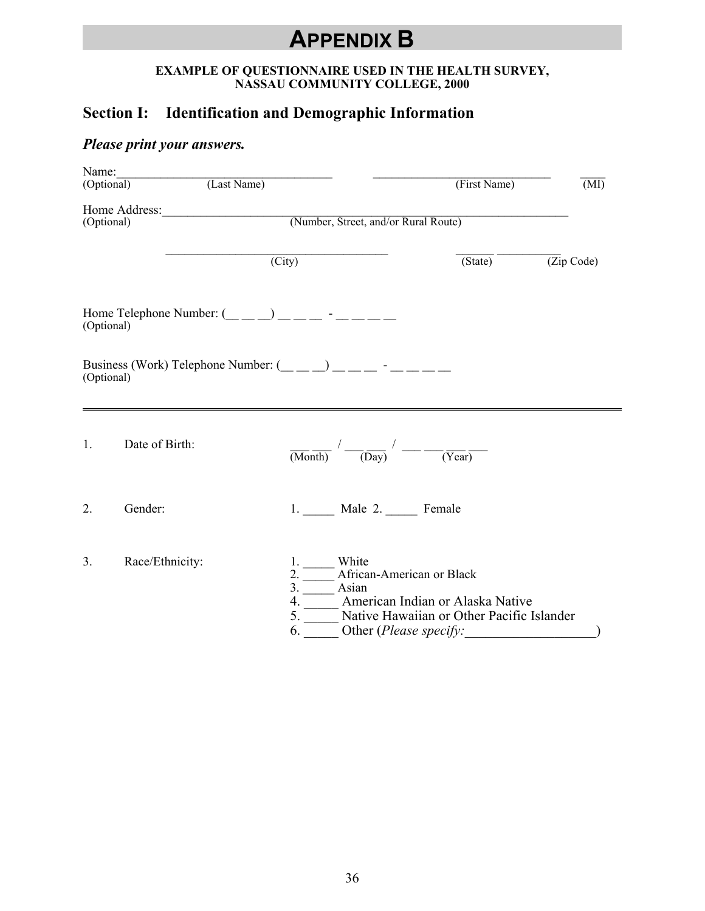# **APPENDIX B**

#### **EXAMPLE OF QUESTIONNAIRE USED IN THE HEALTH SURVEY, NASSAU COMMUNITY COLLEGE, 2000**

# **Section I: Identification and Demographic Information**

### *Please print your answers.*

| Name:       |                           |                                                                                                  |                                                                                        |                          |
|-------------|---------------------------|--------------------------------------------------------------------------------------------------|----------------------------------------------------------------------------------------|--------------------------|
|             | (Last Name)<br>(Optional) |                                                                                                  | (First Name)                                                                           | $\overline{\text{(MI)}}$ |
|             |                           |                                                                                                  |                                                                                        |                          |
|             | (Optional)                | (Number, Street, and/or Rural Route)                                                             |                                                                                        |                          |
|             |                           | $\overline{(City)}$                                                                              | $(\text{State})$                                                                       | (Zip Code)               |
|             | (Optional)                | Home Telephone Number: $(\_\_ \_ \_ \_ \_ \_ \_ \_ \_ \_ \_$                                     |                                                                                        |                          |
|             | (Optional)                | Business (Work) Telephone Number: $(\_\_ \_ \_ \_ \_ \_ \_ \_ \_ \_ \_ \_$                       |                                                                                        |                          |
| $1_{\cdot}$ | Date of Birth:            | $\frac{1}{(Month)}$ $\frac{1}{(Day)}$ $\frac{1}{(Year)}$                                         |                                                                                        |                          |
| 2.          | Gender:                   | 1. ______ Male 2. ______ Female                                                                  |                                                                                        |                          |
| 3.          | Race/Ethnicity:           | 1. White<br>African-American or Black<br>2.<br>3.<br>Asian<br>5.<br>6.<br>Other (Please specify: | 4. _____ American Indian or Alaska Native<br>Native Hawaiian or Other Pacific Islander |                          |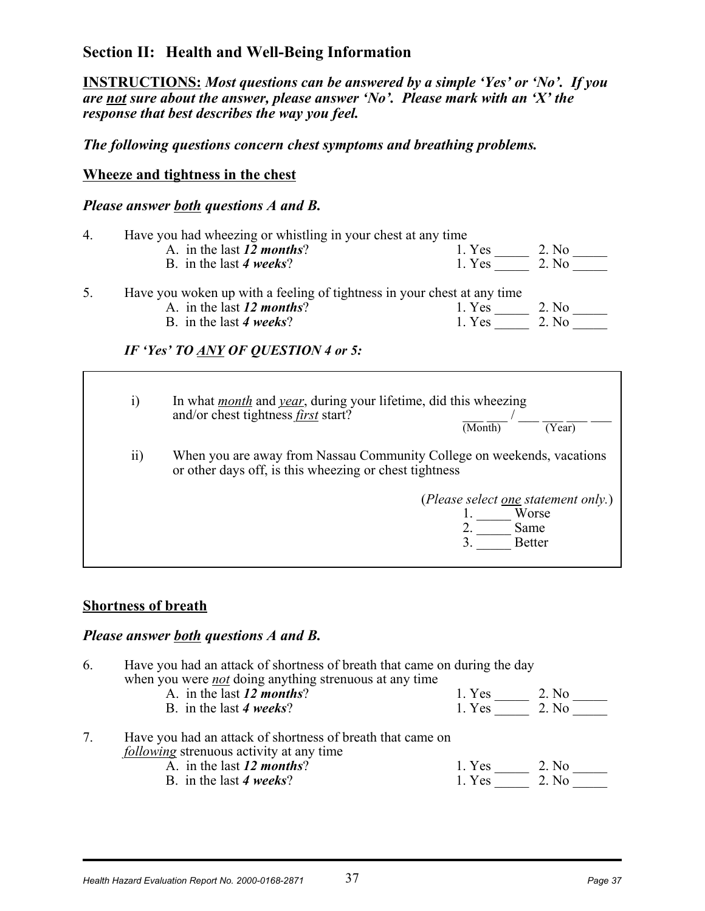# **Section II: Health and Well-Being Information**

**INSTRUCTIONS:** *Most questions can be answered by a simple 'Yes' or 'No'. If you are not sure about the answer, please answer 'No'. Please mark with an 'X' the response that best describes the way you feel.*

*The following questions concern chest symptoms and breathing problems.*

### **Wheeze and tightness in the chest**

### *Please answer both questions A and B.*

| 4. |                 | Have you had wheezing or whistling in your chest at any time                                                                     |                                            |               |
|----|-----------------|----------------------------------------------------------------------------------------------------------------------------------|--------------------------------------------|---------------|
|    |                 | A. in the last $12$ months?                                                                                                      | 1. Yes                                     | 2. No         |
|    |                 | B. in the last 4 weeks?                                                                                                          | 1. Yes                                     | 2. No         |
| 5. |                 | Have you woken up with a feeling of tightness in your chest at any time                                                          |                                            |               |
|    |                 | A. in the last 12 <i>months</i> ?                                                                                                | 1. Yes $\frac{2. N_0}{1. Y}$ 2. No         |               |
|    |                 | B. in the last 4 weeks?                                                                                                          |                                            |               |
|    |                 | IF 'Yes' TO ANY OF QUESTION 4 or 5:                                                                                              |                                            |               |
|    | i)              | In what <i>month</i> and <i>year</i> , during your lifetime, did this wheezing<br>and/or chest tightness <i>first</i> start?     | $\overline{\text{(Month)}}$                | (Year)        |
|    | $\overline{ii}$ | When you are away from Nassau Community College on weekends, vacations<br>or other days off, is this wheezing or chest tightness |                                            |               |
|    |                 |                                                                                                                                  | (Please select <u>one</u> statement only.) |               |
|    |                 |                                                                                                                                  |                                            | Worse         |
|    |                 |                                                                                                                                  |                                            | Same          |
|    |                 |                                                                                                                                  |                                            | <b>Better</b> |

### **Shortness of breath**

### *Please answer both questions A and B.*

| 6. | Have you had an attack of shortness of breath that came on during the day                              |        |       |
|----|--------------------------------------------------------------------------------------------------------|--------|-------|
|    | when you were <i>not</i> doing anything strenuous at any time<br>A. in the last 12 months?             | 1. Yes | 2. No |
|    | B. in the last 4 weeks?                                                                                | 1. Yes | 2. No |
|    | Have you had an attack of shortness of breath that came on<br>following strenuous activity at any time |        |       |
|    | $\overline{A}$ . in the last 12 <i>months</i> ?                                                        | 1. Yes | 2. No |
|    | B. in the last 4 weeks?                                                                                | 1. Yes | 2. No |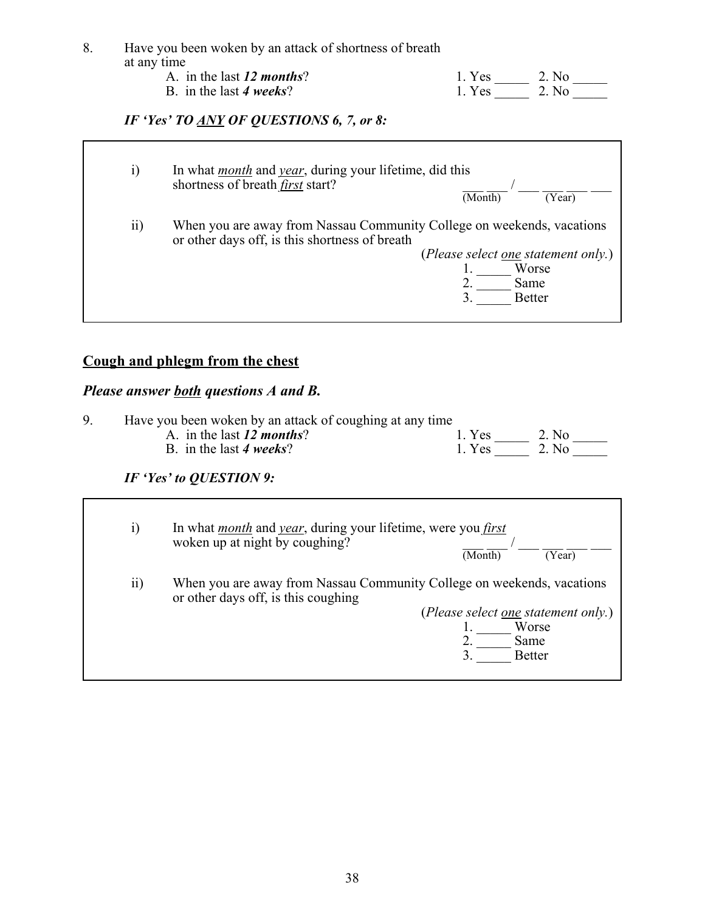| 8. | at any time         | Have you been woken by an attack of shortness of breath                                                                  |                                            |
|----|---------------------|--------------------------------------------------------------------------------------------------------------------------|--------------------------------------------|
|    |                     | A. in the last 12 <i>months</i> ?                                                                                        |                                            |
|    |                     | B. in the last 4 weeks?                                                                                                  |                                            |
|    |                     | IF 'Yes' TO ANY OF QUESTIONS 6, 7, or 8:                                                                                 |                                            |
|    |                     |                                                                                                                          |                                            |
|    | i)                  | In what <i>month</i> and <i>year</i> , during your lifetime, did this<br>shortness of breath <i>first</i> start?         | (Year)<br>$\overline{\text{(Month)}}$      |
|    | $\ddot{\text{ii}})$ | When you are away from Nassau Community College on weekends, vacations<br>or other days off, is this shortness of breath |                                            |
|    |                     |                                                                                                                          | (Please select <u>one</u> statement only.) |
|    |                     |                                                                                                                          | Worse<br>Same                              |
|    |                     |                                                                                                                          | <b>Better</b>                              |
|    |                     |                                                                                                                          |                                            |

# **Cough and phlegm from the chest**

# *Please answer both questions A and B.*

| Have you been woken by an attack of coughing at any time |       |        |  |
|----------------------------------------------------------|-------|--------|--|
| A. in the last $12$ months?                              | 1 Yes | 2. No  |  |
| B. in the last 4 weeks?                                  | 1 Yes | 2. No. |  |
|                                                          |       |        |  |

### *IF 'Yes' to QUESTION 9:*

| $\ddot{1}$        | In what <i>month</i> and <i>year</i> , during your lifetime, were you <i>first</i><br>woken up at night by coughing?<br>(Month)<br>(Year)                                                     |
|-------------------|-----------------------------------------------------------------------------------------------------------------------------------------------------------------------------------------------|
| $\overline{ii}$ ) | When you are away from Nassau Community College on weekends, vacations<br>or other days off, is this coughing<br>(Please select <u>one</u> statement only.)<br>Worse<br>Same<br><b>Better</b> |

1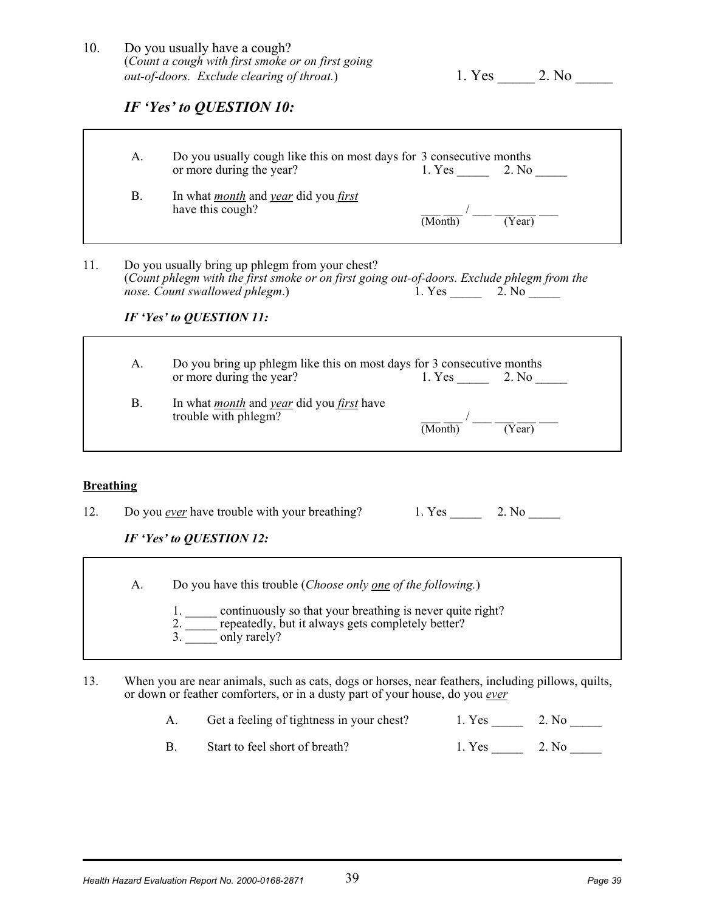| 10. | Do you usually have a cough?                      |
|-----|---------------------------------------------------|
|     | (Count a cough with first smoke or on first going |
|     | out-of-doors. Exclude clearing of throat.)        |

1. Yes \_\_\_\_\_\_ 2. No \_\_\_\_\_\_

### *IF 'Yes' to QUESTION 10:*

| A. | Do you usually cough like this on most days for 3 consecutive months<br>or more during the year? | 1. Yes  | 2. No  |
|----|--------------------------------------------------------------------------------------------------|---------|--------|
| В. | In what <i>month</i> and <i>year</i> did you <i>first</i><br>have this cough?                    | (Month) | (Year) |

11. Do you usually bring up phlegm from your chest? (*Count phlegm with the first smoke or on first going out-of-doors. Exclude phlegm from the nose.* Count swallowed phlegm.)

### *IF 'Yes' to QUESTION 11:*

| А. | Do you bring up phlegm like this on most days for 3 consecutive months                 |         |        |
|----|----------------------------------------------------------------------------------------|---------|--------|
|    | or more during the year?                                                               | 1. Yes  | 2. No  |
| В. | In what <i>month</i> and <i>year</i> did you <i>first</i> have<br>trouble with phlegm? | (Month) | (Year) |

#### **Breathing**

12. Do you <u>ever</u> have trouble with your breathing? 1. Yes 2. No 1.

### *IF 'Yes' to QUESTION 12:*

A. Do you have this trouble (*Choose only one of the following.*)

1. continuously so that your breathing is never quite right?

2. The repeatedly, but it always gets completely better?

3. only rarely?

13. When you are near animals, such as cats, dogs or horses, near feathers, including pillows, quilts, or down or feather comforters, or in a dusty part of your house, do you *ever*

| А. | Get a feeling of tightness in your chest? | 1. Yes | 2. No |
|----|-------------------------------------------|--------|-------|
|    | Start to feel short of breath?            | 1. Yes | 2. No |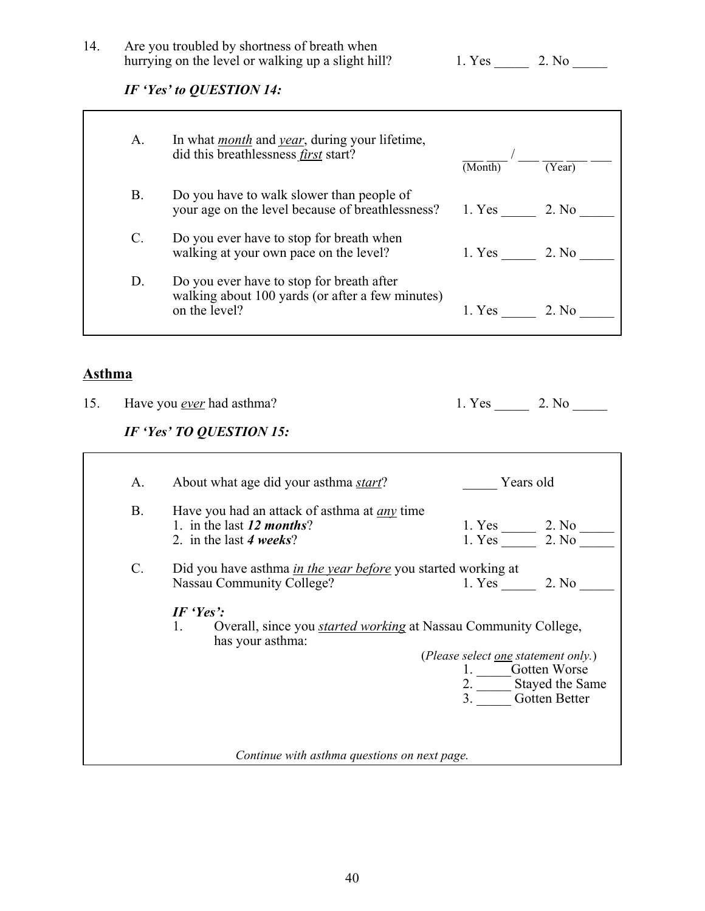### 14. Are you troubled by shortness of breath when hurrying on the level or walking up a slight hill? 1. Yes 2. No

# *IF 'Yes' to QUESTION 14:*

|               | A <sub>1</sub>  | In what <i>month</i> and <i>year</i> , during your lifetime,<br>did this breathlessness <i>first</i> start?    | $\frac{1}{(Month)}$ $\frac{1}{(Year)}$ - |  |
|---------------|-----------------|----------------------------------------------------------------------------------------------------------------|------------------------------------------|--|
|               | <b>B.</b>       | Do you have to walk slower than people of<br>your age on the level because of breathlessness? 1. Yes 2. No     |                                          |  |
|               | $\mathcal{C}$ . | Do you ever have to stop for breath when<br>walking at your own pace on the level?                             |                                          |  |
|               | D.              | Do you ever have to stop for breath after<br>walking about 100 yards (or after a few minutes)<br>on the level? | $1. Yes$ 2. No                           |  |
| <b>Asthma</b> |                 |                                                                                                                |                                          |  |
| 15.           |                 | Have you <i>ever</i> had asthma?                                                                               | $1. Yes \underline{\hspace{1cm}} 2. No$  |  |
|               |                 | IF 'Yes' TO QUESTION 15:                                                                                       |                                          |  |
|               | A <sub>1</sub>  | About what age did your asthma <i>start</i> ?                                                                  | Years old                                |  |
|               | B <sub>r</sub>  | Have you had an attack of asthma at <i>any</i> time<br>1. in the last $12$ months?<br>2. in the last 4 weeks?  | 1. Yes 2. No<br>1. Yes 2. No             |  |

*Continue with asthma questions on next page.*

C. Did you have asthma *in the year before* you started working at<br>Nassau Community College? 1. Yes 2. No

1. Overall, since you *started working* at Nassau Community College,

(*Please select one statement only.*) 1. Gotten Worse 2. Stayed the Same 3. \_\_\_\_\_ Gotten Better

Nassau Community College?

has your asthma:

*IF 'Yes':*<br>1. Ov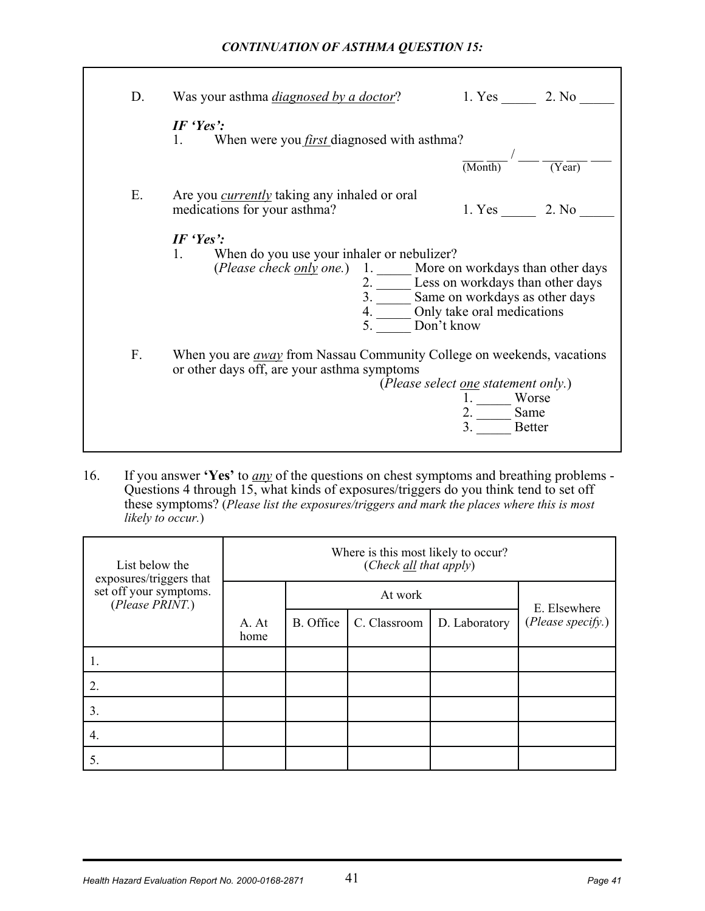### *CONTINUATION OF ASTHMA QUESTION 15:*

| D.          | 1. Yes 2. No<br>Was your asthma <i>diagnosed by a doctor</i> ?                                                                                                                                                                                                                    |
|-------------|-----------------------------------------------------------------------------------------------------------------------------------------------------------------------------------------------------------------------------------------------------------------------------------|
|             | IF 'Yes':<br>When were you <i>first</i> diagnosed with asthma?<br>$1 \quad$                                                                                                                                                                                                       |
|             | $\frac{1}{(\text{Year})}$<br>$\frac{1}{(Month)}$                                                                                                                                                                                                                                  |
| Ε.          | Are you <i>currently</i> taking any inhaled or oral<br>1. Yes 2. No<br>medications for your asthma?                                                                                                                                                                               |
|             | IF 'Yes':<br>1. When do you use your inhaler or nebulizer?<br>( <i>Please check</i> <u>only</u> one.) 1. More on workdays than other days<br>$\frac{2}{3}$ . Less on workdays than other days<br>Same on workdays as other days<br>4. Only take oral medications<br>5. Don't know |
| $F_{\cdot}$ | When you are <i>away</i> from Nassau Community College on weekends, vacations<br>or other days off, are your asthma symptoms                                                                                                                                                      |
|             | (Please select <u>one</u> statement only.)<br>Worse<br>$\frac{2}{3}$ . Same<br>Better                                                                                                                                                                                             |

16. If you answer **'Yes'** to *any* of the questions on chest symptoms and breathing problems - Questions 4 through 15, what kinds of exposures/triggers do you think tend to set off these symptoms? (*Please list the exposures/triggers and mark the places where this is most likely to occur.*)

| List below the<br>exposures/triggers that | Where is this most likely to occur?<br>(Check all that apply) |                  |              |               |                   |  |  |
|-------------------------------------------|---------------------------------------------------------------|------------------|--------------|---------------|-------------------|--|--|
| set off your symptoms.<br>(Please PRINT.) |                                                               |                  | E. Elsewhere |               |                   |  |  |
|                                           | A. At<br>home                                                 | <b>B.</b> Office | C. Classroom | D. Laboratory | (Please specify.) |  |  |
|                                           |                                                               |                  |              |               |                   |  |  |
| 2.                                        |                                                               |                  |              |               |                   |  |  |
| 3.                                        |                                                               |                  |              |               |                   |  |  |
| 4.                                        |                                                               |                  |              |               |                   |  |  |
| 5.                                        |                                                               |                  |              |               |                   |  |  |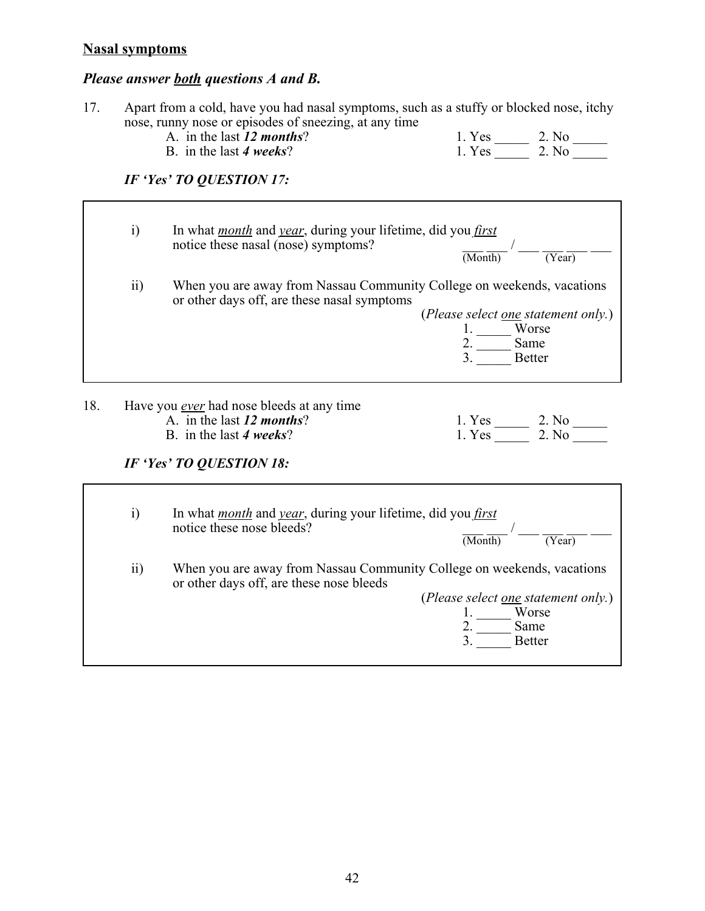### **Nasal symptoms**

### *Please answer both questions A and B.*

- 17. Apart from a cold, have you had nasal symptoms, such as a stuffy or blocked nose, itchy nose, runny nose or episodes of sneezing, at any time
	- B. in the last 4 weeks?

| A. in the last 12 <i>months</i> ? | 1. Yes | 2. No |
|-----------------------------------|--------|-------|
| B. in the last 4 weeks?           | 1. Yes | 2. No |

*IF 'Yes' TO QUESTION 17:*

|     | $\ddot{1}$      | In what <i>month</i> and <i>year</i> , during your lifetime, did you <i>first</i><br>notice these nasal (nose) symptoms? | $\frac{1}{(Month)}$<br>$-\frac{1}{(\text{Year})}$ |
|-----|-----------------|--------------------------------------------------------------------------------------------------------------------------|---------------------------------------------------|
|     | $\overline{11}$ | When you are away from Nassau Community College on weekends, vacations<br>or other days off, are these nasal symptoms    |                                                   |
|     |                 |                                                                                                                          | (Please select <u>one</u> statement only.)        |
|     |                 |                                                                                                                          |                                                   |
|     |                 |                                                                                                                          | $\frac{1}{2}$ . Worse<br>3. Same<br>3. Better     |
|     |                 |                                                                                                                          |                                                   |
|     |                 |                                                                                                                          |                                                   |
|     |                 |                                                                                                                          |                                                   |
|     |                 |                                                                                                                          |                                                   |
| 18. |                 | Have you <i>ever</i> had nose bleeds at any time                                                                         |                                                   |
|     |                 | A. in the last 12 <i>months</i> ?                                                                                        |                                                   |
|     |                 | B. in the last 4 weeks?                                                                                                  |                                                   |
|     |                 | IF 'Yes' TO QUESTION 18:                                                                                                 |                                                   |
|     |                 |                                                                                                                          |                                                   |
|     | $\ddot{1}$      | In what <i>month</i> and <i>year</i> , during your lifetime, did you <i>first</i>                                        |                                                   |
|     |                 | notice these nose bleeds?                                                                                                | $\frac{1}{(Month)}$ $\frac{1}{(Month)}$           |
|     |                 |                                                                                                                          | $\overline{\text{(Year)}}$                        |
|     | $\overline{ii}$ | When you are away from Nassau Community College on weekends, vacations                                                   |                                                   |
|     |                 | or other days off, are these nose bleeds                                                                                 |                                                   |
|     |                 |                                                                                                                          |                                                   |
|     |                 |                                                                                                                          | (Please select <u>one</u> statement only.)        |
|     |                 |                                                                                                                          | Worse                                             |
|     |                 |                                                                                                                          | Same                                              |
|     |                 |                                                                                                                          | <b>Better</b>                                     |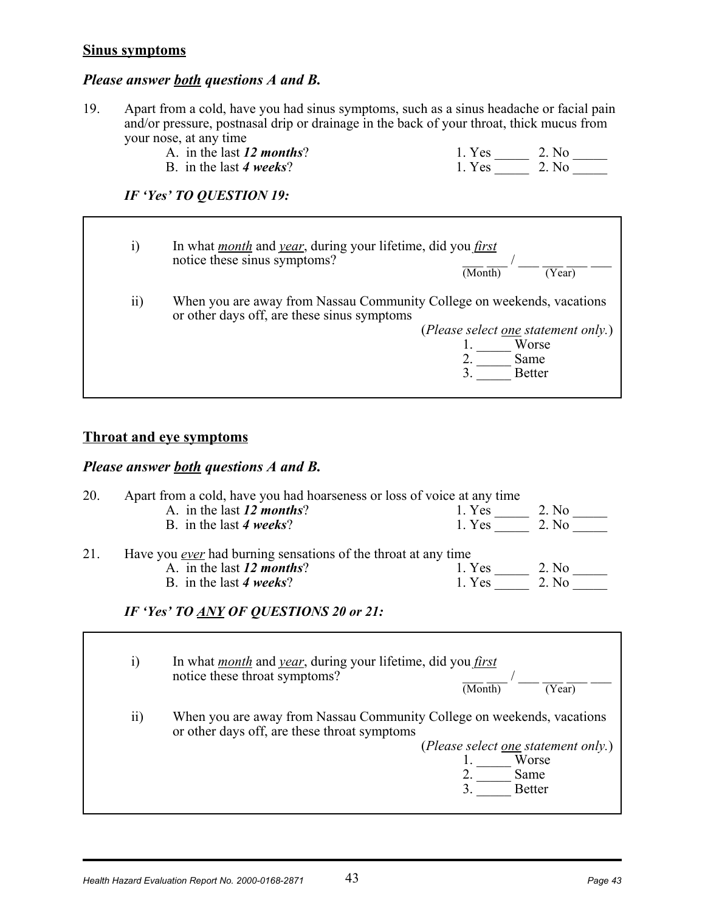### **Sinus symptoms**

### *Please answer both questions A and B.*

19. Apart from a cold, have you had sinus symptoms, such as a sinus headache or facial pain and/or pressure, postnasal drip or drainage in the back of your throat, thick mucus from your nose, at any time

| A. in the last $12$ months? | 1. Yes | 2. No  |
|-----------------------------|--------|--------|
| B. in the last 4 weeks?     | 1 Yes  | $2$ No |

### *IF 'Yes' TO QUESTION 19:*

| 1)              | In what <i>month</i> and <i>year</i> , during your lifetime, did you <i>first</i><br>notice these sinus symptoms?<br>(Month)<br>Year)                                                          |
|-----------------|------------------------------------------------------------------------------------------------------------------------------------------------------------------------------------------------|
| $\overline{ii}$ | When you are away from Nassau Community College on weekends, vacations<br>or other days off, are these sinus symptoms<br>(Please select one statement only.)<br>Worse<br>Same<br><b>Better</b> |

### **Throat and eye symptoms**

### *Please answer both questions A and B.*

| 20. | Apart from a cold, have you had hoarseness or loss of voice at any time |                                                                                                                        |                                            |                                |  |  |  |
|-----|-------------------------------------------------------------------------|------------------------------------------------------------------------------------------------------------------------|--------------------------------------------|--------------------------------|--|--|--|
|     |                                                                         | A. in the last 12 months?                                                                                              |                                            |                                |  |  |  |
|     |                                                                         | B. in the last 4 weeks?                                                                                                |                                            | 1. Yes $\frac{2. N_0}{2. N_0}$ |  |  |  |
| 21. |                                                                         | Have you <u>ever</u> had burning sensations of the throat at any time                                                  |                                            |                                |  |  |  |
|     |                                                                         | A. in the last 12 <i>months</i> ?                                                                                      |                                            |                                |  |  |  |
|     |                                                                         | B. in the last 4 weeks?                                                                                                |                                            | 1. Yes $\frac{2. N_0}{2. N_0}$ |  |  |  |
|     |                                                                         | IF 'Yes' TO ANY OF QUESTIONS 20 or 21:                                                                                 |                                            |                                |  |  |  |
|     | i)                                                                      | In what <i>month</i> and <i>year</i> , during your lifetime, did you <i>first</i><br>notice these throat symptoms?     | (Month)                                    | (Year)                         |  |  |  |
|     | $\ddot{\text{ii}})$                                                     | When you are away from Nassau Community College on weekends, vacations<br>or other days off, are these throat symptoms |                                            |                                |  |  |  |
|     |                                                                         |                                                                                                                        |                                            |                                |  |  |  |
|     |                                                                         |                                                                                                                        |                                            |                                |  |  |  |
|     |                                                                         |                                                                                                                        | (Please select <u>one</u> statement only.) | Worse                          |  |  |  |
|     |                                                                         |                                                                                                                        |                                            | Same                           |  |  |  |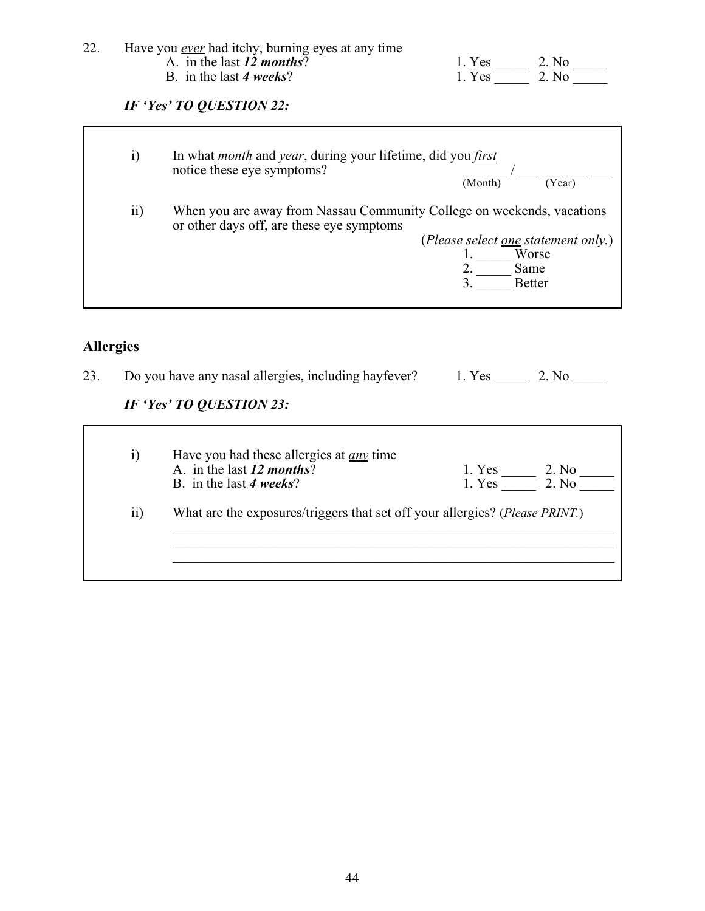| 22.                     |                 | Have you ever had itchy, burning eyes at any time<br>A. in the last 12 <i>months</i> ?<br>B. in the last 4 weeks?   | 1. Yes ________ 2. No ________<br>1. Yes ________ 2. No ________                         |
|-------------------------|-----------------|---------------------------------------------------------------------------------------------------------------------|------------------------------------------------------------------------------------------|
|                         |                 | IF 'Yes' TO QUESTION 22:                                                                                            |                                                                                          |
|                         | $\ddot{1}$      | In what <i>month</i> and <i>year</i> , during your lifetime, did you <i>first</i><br>notice these eye symptoms?     | $\frac{1}{(Month)}$ $\frac{1}{(Year)}$                                                   |
|                         | $\overline{ii}$ | When you are away from Nassau Community College on weekends, vacations<br>or other days off, are these eye symptoms | (Please select <u>one</u> statement only.)<br>$\frac{1}{2}$ . Worse<br>3. Same<br>Better |
| <b>Allergies</b><br>23. |                 | Do you have any nasal allergies, including hayfever? 1. Yes _________ 2. No _______                                 |                                                                                          |
|                         |                 | IF 'Yes' TO QUESTION 23:                                                                                            |                                                                                          |
|                         | $\ddot{1}$      | Have you had these allergies at <u>any</u> time<br>A. in the last 12 <i>months</i> ?<br>B. in the last 4 weeks?     | 1. Yes ________ 2. No ________<br>1. Yes ________ 2. No ________                         |
|                         | $\overline{ii}$ | What are the exposures/triggers that set off your allergies? (Please PRINT.)                                        |                                                                                          |

 $\mathcal{L}_\text{max}$  , and the contribution of the contribution of the contribution of the contribution of the contribution of the contribution of the contribution of the contribution of the contribution of the contribution of t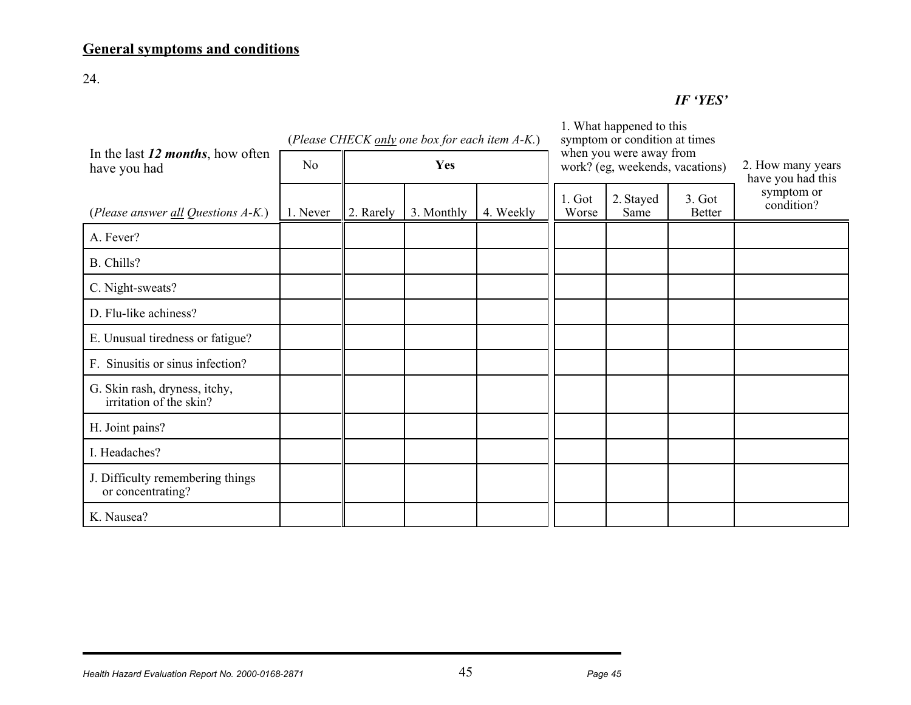# **General symptoms and conditions**

24.

*IF 'YES'*

|                                                          | (Please CHECK only one box for each item A-K.) |           |            |           |                                                            | 1. What happened to this<br>symptom or condition at times |                           |                                        |  |
|----------------------------------------------------------|------------------------------------------------|-----------|------------|-----------|------------------------------------------------------------|-----------------------------------------------------------|---------------------------|----------------------------------------|--|
| In the last $12$ months, how often<br>have you had       | N <sub>0</sub>                                 | Yes       |            |           | when you were away from<br>work? (eg, weekends, vacations) |                                                           |                           | 2. How many years<br>have you had this |  |
| (Please answer all Questions A-K.)                       | 1. Never                                       | 2. Rarely | 3. Monthly | 4. Weekly | 1. Got<br>Worse                                            | 2. Stayed<br>Same                                         | $3.$ Got<br><b>Better</b> | symptom or<br>condition?               |  |
| A. Fever?                                                |                                                |           |            |           |                                                            |                                                           |                           |                                        |  |
| B. Chills?                                               |                                                |           |            |           |                                                            |                                                           |                           |                                        |  |
| C. Night-sweats?                                         |                                                |           |            |           |                                                            |                                                           |                           |                                        |  |
| D. Flu-like achiness?                                    |                                                |           |            |           |                                                            |                                                           |                           |                                        |  |
| E. Unusual tiredness or fatigue?                         |                                                |           |            |           |                                                            |                                                           |                           |                                        |  |
| F. Sinusitis or sinus infection?                         |                                                |           |            |           |                                                            |                                                           |                           |                                        |  |
| G. Skin rash, dryness, itchy,<br>irritation of the skin? |                                                |           |            |           |                                                            |                                                           |                           |                                        |  |
| H. Joint pains?                                          |                                                |           |            |           |                                                            |                                                           |                           |                                        |  |
| I. Headaches?                                            |                                                |           |            |           |                                                            |                                                           |                           |                                        |  |
| J. Difficulty remembering things<br>or concentrating?    |                                                |           |            |           |                                                            |                                                           |                           |                                        |  |
| K. Nausea?                                               |                                                |           |            |           |                                                            |                                                           |                           |                                        |  |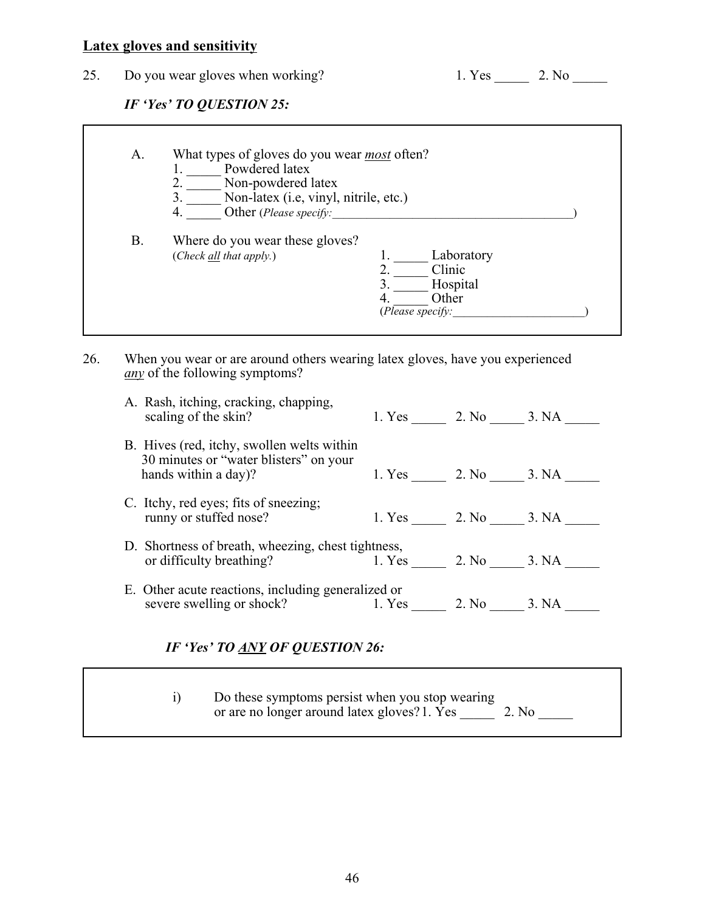### **Latex gloves and sensitivity**

25. Do you wear gloves when working?

| L Yes | 2. No |  |
|-------|-------|--|
|       |       |  |

### *IF 'Yes' TO QUESTION 25:*

|           | Powdered latex<br>Non-powdered latex<br>Non-latex (i.e, vinyl, nitrile, etc.) |                      |  |
|-----------|-------------------------------------------------------------------------------|----------------------|--|
|           | Other (Please specify:                                                        |                      |  |
| <b>B.</b> | Where do you wear these gloves?                                               |                      |  |
|           | (Check all that apply.)                                                       | Laboratory<br>Clinic |  |
|           |                                                                               | Hospital             |  |

26. When you wear or are around others wearing latex gloves, have you experienced *any* of the following symptoms?

| A. Rash, itching, cracking, chapping,<br>scaling of the skin?                                                | 1. Yes 2. No 3. NA |             |  |
|--------------------------------------------------------------------------------------------------------------|--------------------|-------------|--|
| B. Hives (red, itchy, swollen welts within<br>30 minutes or "water blisters" on your<br>hands within a day)? | 1. Yes 2. No 3. NA |             |  |
| C. Itchy, red eyes; fits of sneezing;<br>runny or stuffed nose?                                              | 1. Yes 2. No 3. NA |             |  |
| D. Shortness of breath, wheezing, chest tightness,<br>or difficulty breathing?                               | 1. Yes 2. No 3. NA |             |  |
| E. Other acute reactions, including generalized or<br>severe swelling or shock?                              | 1. Yes             | 2. No 3. NA |  |

# *IF 'Yes' TO ANY OF QUESTION 26:*

i) Do these symptoms persist when you stop wearing or are no longer around latex gloves? 1. Yes \_\_\_\_\_\_\_\_ 2. No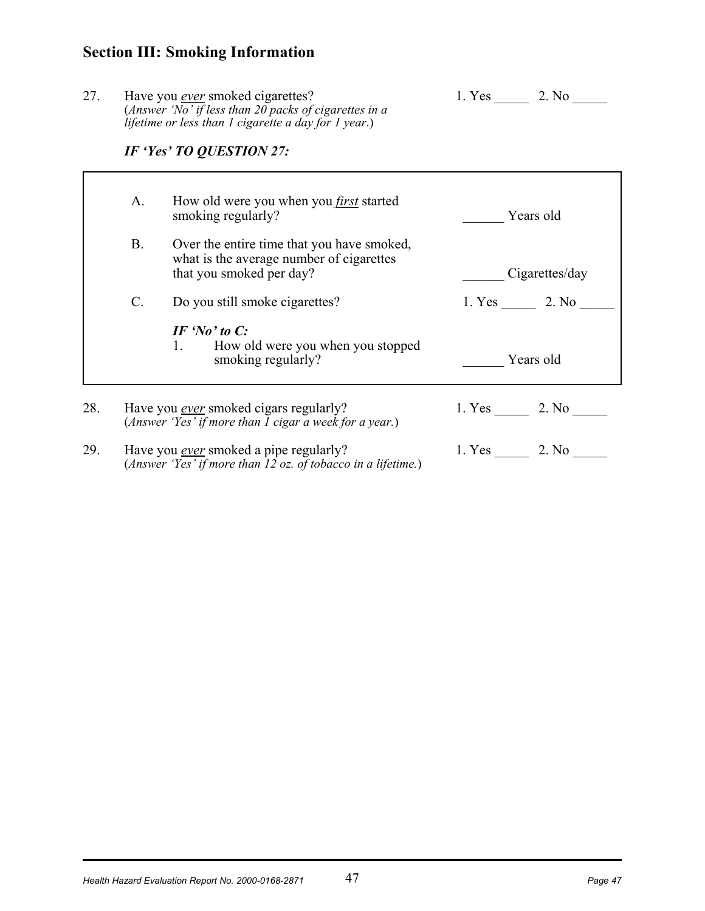# **Section III: Smoking Information**

| 27. | Have you <i>ever</i> smoked cigarettes?                                        | 1. Yes | 2. No |  |
|-----|--------------------------------------------------------------------------------|--------|-------|--|
|     | (Answer 'No' if less than 20 packs of cigarettes in a                          |        |       |  |
|     | lifetime or less than $\overline{I}$ cigarette a day for $\overline{I}$ year.) |        |       |  |

### *IF 'Yes' TO QUESTION 27:*

|     | A.        | How old were you when you <i>first</i> started<br>smoking regularly?                                               | Years old       |
|-----|-----------|--------------------------------------------------------------------------------------------------------------------|-----------------|
|     | <b>B.</b> | Over the entire time that you have smoked,<br>what is the average number of cigarettes<br>that you smoked per day? | Cigarettes/day  |
|     | C.        | Do you still smoke cigarettes?                                                                                     |                 |
|     |           | IF 'No' to $C$ :<br>1. How old were you when you stopped<br>smoking regularly?                                     | Years old       |
| 28. |           | Have you <i>ever</i> smoked cigars regularly?<br>(Answer 'Yes' if more than 1 cigar a week for a year.)            | 1. Yes 2. No    |
| 29. |           | Have you <i>ever</i> smoked a pipe regularly?<br>(Answer 'Yes' if more than $12$ oz. of tobacco in a lifetime.)    | 1. Yes<br>2. No |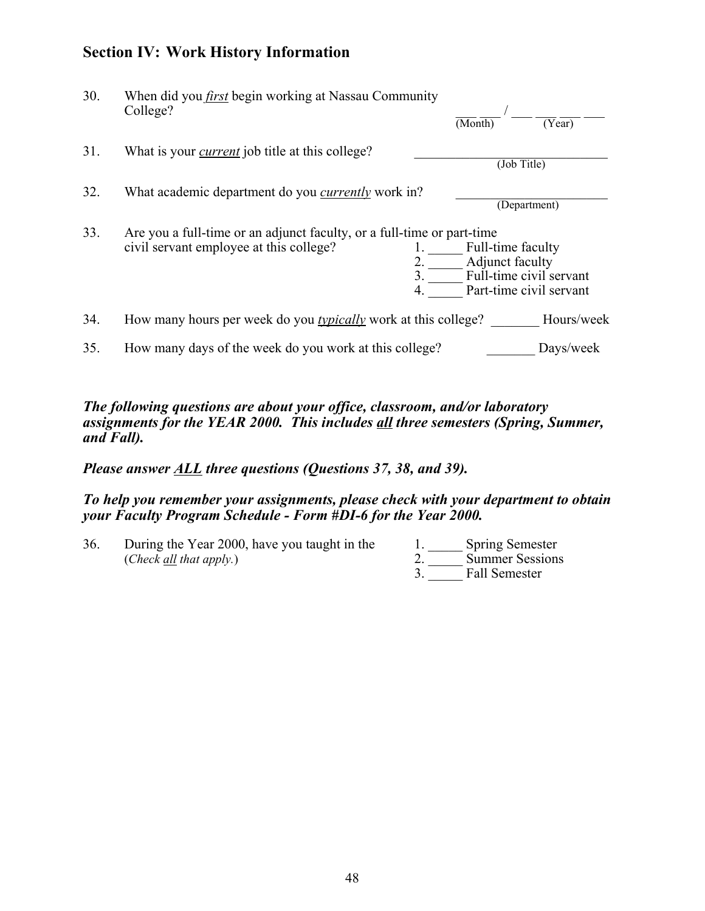### **Section IV: Work History Information**

| 30. | When did you <i>first</i> begin working at Nassau Community<br>College?                                                                         | (Year)<br>(Month)                                                                          |
|-----|-------------------------------------------------------------------------------------------------------------------------------------------------|--------------------------------------------------------------------------------------------|
| 31. | What is your <i>current</i> job title at this college?                                                                                          | (Job Title)                                                                                |
| 32. | What academic department do you <i>currently</i> work in?                                                                                       | (Department)                                                                               |
| 33. | Are you a full-time or an adjunct faculty, or a full-time or part-time<br>civil servant employee at this college?<br>2.<br>3 <sub>1</sub><br>4. | Full-time faculty<br>Adjunct faculty<br>Full-time civil servant<br>Part-time civil servant |
| 34. | How many hours per week do you <i>typically</i> work at this college?                                                                           | Hours/week                                                                                 |
| 35. | How many days of the week do you work at this college?                                                                                          | Days/week                                                                                  |

*The following questions are about your office, classroom, and/or laboratory assignments for the YEAR 2000. This includes all three semesters (Spring, Summer, and Fall).* 

### *Please answer ALL three questions (Questions 37, 38, and 39).*

### *To help you remember your assignments, please check with your department to obtain your Faculty Program Schedule - Form #DI-6 for the Year 2000.*

- 36. During the Year 2000, have you taught in the  $(Check \text{ all that apply.})$ (*Check all that apply.*) 2. \_\_\_\_\_ Summer Sessions
	- 3. \_\_\_\_\_ Fall Semester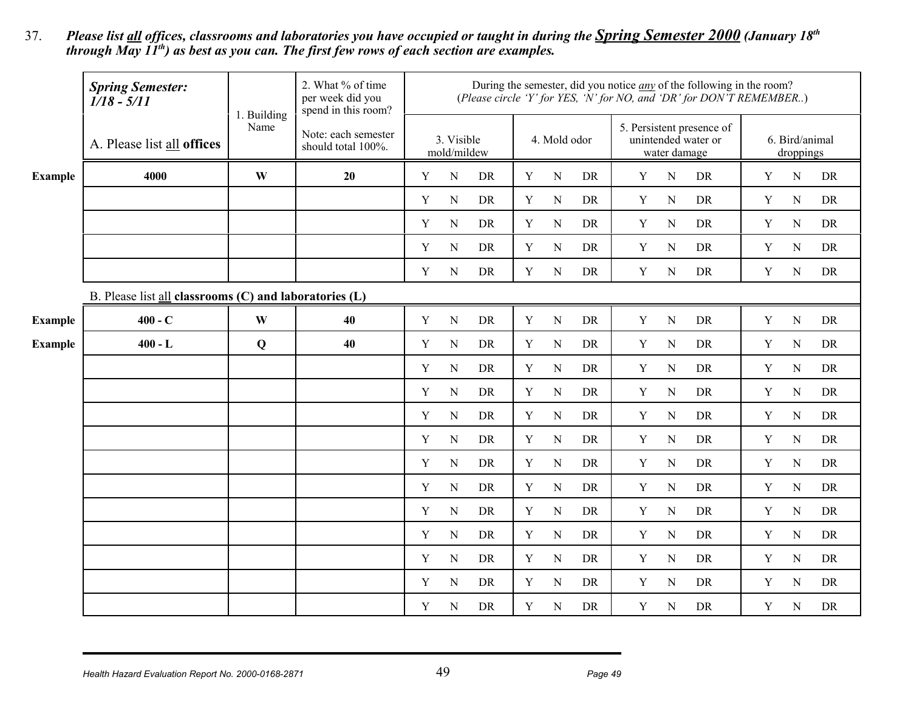37. *Please list all offices, classrooms and laboratories you have occupied or taught in during the Spring Semester 2000 (January 18th through May 11th) as best as you can. The first few rows of each section are examples.*

|                | <b>Spring Semester:</b><br>$1/18 - 5/11$               | 1. Building | 2. What % of time<br>per week did you<br>spend in this room? | During the semester, did you notice $\frac{any}{any}$ of the following in the room?<br>(Please circle 'Y' for YES, 'N' for NO, and 'DR' for DON'T REMEMBER) |           |           |              |             |           |                                                                  |             |           |                             |             |           |
|----------------|--------------------------------------------------------|-------------|--------------------------------------------------------------|-------------------------------------------------------------------------------------------------------------------------------------------------------------|-----------|-----------|--------------|-------------|-----------|------------------------------------------------------------------|-------------|-----------|-----------------------------|-------------|-----------|
|                | A. Please list all offices                             | Name        | Note: each semester<br>should total 100%.                    | 3. Visible<br>mold/mildew                                                                                                                                   |           |           | 4. Mold odor |             |           | 5. Persistent presence of<br>unintended water or<br>water damage |             |           | 6. Bird/animal<br>droppings |             |           |
| <b>Example</b> | 4000                                                   | W           | 20                                                           | Y                                                                                                                                                           | ${\bf N}$ | DR        | Y            | $\mathbf N$ | DR        | Y                                                                | ${\bf N}$   | <b>DR</b> | Y                           | ${\bf N}$   | DR        |
|                |                                                        |             |                                                              | $\mathbf Y$                                                                                                                                                 | ${\bf N}$ | <b>DR</b> | $\mathbf Y$  | $\mathbf N$ | DR        | $\mathbf Y$                                                      | ${\bf N}$   | DR        | $\mathbf Y$                 | ${\bf N}$   | DR        |
|                |                                                        |             |                                                              | Y                                                                                                                                                           | ${\bf N}$ | DR        | Y            | N           | DR        | $\mathbf Y$                                                      | N           | DR        | Y                           | $\mathbf N$ | DR        |
|                |                                                        |             |                                                              | $\mathbf Y$                                                                                                                                                 | ${\bf N}$ | DR        | $\mathbf Y$  | $\mathbf N$ | DR        | $\mathbf Y$                                                      | $\mathbf N$ | DR        | $\mathbf Y$                 | ${\bf N}$   | DR        |
|                |                                                        |             |                                                              | Y                                                                                                                                                           | ${\bf N}$ | DR        | $\mathbf Y$  | $\mathbf N$ | DR        | $\mathbf Y$                                                      | $\mathbf N$ | DR        | Y                           | $\mathbf N$ | DR        |
|                | B. Please list all classrooms (C) and laboratories (L) |             |                                                              |                                                                                                                                                             |           |           |              |             |           |                                                                  |             |           |                             |             |           |
| <b>Example</b> | $400 - C$                                              | W           | 40                                                           | $\mathbf Y$                                                                                                                                                 | ${\bf N}$ | DR        | $\mathbf Y$  | $\mathbf N$ | DR        | $\mathbf Y$                                                      | $\mathbf N$ | DR        | $\mathbf Y$                 | $\mathbf N$ | DR        |
| <b>Example</b> | $400 - L$                                              | Q           | 40                                                           | $\mathbf Y$                                                                                                                                                 | ${\bf N}$ | DR        | $\mathbf Y$  | N           | DR        | $\mathbf Y$                                                      | ${\bf N}$   | <b>DR</b> | Y                           | $\mathbf N$ | DR        |
|                |                                                        |             |                                                              | $\mathbf Y$                                                                                                                                                 | ${\bf N}$ | DR        | $\mathbf Y$  | N           | DR        | $\mathbf Y$                                                      | N           | DR        | Y                           | ${\bf N}$   | DR        |
|                |                                                        |             |                                                              | Y                                                                                                                                                           | ${\bf N}$ | DR        | $\mathbf Y$  | N           | DR        | $\mathbf Y$                                                      | $\mathbf N$ | DR        | Y                           | ${\bf N}$   | DR        |
|                |                                                        |             |                                                              | Y                                                                                                                                                           | ${\bf N}$ | DR        | $\mathbf Y$  | $\mathbf N$ | DR        | $\mathbf Y$                                                      | $\mathbf N$ | DR        | $\mathbf Y$                 | ${\bf N}$   | <b>DR</b> |
|                |                                                        |             |                                                              | $\mathbf Y$                                                                                                                                                 | ${\bf N}$ | <b>DR</b> | $\mathbf Y$  | N           | DR        | $\mathbf Y$                                                      | $\mathbf N$ | <b>DR</b> | $\mathbf Y$                 | $\mathbf N$ | <b>DR</b> |
|                |                                                        |             |                                                              | $\mathbf Y$                                                                                                                                                 | ${\bf N}$ | DR        | $\mathbf Y$  | $\mathbf N$ | DR        | $\mathbf Y$                                                      | ${\bf N}$   | DR        | $\mathbf Y$                 | ${\bf N}$   | DR        |
|                |                                                        |             |                                                              | Y                                                                                                                                                           | ${\bf N}$ | DR        | $\mathbf Y$  | N           | <b>DR</b> | $\mathbf Y$                                                      | N           | <b>DR</b> | Y                           | $\mathbf N$ | DR        |
|                |                                                        |             |                                                              | $\mathbf Y$                                                                                                                                                 | ${\bf N}$ | DR        | $\mathbf Y$  | N           | <b>DR</b> | $\mathbf Y$                                                      | $\mathbf N$ | DR        | Y                           | $\mathbf N$ | DR        |
|                |                                                        |             |                                                              | Y                                                                                                                                                           | ${\bf N}$ | DR        | $\mathbf Y$  | $\mathbf N$ | <b>DR</b> | $\mathbf Y$                                                      | $\mathbf N$ | DR        | $\mathbf Y$                 | ${\bf N}$   | DR        |
|                |                                                        |             |                                                              | Y                                                                                                                                                           | ${\bf N}$ | DR        | $\mathbf Y$  | N           | <b>DR</b> | $\mathbf Y$                                                      | N           | <b>DR</b> | Y                           | $\mathbf N$ | DR        |
|                |                                                        |             |                                                              | Y                                                                                                                                                           | N         | DR        | Y            | N           | DR        | Y                                                                | N           | DR        | Y                           | N           | DR        |
|                |                                                        |             |                                                              | Y                                                                                                                                                           | ${\bf N}$ | DR        | $\mathbf Y$  | $\mathbf N$ | DR        | $\mathbf Y$                                                      | $\mathbf N$ | DR        | $\mathbf Y$                 | N           | DR        |

*Health Hazard Evaluation Report No. 2000-0168-2871 Page 49* 49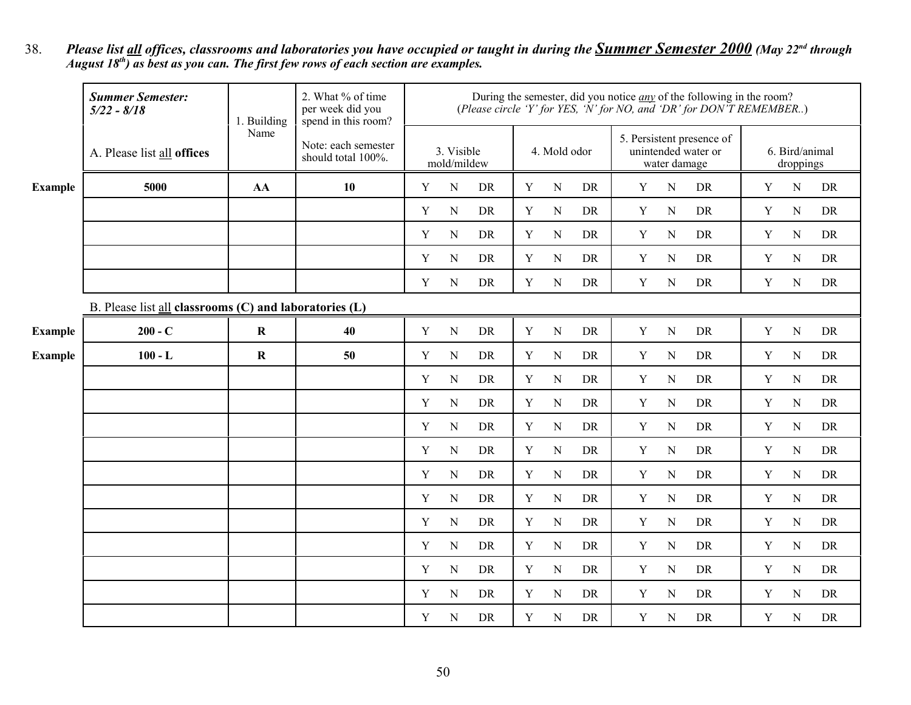38. *Please list all offices, classrooms and laboratories you have occupied or taught in during the Summer Semester 2000 (May 22nd through August 18th) as best as you can. The first few rows of each section are examples.*

|                | <b>Summer Semester:</b><br>$5/22 - 8/18$               | 1. Building | 2. What % of time<br>per week did you<br>spend in this room? |             | During the semester, did you notice $\frac{any}{any}$ of the following in the room?<br>(Please circle 'Y' for YES, 'N' for NO, and 'DR' for DON'T REMEMBER) |            |             |                |           |             |              |                                                  |             |                             |           |
|----------------|--------------------------------------------------------|-------------|--------------------------------------------------------------|-------------|-------------------------------------------------------------------------------------------------------------------------------------------------------------|------------|-------------|----------------|-----------|-------------|--------------|--------------------------------------------------|-------------|-----------------------------|-----------|
|                | A. Please list all offices                             | Name        | Note: each semester<br>should total 100%.                    |             | 3. Visible<br>mold/mildew                                                                                                                                   |            |             | 4. Mold odor   |           |             | water damage | 5. Persistent presence of<br>unintended water or |             | 6. Bird/animal<br>droppings |           |
| <b>Example</b> | 5000                                                   | AA          | 10                                                           | Y           | ${\bf N}$                                                                                                                                                   | DR         | Y           | ${\bf N}$      | DR        | $\mathbf Y$ | $\mathbf N$  | DR                                               | Y           | ${\bf N}$                   | DR        |
|                |                                                        |             |                                                              | $\mathbf Y$ | ${\bf N}$                                                                                                                                                   | DR         | $\mathbf Y$ | ${\bf N}$      | <b>DR</b> | $\mathbf Y$ | N            | DR                                               | $\mathbf Y$ | ${\bf N}$                   | <b>DR</b> |
|                |                                                        |             |                                                              | Y           | $\mathbf N$                                                                                                                                                 | <b>DR</b>  | Y           | ${\bf N}$      | <b>DR</b> | $\mathbf Y$ | N            | DR                                               | $\mathbf Y$ | ${\bf N}$                   | DR        |
|                |                                                        |             |                                                              | Y           | ${\bf N}$                                                                                                                                                   | DR         | Y           | $\mathbf N$    | DR        | $\mathbf Y$ | N            | DR                                               | $\mathbf Y$ | ${\bf N}$                   | DR        |
|                |                                                        |             |                                                              | Y           | ${\bf N}$                                                                                                                                                   | <b>DR</b>  | Y           | ${\bf N}$      | DR        | $\mathbf Y$ | $\mathbf N$  | DR                                               | Y           | ${\bf N}$                   | DR        |
|                | B. Please list all classrooms (C) and laboratories (L) |             |                                                              |             |                                                                                                                                                             |            |             |                |           |             |              |                                                  |             |                             |           |
| <b>Example</b> | $200 - C$                                              | $\mathbf R$ | 40                                                           | $\mathbf Y$ | ${\bf N}$                                                                                                                                                   | DR         | $\mathbf Y$ | ${\bf N}$      | DR        | $\mathbf Y$ | ${\bf N}$    | DR                                               | $\mathbf Y$ | ${\bf N}$                   | DR        |
| <b>Example</b> | $100 - L$                                              | ${\bf R}$   | 50                                                           | $\mathbf Y$ | ${\bf N}$                                                                                                                                                   | DR         | Y           | ${\bf N}$      | DR        | $\mathbf Y$ | ${\bf N}$    | DR                                               | Y           | ${\bf N}$                   | DR        |
|                |                                                        |             |                                                              | $\mathbf Y$ | $\mathbf N$                                                                                                                                                 | DR         | $\mathbf Y$ | ${\bf N}$      | DR        | $\mathbf Y$ | ${\bf N}$    | DR                                               | $\mathbf Y$ | ${\bf N}$                   | DR        |
|                |                                                        |             |                                                              | $\mathbf Y$ | ${\bf N}$                                                                                                                                                   | ${\rm DR}$ | $\mathbf Y$ | ${\bf N}$      | DR        | $\mathbf Y$ | $\mathbf N$  | DR                                               | $\mathbf Y$ | ${\bf N}$                   | DR        |
|                |                                                        |             |                                                              | $\mathbf Y$ | ${\bf N}$                                                                                                                                                   | DR         | $\mathbf Y$ | ${\bf N}$      | DR        | $\mathbf Y$ | N            | DR                                               | Y           | ${\bf N}$                   | DR        |
|                |                                                        |             |                                                              | $\mathbf Y$ | ${\bf N}$                                                                                                                                                   | DR         | $\mathbf Y$ | ${\bf N}$      | DR        | $\mathbf Y$ | ${\bf N}$    | DR                                               | $\mathbf Y$ | ${\bf N}$                   | <b>DR</b> |
|                |                                                        |             |                                                              | $\mathbf Y$ | $\mathbf N$                                                                                                                                                 | DR         | $\mathbf Y$ | ${\bf N}$      | DR        | $\mathbf Y$ | $\mathbf N$  | DR                                               | $\mathbf Y$ | ${\bf N}$                   | DR        |
|                |                                                        |             |                                                              | $\mathbf Y$ | ${\bf N}$                                                                                                                                                   | DR         | $\mathbf Y$ | ${\bf N}$      | DR        | $\mathbf Y$ | N            | DR                                               | $\mathbf Y$ | ${\bf N}$                   | <b>DR</b> |
|                |                                                        |             |                                                              | $\mathbf Y$ | N                                                                                                                                                           | DR         | Y           | ${\bf N}$      | DR        | $\mathbf Y$ | ${\bf N}$    | DR                                               | $\mathbf Y$ | ${\bf N}$                   | DR        |
|                |                                                        |             |                                                              | $\mathbf Y$ | $\mathbf N$                                                                                                                                                 | DR         | $\mathbf Y$ | ${\bf N}$      | DR        | $\mathbf Y$ | $\mathbf N$  | DR                                               | Y           | ${\bf N}$                   | DR        |
|                |                                                        |             |                                                              | $\mathbf Y$ | $\mathbf N$                                                                                                                                                 | DR         | $\mathbf Y$ | $\overline{N}$ | DR        | $\mathbf Y$ | $\mathbf N$  | DR                                               | $\mathbf Y$ | ${\bf N}$                   | DR        |
|                |                                                        |             |                                                              | $\mathbf Y$ | ${\bf N}$                                                                                                                                                   | DR         | Y           | $\mathbf N$    | DR        | $\mathbf Y$ | N            | DR                                               | $\mathbf Y$ | ${\bf N}$                   | DR        |
|                |                                                        |             |                                                              | $\mathbf Y$ | $\mathbf N$                                                                                                                                                 | DR         | $\mathbf Y$ | ${\bf N}$      | DR        | Y           | ${\bf N}$    | <b>DR</b>                                        | $\mathbf Y$ | ${\bf N}$                   | DR        |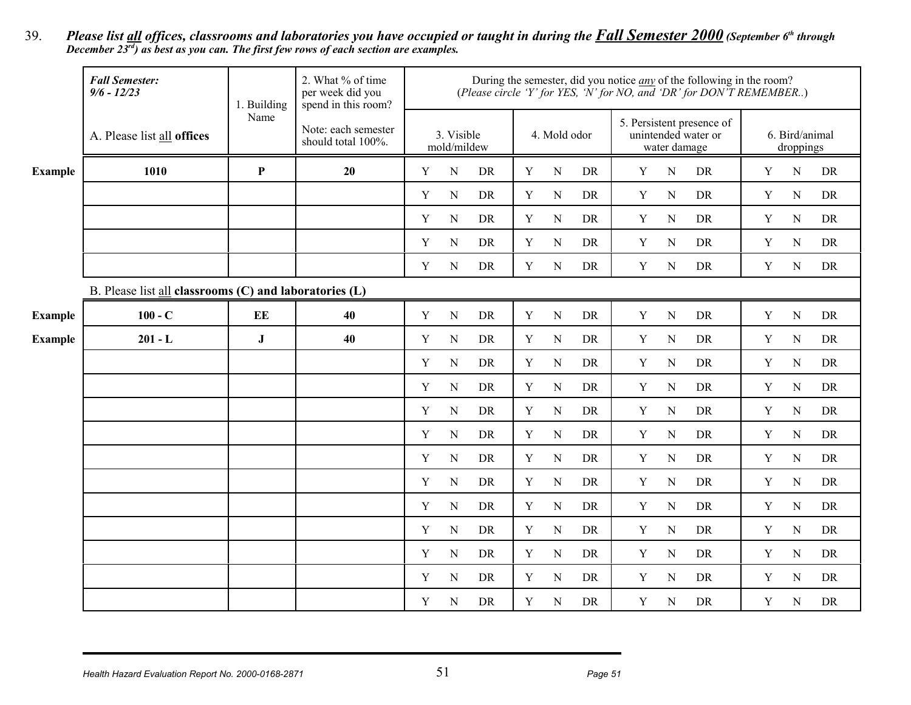39. *Please list all offices, classrooms and laboratories you have occupied or taught in during the Fall Semester 2000 (September 6th through December 23rd) as best as you can. The first few rows of each section are examples.*

|                | <b>Fall Semester:</b><br>$9/6 - 12/23$                 | 1. Building | 2. What % of time<br>per week did you<br>spend in this room? | During the semester, did you notice $\frac{any}{any}$ of the following in the room?<br>(Please circle 'Y' for YES, 'N' for NO, and 'DR' for DON'T REMEMBER) |             |           |              |             |           |                                                                  |             |           |                             |             |    |
|----------------|--------------------------------------------------------|-------------|--------------------------------------------------------------|-------------------------------------------------------------------------------------------------------------------------------------------------------------|-------------|-----------|--------------|-------------|-----------|------------------------------------------------------------------|-------------|-----------|-----------------------------|-------------|----|
|                | A. Please list all offices                             | Name        | Note: each semester<br>should total 100%.                    | 3. Visible<br>mold/mildew                                                                                                                                   |             |           | 4. Mold odor |             |           | 5. Persistent presence of<br>unintended water or<br>water damage |             |           | 6. Bird/animal<br>droppings |             |    |
| <b>Example</b> | 1010                                                   | ${\bf P}$   | 20                                                           | Y                                                                                                                                                           | ${\bf N}$   | <b>DR</b> | Y            | ${\bf N}$   | DR        | Y                                                                | ${\bf N}$   | DR        | $\mathbf Y$                 | ${\bf N}$   | DR |
|                |                                                        |             |                                                              | Y                                                                                                                                                           | ${\bf N}$   | <b>DR</b> | $\mathbf Y$  | $\mathbf N$ | <b>DR</b> | $\mathbf Y$                                                      | ${\bf N}$   | <b>DR</b> | $\mathbf Y$                 | ${\bf N}$   | DR |
|                |                                                        |             |                                                              | $\mathbf Y$                                                                                                                                                 | ${\bf N}$   | DR        | $\mathbf Y$  | N           | <b>DR</b> | $\mathbf Y$                                                      | ${\bf N}$   | <b>DR</b> | $\mathbf Y$                 | ${\bf N}$   | DR |
|                |                                                        |             |                                                              | $\mathbf Y$                                                                                                                                                 | ${\bf N}$   | DR        | $\mathbf Y$  | $\mathbf N$ | DR        | $\mathbf Y$                                                      | $\mathbf N$ | DR        | Y                           | $\mathbf N$ | DR |
|                |                                                        |             |                                                              | Y                                                                                                                                                           | $\mathbf N$ | DR        | $\mathbf Y$  | $\mathbf N$ | DR        | $\mathbf Y$                                                      | $\mathbf N$ | DR        | $\mathbf Y$                 | ${\bf N}$   | DR |
|                | B. Please list all classrooms (C) and laboratories (L) |             |                                                              |                                                                                                                                                             |             |           |              |             |           |                                                                  |             |           |                             |             |    |
| <b>Example</b> | $100 - C$                                              | EE          | 40                                                           | Y                                                                                                                                                           | $\mathbf N$ | DR        | $\mathbf Y$  | $\mathbf N$ | DR        | Y                                                                | ${\bf N}$   | DR        | Y                           | $\mathbf N$ | DR |
| <b>Example</b> | $201 - L$                                              | ${\bf J}$   | 40                                                           | Y                                                                                                                                                           | $\mathbf N$ | DR        | Y            | N           | DR        | $\mathbf Y$                                                      | $\mathbf N$ | DR        | $\mathbf Y$                 | ${\bf N}$   | DR |
|                |                                                        |             |                                                              | Y                                                                                                                                                           | N           | DR        | $\mathbf Y$  | N           | DR        | $\mathbf Y$                                                      | $\mathbf N$ | <b>DR</b> | $\mathbf Y$                 | $\mathbf N$ | DR |
|                |                                                        |             |                                                              | $\mathbf Y$                                                                                                                                                 | $\mathbf N$ | <b>DR</b> | $\mathbf Y$  | N           | <b>DR</b> | $\mathbf Y$                                                      | $\mathbf N$ | DR        | Y                           | ${\bf N}$   | DR |
|                |                                                        |             |                                                              | Y                                                                                                                                                           | $\mathbf N$ | DR        | $\mathbf Y$  | N           | DR        | Y                                                                | $\mathbf N$ | DR        | $\mathbf Y$                 | $\mathbf N$ | DR |
|                |                                                        |             |                                                              | Y                                                                                                                                                           | $\mathbf N$ | DR        | $\mathbf Y$  | N           | DR        | Y                                                                | $\mathbf N$ | DR        | $\mathbf Y$                 | $\mathbf N$ | DR |
|                |                                                        |             |                                                              | $\mathbf Y$                                                                                                                                                 | N           | DR        | $\mathbf Y$  | $\mathbf N$ | DR        | $\mathbf Y$                                                      | ${\bf N}$   | DR        | $\mathbf Y$                 | ${\bf N}$   | DR |
|                |                                                        |             |                                                              | Y                                                                                                                                                           | ${\bf N}$   | DR        | $\mathbf Y$  | N           | <b>DR</b> | $\mathbf Y$                                                      | $\mathbf N$ | <b>DR</b> | Y                           | $\mathbf N$ | DR |
|                |                                                        |             |                                                              | Y                                                                                                                                                           | $\mathbf N$ | DR        | Y            | N           | DR        | $\mathbf Y$                                                      | ${\bf N}$   | DR        | Y                           | ${\bf N}$   | DR |
|                |                                                        |             |                                                              | Y                                                                                                                                                           | $\mathbf N$ | DR        | $\mathbf Y$  | N           | DR        | $\mathbf Y$                                                      | ${\bf N}$   | DR        | $\mathbf Y$                 | ${\bf N}$   | DR |
|                |                                                        |             |                                                              | Y                                                                                                                                                           | ${\bf N}$   | DR        | $\mathbf Y$  | $\mathbf N$ | DR        | $\mathbf Y$                                                      | $\mathbf N$ | DR        | Y                           | $\mathbf N$ | DR |
|                |                                                        |             |                                                              | Y                                                                                                                                                           | N           | DR        | $\mathbf Y$  | N           | DR        | Y                                                                | $\mathbf N$ | DR        | Y                           | $\mathbf N$ | DR |
|                |                                                        |             |                                                              | Y                                                                                                                                                           | ${\bf N}$   | DR        | Y            | N           | DR        | Y                                                                | $\mathbf N$ | DR        | Y                           | N           | DR |

*Health Hazard Evaluation Report No. 2000-0168-2871 Fage 51* 51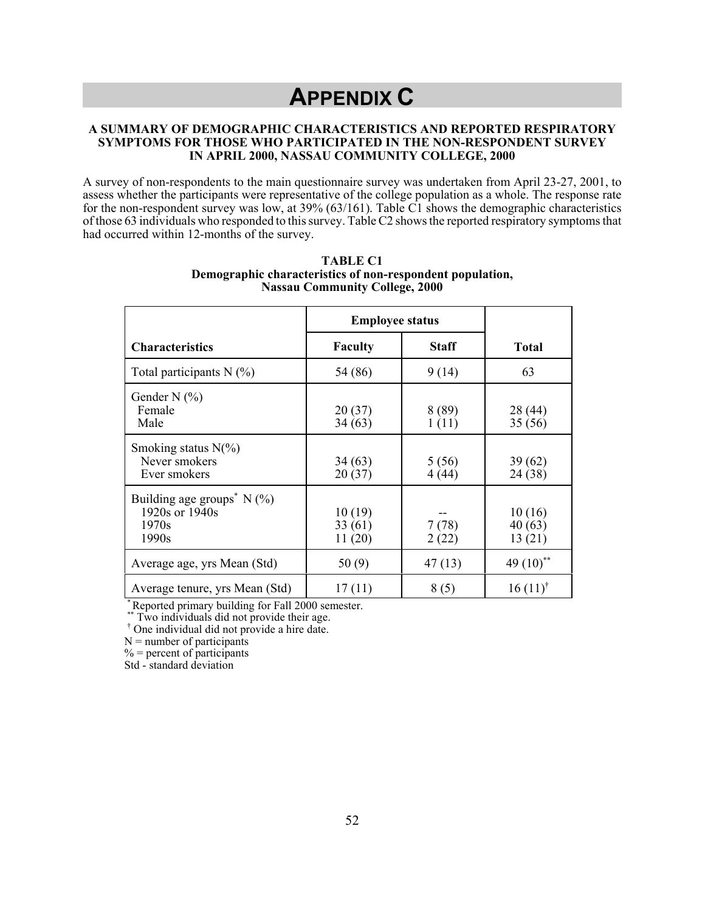# **APPENDIX C**

#### **A SUMMARY OF DEMOGRAPHIC CHARACTERISTICS AND REPORTED RESPIRATORY SYMPTOMS FOR THOSE WHO PARTICIPATED IN THE NON-RESPONDENT SURVEY IN APRIL 2000, NASSAU COMMUNITY COLLEGE, 2000**

A survey of non-respondents to the main questionnaire survey was undertaken from April 23-27, 2001, to assess whether the participants were representative of the college population as a whole. The response rate for the non-respondent survey was low, at  $39% (63/161)$ . Table C1 shows the demographic characteristics of those 63 individuals who responded to this survey. Table C2 shows the reported respiratory symptoms that had occurred within 12-months of the survey.

|                                                                               | <b>Employee status</b>     |                |                            |
|-------------------------------------------------------------------------------|----------------------------|----------------|----------------------------|
| <b>Characteristics</b>                                                        | <b>Faculty</b>             | <b>Staff</b>   | <b>Total</b>               |
| Total participants $N$ (%)                                                    | 54 (86)                    | 9(14)          | 63                         |
| Gender N $(\% )$<br>Female<br>Male                                            | 20(37)<br>34(63)           | 8(89)<br>1(11) | 28 (44)<br>35(56)          |
| Smoking status $N(\%)$<br>Never smokers<br>Ever smokers                       | 34(63)<br>20(37)           | 5(56)<br>4(44) | 39(62)<br>24 (38)          |
| Building age groups <sup>*</sup> N $(\%)$<br>1920s or 1940s<br>1970s<br>1990s | 10(19)<br>33(61)<br>11(20) | 7(78)<br>2(22) | 10(16)<br>40(63)<br>13(21) |
| Average age, yrs Mean (Std)                                                   | 50(9)                      | 47(13)         | 49 $(10)^{**}$             |
| Average tenure, yrs Mean (Std)                                                | 17(11)                     | 8(5)           | $16(11)^{\dagger}$         |

#### **TABLE C1 Demographic characteristics of non-respondent population, Nassau Community College, 2000**

\* Reported primary building for Fall 2000 semester.

\*\* Two individuals did not provide their age.

† One individual did not provide a hire date.

 $N =$  number of participants

 $%$  = percent of participants

Std - standard deviation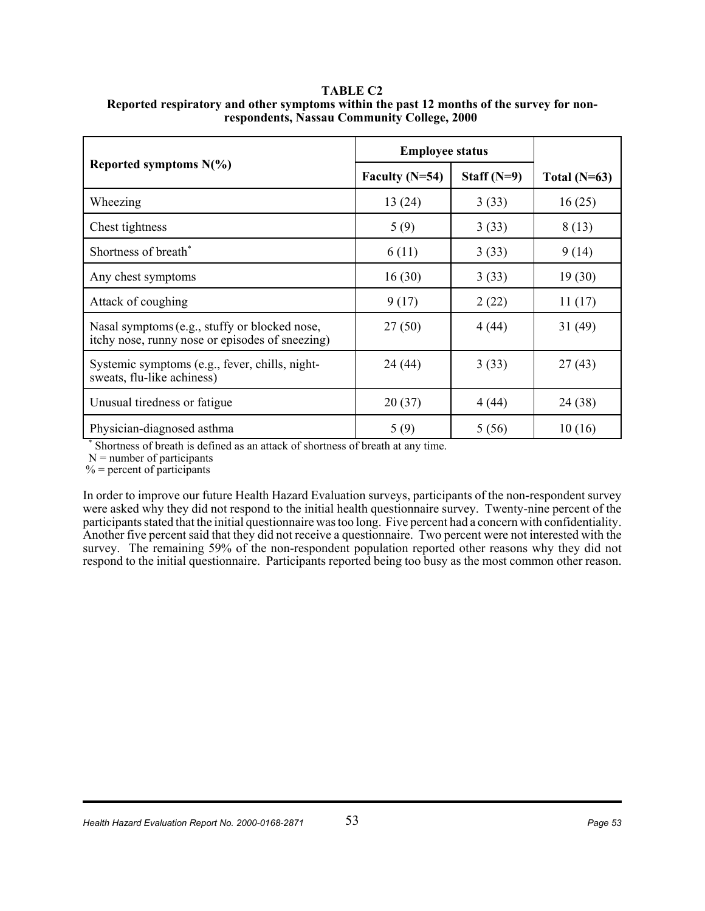**TABLE C2 Reported respiratory and other symptoms within the past 12 months of the survey for nonrespondents, Nassau Community College, 2000**

|                                                                                                  | <b>Employee status</b> |               |                |
|--------------------------------------------------------------------------------------------------|------------------------|---------------|----------------|
| Reported symptoms $N(\% )$                                                                       | Faculty $(N=54)$       | Staff $(N=9)$ | Total $(N=63)$ |
| Wheezing                                                                                         | 13(24)                 | 3(33)         | 16(25)         |
| Chest tightness                                                                                  | 5(9)                   | 3(33)         | 8(13)          |
| Shortness of breath*                                                                             | 6(11)                  | 3(33)         | 9(14)          |
| Any chest symptoms                                                                               | 16(30)                 | 3(33)         | 19(30)         |
| Attack of coughing                                                                               | 9(17)                  | 2(22)         | 11(17)         |
| Nasal symptoms (e.g., stuffy or blocked nose,<br>itchy nose, runny nose or episodes of sneezing) | 27(50)                 | 4(44)         | 31(49)         |
| Systemic symptoms (e.g., fever, chills, night-<br>sweats, flu-like achiness)                     | 24 (44)                | 3(33)         | 27(43)         |
| Unusual tiredness or fatigue                                                                     | 20(37)                 | 4(44)         | 24 (38)        |
| Physician-diagnosed asthma                                                                       | 5(9)                   | 5(56)         | 10(16)         |

\* Shortness of breath is defined as an attack of shortness of breath at any time.

 $N =$  number of participants

 $\%$  = percent of participants

In order to improve our future Health Hazard Evaluation surveys, participants of the non-respondent survey were asked why they did not respond to the initial health questionnaire survey. Twenty-nine percent of the participants stated that the initial questionnaire was too long. Five percent had a concern with confidentiality. Another five percent said that they did not receive a questionnaire. Two percent were not interested with the survey. The remaining 59% of the non-respondent population reported other reasons why they did not respond to the initial questionnaire. Participants reported being too busy as the most common other reason.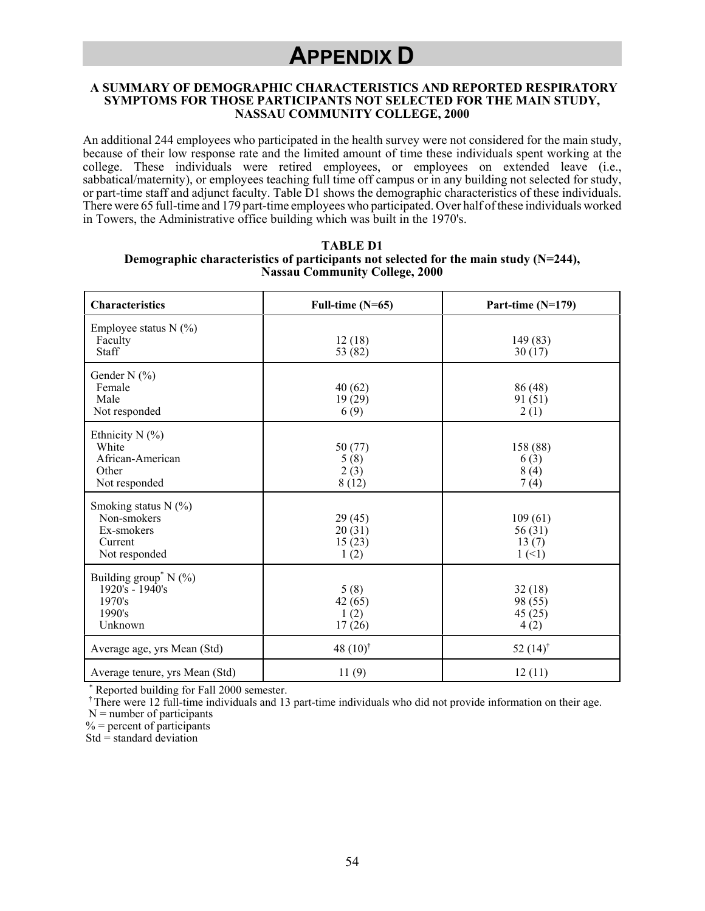#### **A SUMMARY OF DEMOGRAPHIC CHARACTERISTICS AND REPORTED RESPIRATORY SYMPTOMS FOR THOSE PARTICIPANTS NOT SELECTED FOR THE MAIN STUDY, NASSAU COMMUNITY COLLEGE, 2000**

An additional 244 employees who participated in the health survey were not considered for the main study, because of their low response rate and the limited amount of time these individuals spent working at the college. These individuals were retired employees, or employees on extended leave (i.e., sabbatical/maternity), or employees teaching full time off campus or in any building not selected for study, or part-time staff and adjunct faculty. Table D1 shows the demographic characteristics of these individuals. There were 65 full-time and 179 part-time employees who participated. Over half of these individuals worked in Towers, the Administrative office building which was built in the 1970's.

| <b>Characteristics</b>                                                                | Full-time $(N=65)$                 | Part-time $(N=179)$                 |  |  |  |  |
|---------------------------------------------------------------------------------------|------------------------------------|-------------------------------------|--|--|--|--|
| Employee status $N$ (%)<br>Faculty<br>Staff                                           | 12(18)<br>53 (82)                  | 149 (83)<br>30(17)                  |  |  |  |  |
| Gender N (%)<br>Female<br>Male<br>Not responded                                       | 40(62)<br>19(29)<br>6(9)           | 86 (48)<br>91(51)<br>2(1)           |  |  |  |  |
| Ethnicity $N$ (%)<br>White<br>African-American<br>Other<br>Not responded              | 50 (77)<br>5(8)<br>2(3)<br>8(12)   | 158 (88)<br>6(3)<br>8(4)<br>7(4)    |  |  |  |  |
| Smoking status $N$ (%)<br>Non-smokers<br>Ex-smokers<br>Current<br>Not responded       | 29(45)<br>20(31)<br>15(23)<br>1(2) | 109(61)<br>56 (31)<br>13(7)<br>1(1) |  |  |  |  |
| Building group <sup>*</sup> N (%)<br>$1920's - 1940's$<br>1970's<br>1990's<br>Unknown | 5(8)<br>42(65)<br>1(2)<br>17(26)   | 32(18)<br>98 (55)<br>45(25)<br>4(2) |  |  |  |  |
| Average age, yrs Mean (Std)                                                           | 48 $(10)^{\dagger}$                | 52 $(14)^{\dagger}$                 |  |  |  |  |
| Average tenure, yrs Mean (Std)                                                        | 11(9)                              | 12(11)                              |  |  |  |  |

**TABLE D1 Demographic characteristics of participants not selected for the main study (N=244), Nassau Community College, 2000**

 \* Reported building for Fall 2000 semester.

† There were 12 full-time individuals and 13 part-time individuals who did not provide information on their age.

 $N =$  number of participants

 $\%$  = percent of participants

Std = standard deviation